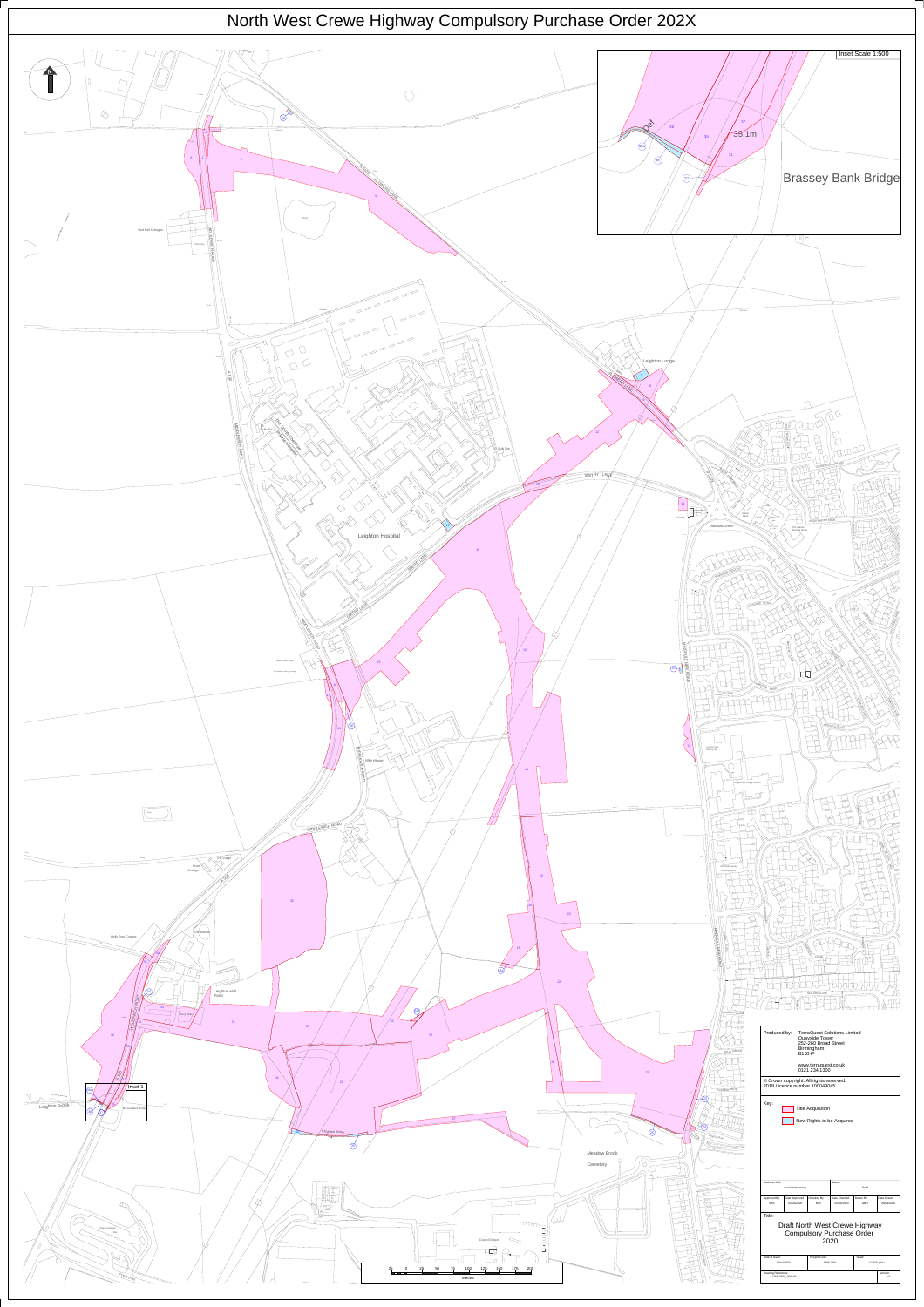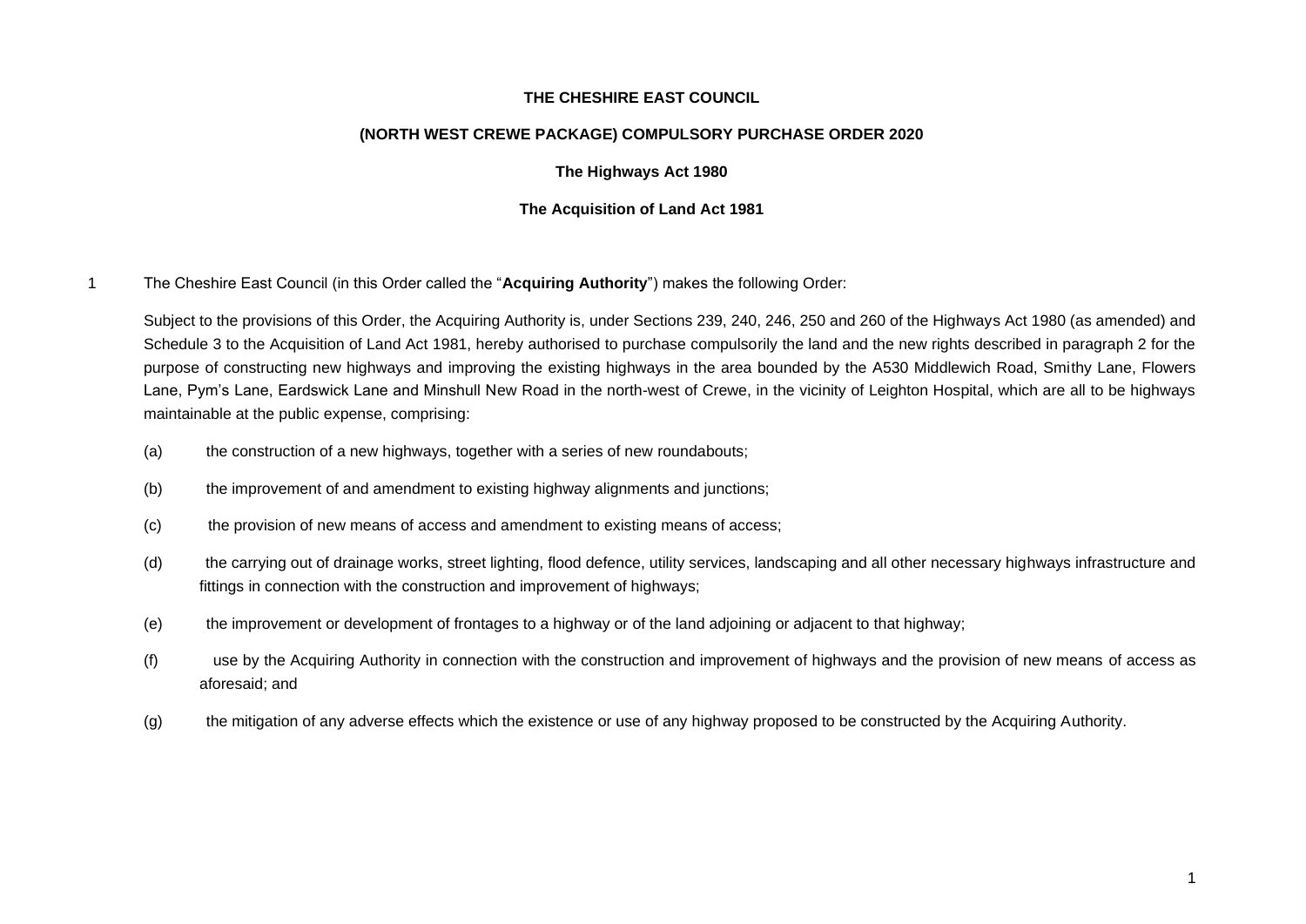#### **THE CHESHIRE EAST COUNCIL**

#### **(NORTH WEST CREWE PACKAGE) COMPULSORY PURCHASE ORDER 2020**

#### **The Highways Act 1980**

#### **The Acquisition of Land Act 1981**

1 The Cheshire East Council (in this Order called the "**Acquiring Authority**") makes the following Order:

Subject to the provisions of this Order, the Acquiring Authority is, under Sections 239, 240, 246, 250 and 260 of the Highways Act 1980 (as amended) and Schedule 3 to the Acquisition of Land Act 1981, hereby authorised to purchase compulsorily the land and the new rights described in paragraph 2 for the purpose of constructing new highways and improving the existing highways in the area bounded by the A530 Middlewich Road, Smithy Lane, Flowers Lane, Pym's Lane, Eardswick Lane and Minshull New Road in the north-west of Crewe, in the vicinity of Leighton Hospital, which are all to be highways maintainable at the public expense, comprising:

- (a) the construction of a new highways, together with a series of new roundabouts;
- (b) the improvement of and amendment to existing highway alignments and junctions;
- (c) the provision of new means of access and amendment to existing means of access;
- (d) the carrying out of drainage works, street lighting, flood defence, utility services, landscaping and all other necessary highways infrastructure and fittings in connection with the construction and improvement of highways;
- (e) the improvement or development of frontages to a highway or of the land adjoining or adjacent to that highway;
- (f) use by the Acquiring Authority in connection with the construction and improvement of highways and the provision of new means of access as aforesaid; and
- (g) the mitigation of any adverse effects which the existence or use of any highway proposed to be constructed by the Acquiring Authority.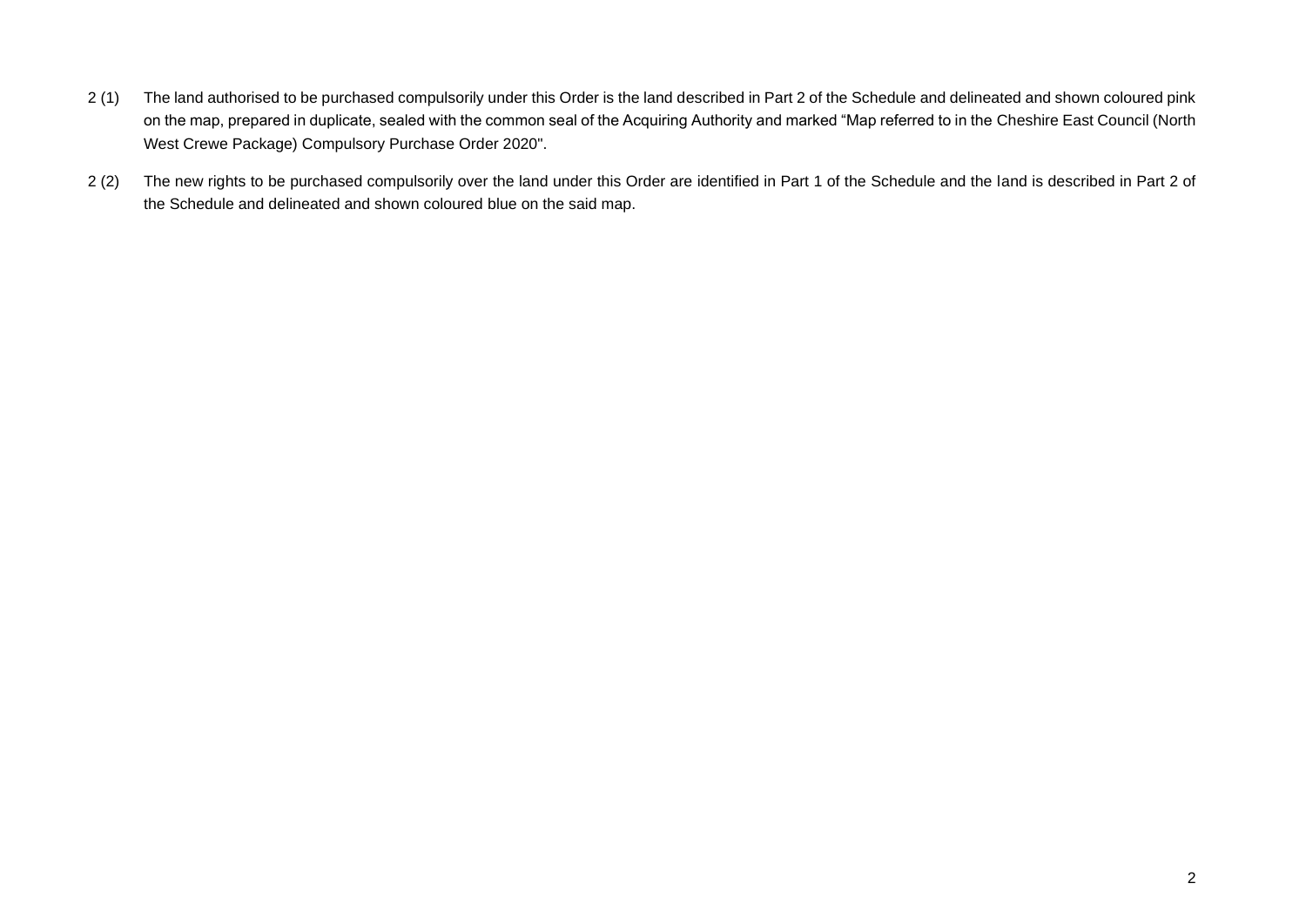- 2 (1) The land authorised to be purchased compulsorily under this Order is the land described in Part 2 of the Schedule and delineated and shown coloured pink on the map, prepared in duplicate, sealed with the common seal of the Acquiring Authority and marked "Map referred to in the Cheshire East Council (North West Crewe Package) Compulsory Purchase Order 2020".
- 2 (2) The new rights to be purchased compulsorily over the land under this Order are identified in Part 1 of the Schedule and the land is described in Part 2 of the Schedule and delineated and shown coloured blue on the said map.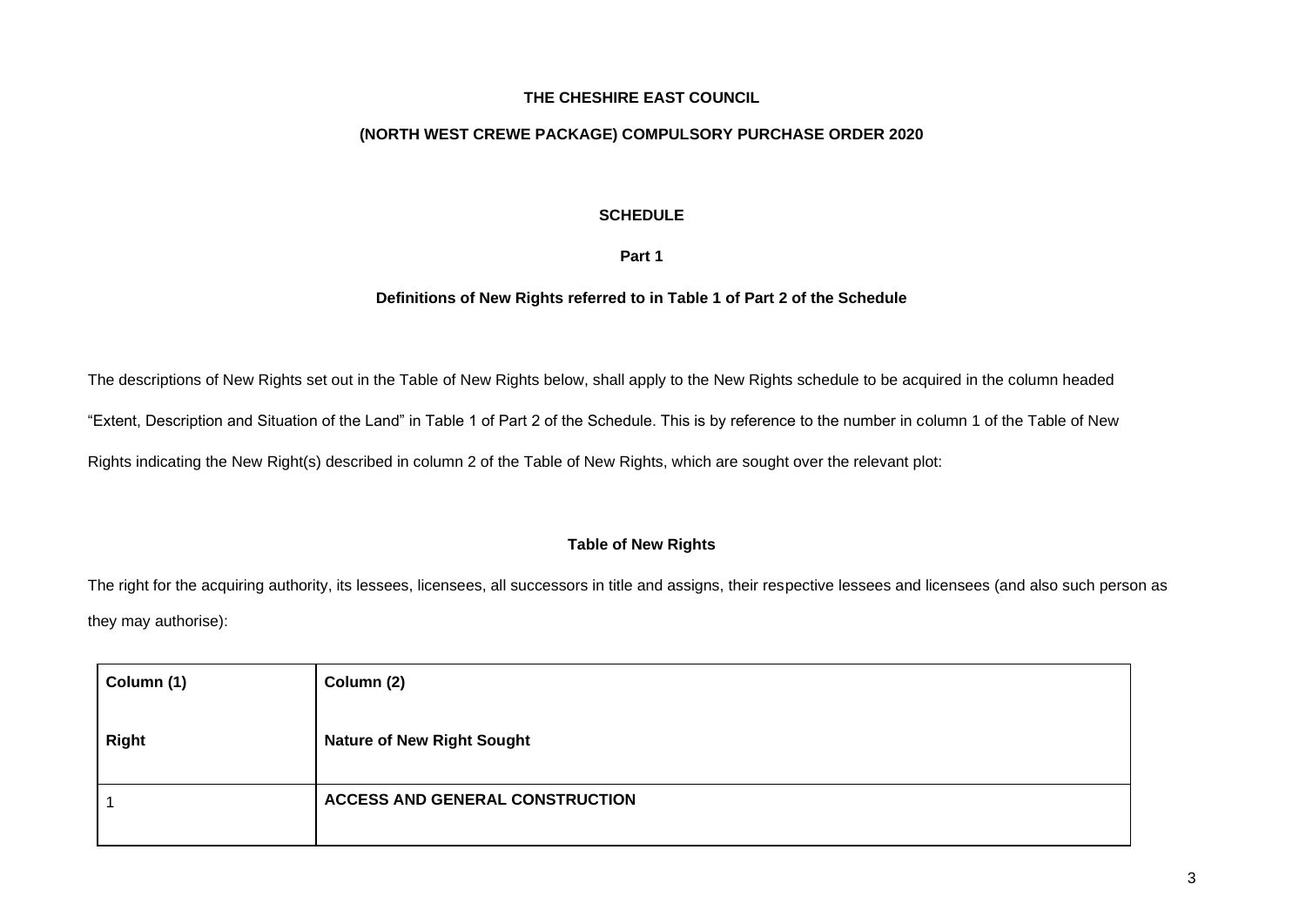#### **THE CHESHIRE EAST COUNCIL**

#### **(NORTH WEST CREWE PACKAGE) COMPULSORY PURCHASE ORDER 2020**

#### **SCHEDULE**

#### **Part 1**

#### **Definitions of New Rights referred to in Table 1 of Part 2 of the Schedule**

The descriptions of New Rights set out in the Table of New Rights below, shall apply to the New Rights schedule to be acquired in the column headed

"Extent, Description and Situation of the Land" in Table 1 of Part 2 of the Schedule. This is by reference to the number in column 1 of the Table of New

Rights indicating the New Right(s) described in column 2 of the Table of New Rights, which are sought over the relevant plot:

#### **Table of New Rights**

The right for the acquiring authority, its lessees, licensees, all successors in title and assigns, their respective lessees and licensees (and also such person as they may authorise):

| Column (1)   | Column (2)                             |
|--------------|----------------------------------------|
| <b>Right</b> | <b>Nature of New Right Sought</b>      |
|              | <b>ACCESS AND GENERAL CONSTRUCTION</b> |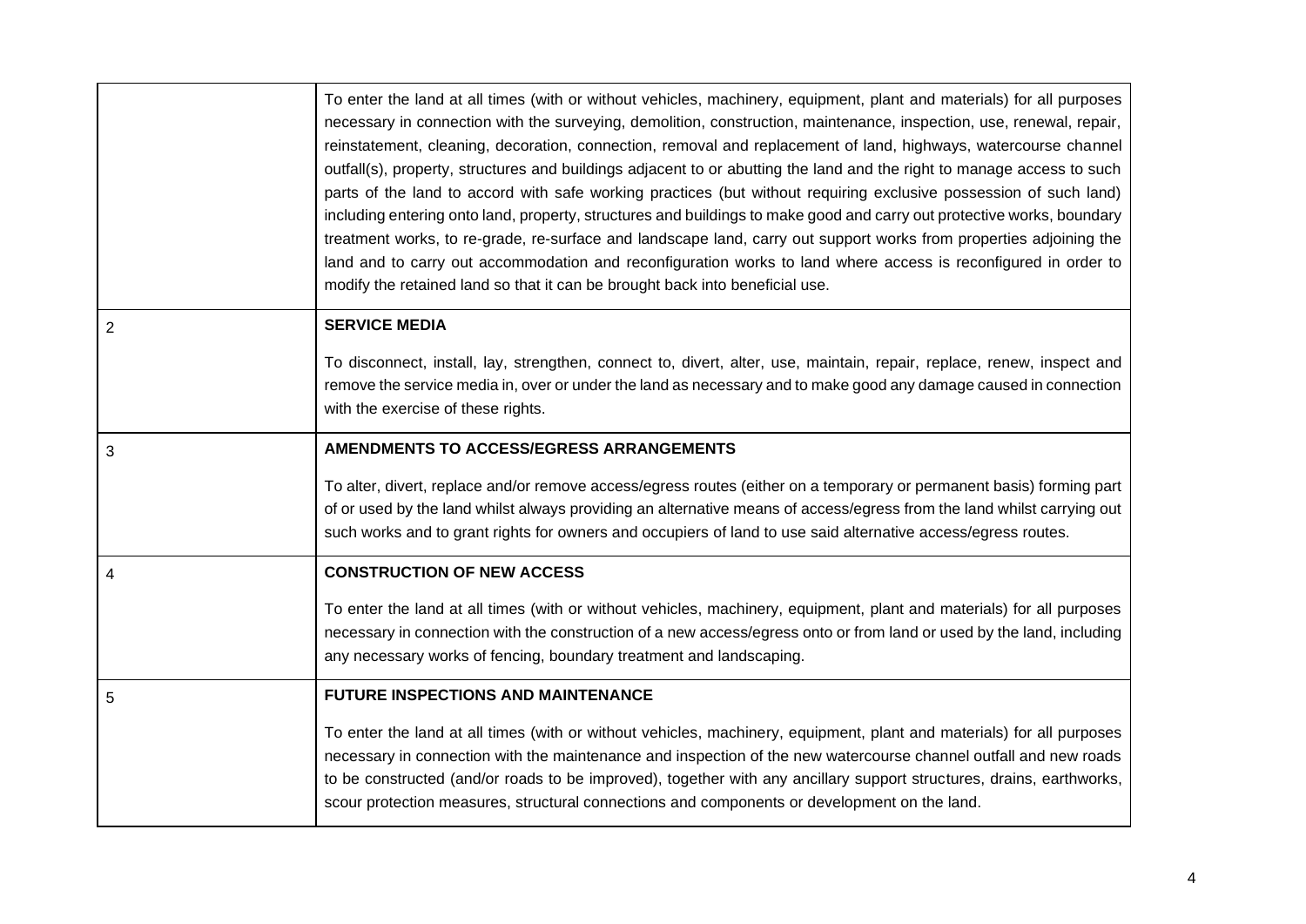|                | To enter the land at all times (with or without vehicles, machinery, equipment, plant and materials) for all purposes<br>necessary in connection with the surveying, demolition, construction, maintenance, inspection, use, renewal, repair,<br>reinstatement, cleaning, decoration, connection, removal and replacement of land, highways, watercourse channel<br>outfall(s), property, structures and buildings adjacent to or abutting the land and the right to manage access to such<br>parts of the land to accord with safe working practices (but without requiring exclusive possession of such land)<br>including entering onto land, property, structures and buildings to make good and carry out protective works, boundary<br>treatment works, to re-grade, re-surface and landscape land, carry out support works from properties adjoining the<br>land and to carry out accommodation and reconfiguration works to land where access is reconfigured in order to<br>modify the retained land so that it can be brought back into beneficial use. |
|----------------|-------------------------------------------------------------------------------------------------------------------------------------------------------------------------------------------------------------------------------------------------------------------------------------------------------------------------------------------------------------------------------------------------------------------------------------------------------------------------------------------------------------------------------------------------------------------------------------------------------------------------------------------------------------------------------------------------------------------------------------------------------------------------------------------------------------------------------------------------------------------------------------------------------------------------------------------------------------------------------------------------------------------------------------------------------------------|
| $\overline{2}$ | <b>SERVICE MEDIA</b>                                                                                                                                                                                                                                                                                                                                                                                                                                                                                                                                                                                                                                                                                                                                                                                                                                                                                                                                                                                                                                              |
|                | To disconnect, install, lay, strengthen, connect to, divert, alter, use, maintain, repair, replace, renew, inspect and<br>remove the service media in, over or under the land as necessary and to make good any damage caused in connection<br>with the exercise of these rights.                                                                                                                                                                                                                                                                                                                                                                                                                                                                                                                                                                                                                                                                                                                                                                                 |
| 3              | AMENDMENTS TO ACCESS/EGRESS ARRANGEMENTS                                                                                                                                                                                                                                                                                                                                                                                                                                                                                                                                                                                                                                                                                                                                                                                                                                                                                                                                                                                                                          |
|                | To alter, divert, replace and/or remove access/egress routes (either on a temporary or permanent basis) forming part<br>of or used by the land whilst always providing an alternative means of access/egress from the land whilst carrying out<br>such works and to grant rights for owners and occupiers of land to use said alternative access/egress routes.                                                                                                                                                                                                                                                                                                                                                                                                                                                                                                                                                                                                                                                                                                   |
| 4              | <b>CONSTRUCTION OF NEW ACCESS</b>                                                                                                                                                                                                                                                                                                                                                                                                                                                                                                                                                                                                                                                                                                                                                                                                                                                                                                                                                                                                                                 |
|                | To enter the land at all times (with or without vehicles, machinery, equipment, plant and materials) for all purposes<br>necessary in connection with the construction of a new access/egress onto or from land or used by the land, including<br>any necessary works of fencing, boundary treatment and landscaping.                                                                                                                                                                                                                                                                                                                                                                                                                                                                                                                                                                                                                                                                                                                                             |
| 5              | <b>FUTURE INSPECTIONS AND MAINTENANCE</b>                                                                                                                                                                                                                                                                                                                                                                                                                                                                                                                                                                                                                                                                                                                                                                                                                                                                                                                                                                                                                         |
|                | To enter the land at all times (with or without vehicles, machinery, equipment, plant and materials) for all purposes<br>necessary in connection with the maintenance and inspection of the new watercourse channel outfall and new roads<br>to be constructed (and/or roads to be improved), together with any ancillary support structures, drains, earthworks,<br>scour protection measures, structural connections and components or development on the land.                                                                                                                                                                                                                                                                                                                                                                                                                                                                                                                                                                                                 |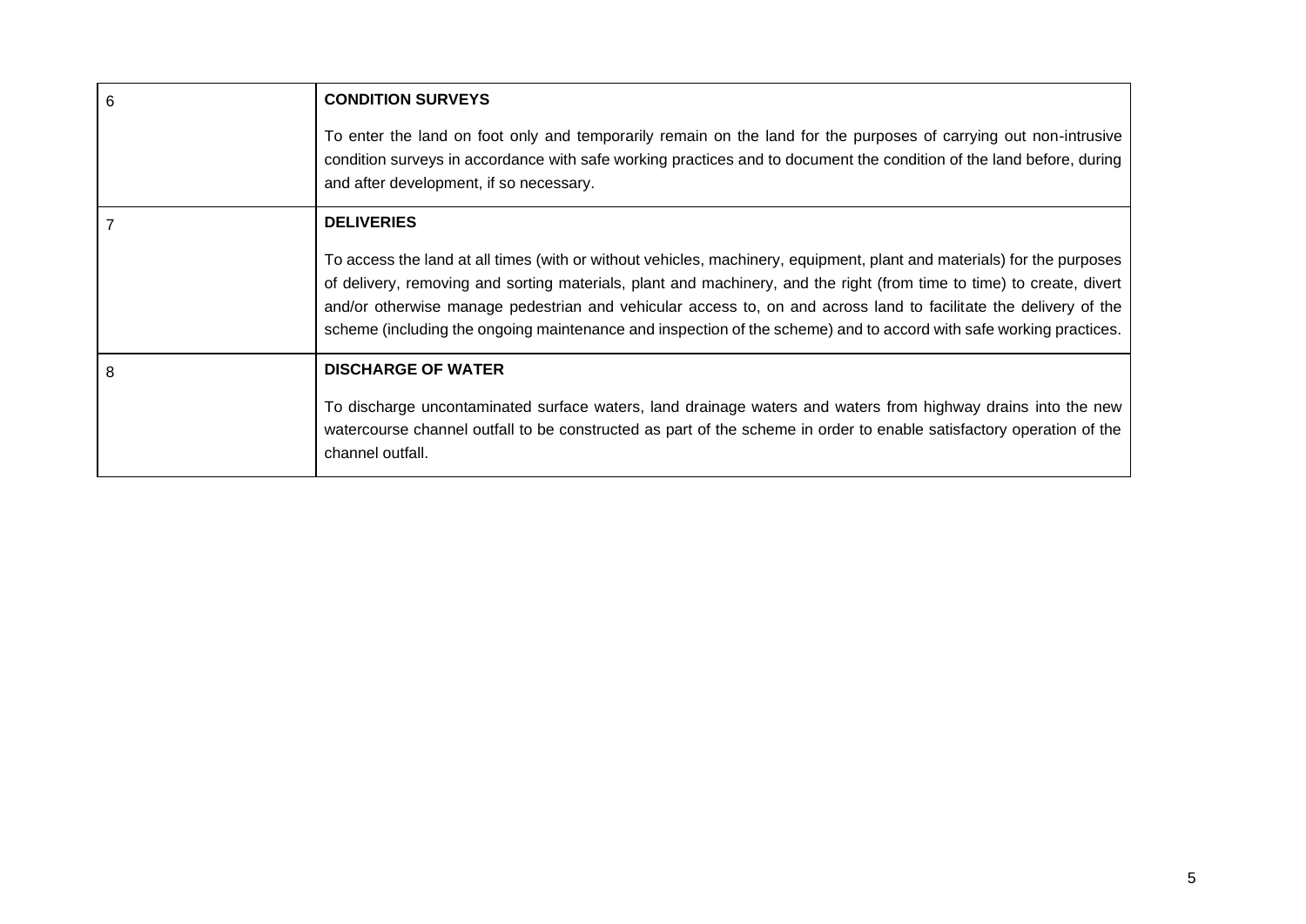| 6 | <b>CONDITION SURVEYS</b>                                                                                                                                                                                                                                                                                                                                                                                                                                                                  |
|---|-------------------------------------------------------------------------------------------------------------------------------------------------------------------------------------------------------------------------------------------------------------------------------------------------------------------------------------------------------------------------------------------------------------------------------------------------------------------------------------------|
|   | To enter the land on foot only and temporarily remain on the land for the purposes of carrying out non-intrusive<br>condition surveys in accordance with safe working practices and to document the condition of the land before, during<br>and after development, if so necessary.                                                                                                                                                                                                       |
|   | <b>DELIVERIES</b>                                                                                                                                                                                                                                                                                                                                                                                                                                                                         |
|   | To access the land at all times (with or without vehicles, machinery, equipment, plant and materials) for the purposes<br>of delivery, removing and sorting materials, plant and machinery, and the right (from time to time) to create, divert<br>and/or otherwise manage pedestrian and vehicular access to, on and across land to facilitate the delivery of the<br>scheme (including the ongoing maintenance and inspection of the scheme) and to accord with safe working practices. |
| 8 | <b>DISCHARGE OF WATER</b>                                                                                                                                                                                                                                                                                                                                                                                                                                                                 |
|   | To discharge uncontaminated surface waters, land drainage waters and waters from highway drains into the new<br>watercourse channel outfall to be constructed as part of the scheme in order to enable satisfactory operation of the<br>channel outfall.                                                                                                                                                                                                                                  |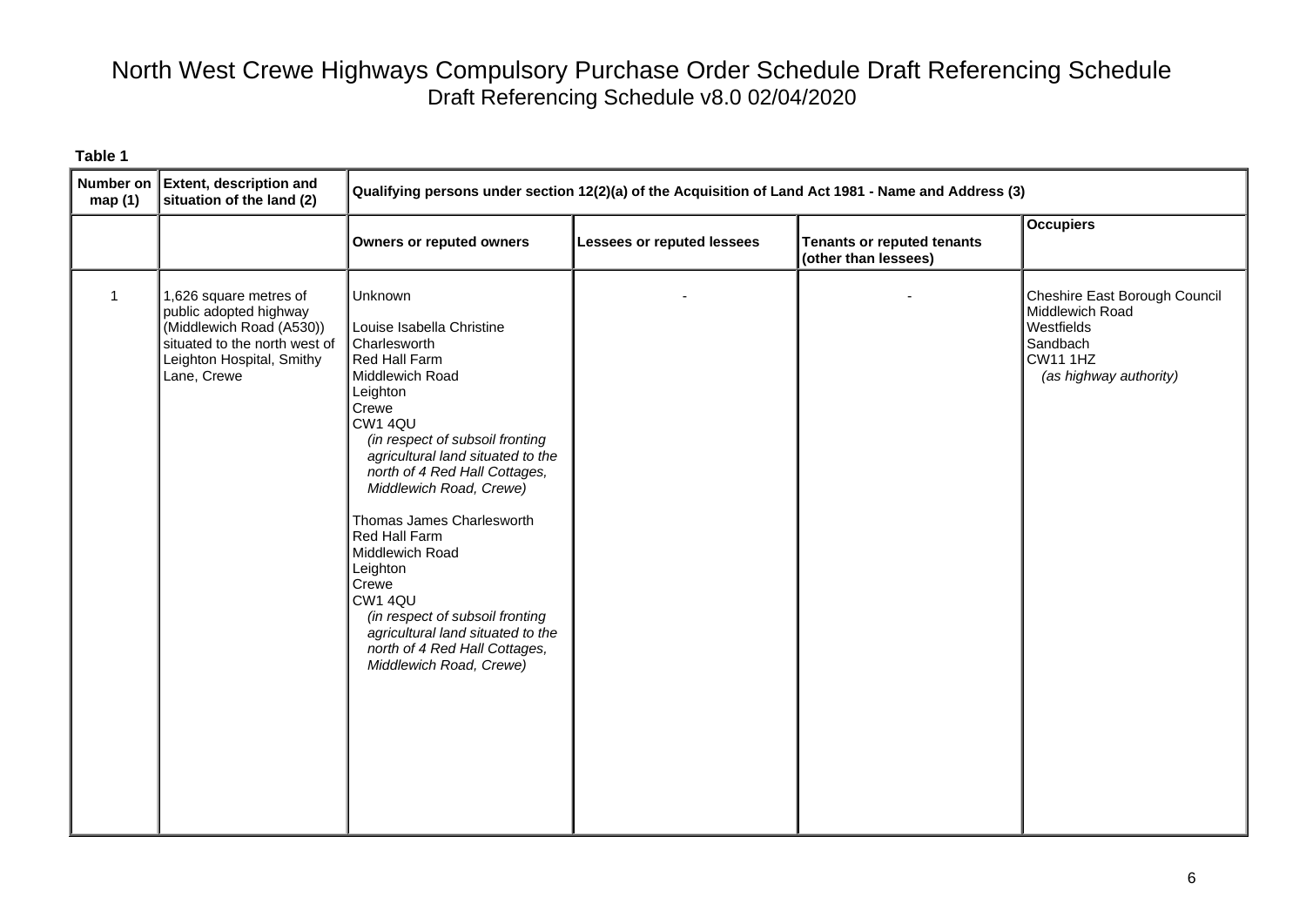| map(1)      | Number on Extent, description and<br>situation of the land (2)                                                                                            | Qualifying persons under section 12(2)(a) of the Acquisition of Land Act 1981 - Name and Address (3)                                                                                                                                                                                                                                                                                                                                                                                              |                                   |                                                           |                                                                                                                         |
|-------------|-----------------------------------------------------------------------------------------------------------------------------------------------------------|---------------------------------------------------------------------------------------------------------------------------------------------------------------------------------------------------------------------------------------------------------------------------------------------------------------------------------------------------------------------------------------------------------------------------------------------------------------------------------------------------|-----------------------------------|-----------------------------------------------------------|-------------------------------------------------------------------------------------------------------------------------|
|             |                                                                                                                                                           | <b>Owners or reputed owners</b>                                                                                                                                                                                                                                                                                                                                                                                                                                                                   | <b>Lessees or reputed lessees</b> | <b>Tenants or reputed tenants</b><br>(other than lessees) | <b>Occupiers</b>                                                                                                        |
| $\mathbf 1$ | 1,626 square metres of<br>public adopted highway<br>(Middlewich Road (A530))<br>situated to the north west of<br>Leighton Hospital, Smithy<br>Lane, Crewe | Unknown<br>Louise Isabella Christine<br>Charlesworth<br>Red Hall Farm<br>Middlewich Road<br>Leighton<br>Crewe<br>CW1 4QU<br>(in respect of subsoil fronting<br>agricultural land situated to the<br>north of 4 Red Hall Cottages,<br>Middlewich Road, Crewe)<br>Thomas James Charlesworth<br>Red Hall Farm<br>Middlewich Road<br>Leighton<br>Crewe<br>CW1 4QU<br>(in respect of subsoil fronting<br>agricultural land situated to the<br>north of 4 Red Hall Cottages,<br>Middlewich Road, Crewe) |                                   |                                                           | Cheshire East Borough Council<br>Middlewich Road<br>Westfields<br>Sandbach<br><b>CW11 1HZ</b><br>(as highway authority) |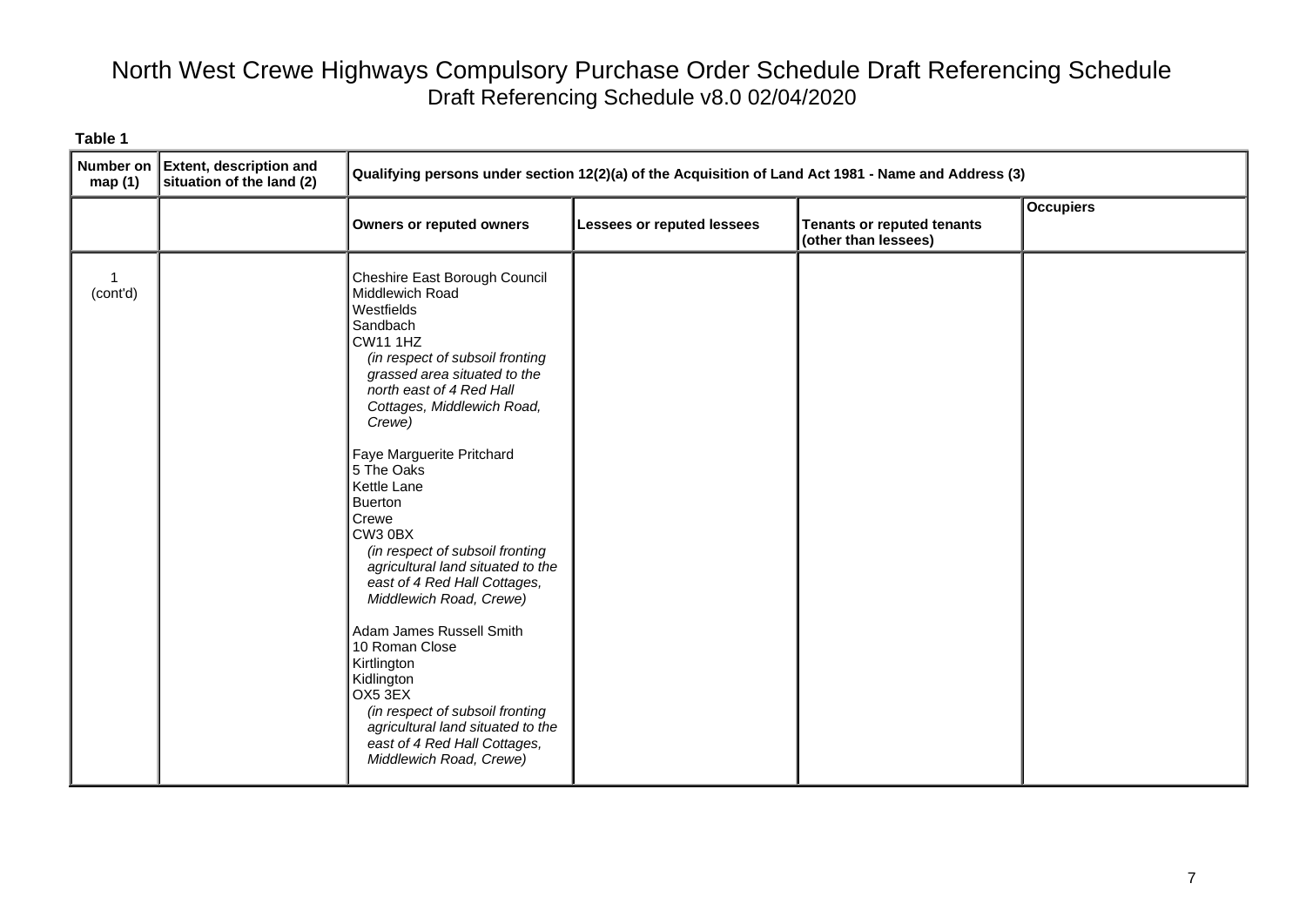| map $(1)$                | Number on Extent, description and<br>situation of the land (2) | Qualifying persons under section 12(2)(a) of the Acquisition of Land Act 1981 - Name and Address (3)                                                                                                                                                                                                                                                                                                                                                                                                                                                                                                                                                                                             |                            |                                                    |                  |
|--------------------------|----------------------------------------------------------------|--------------------------------------------------------------------------------------------------------------------------------------------------------------------------------------------------------------------------------------------------------------------------------------------------------------------------------------------------------------------------------------------------------------------------------------------------------------------------------------------------------------------------------------------------------------------------------------------------------------------------------------------------------------------------------------------------|----------------------------|----------------------------------------------------|------------------|
|                          |                                                                | <b>Owners or reputed owners</b>                                                                                                                                                                                                                                                                                                                                                                                                                                                                                                                                                                                                                                                                  | Lessees or reputed lessees | Tenants or reputed tenants<br>(other than lessees) | <b>Occupiers</b> |
| $\mathbf{1}$<br>(cont'd) |                                                                | Cheshire East Borough Council<br>Middlewich Road<br>Westfields<br>Sandbach<br><b>CW11 1HZ</b><br>(in respect of subsoil fronting<br>grassed area situated to the<br>north east of 4 Red Hall<br>Cottages, Middlewich Road,<br>Crewe)<br>Faye Marguerite Pritchard<br>5 The Oaks<br>Kettle Lane<br><b>Buerton</b><br>Crewe<br>CW3 0BX<br>(in respect of subsoil fronting<br>agricultural land situated to the<br>east of 4 Red Hall Cottages,<br>Middlewich Road, Crewe)<br>Adam James Russell Smith<br>10 Roman Close<br>Kirtlington<br>Kidlington<br>OX5 3EX<br>(in respect of subsoil fronting<br>agricultural land situated to the<br>east of 4 Red Hall Cottages,<br>Middlewich Road, Crewe) |                            |                                                    |                  |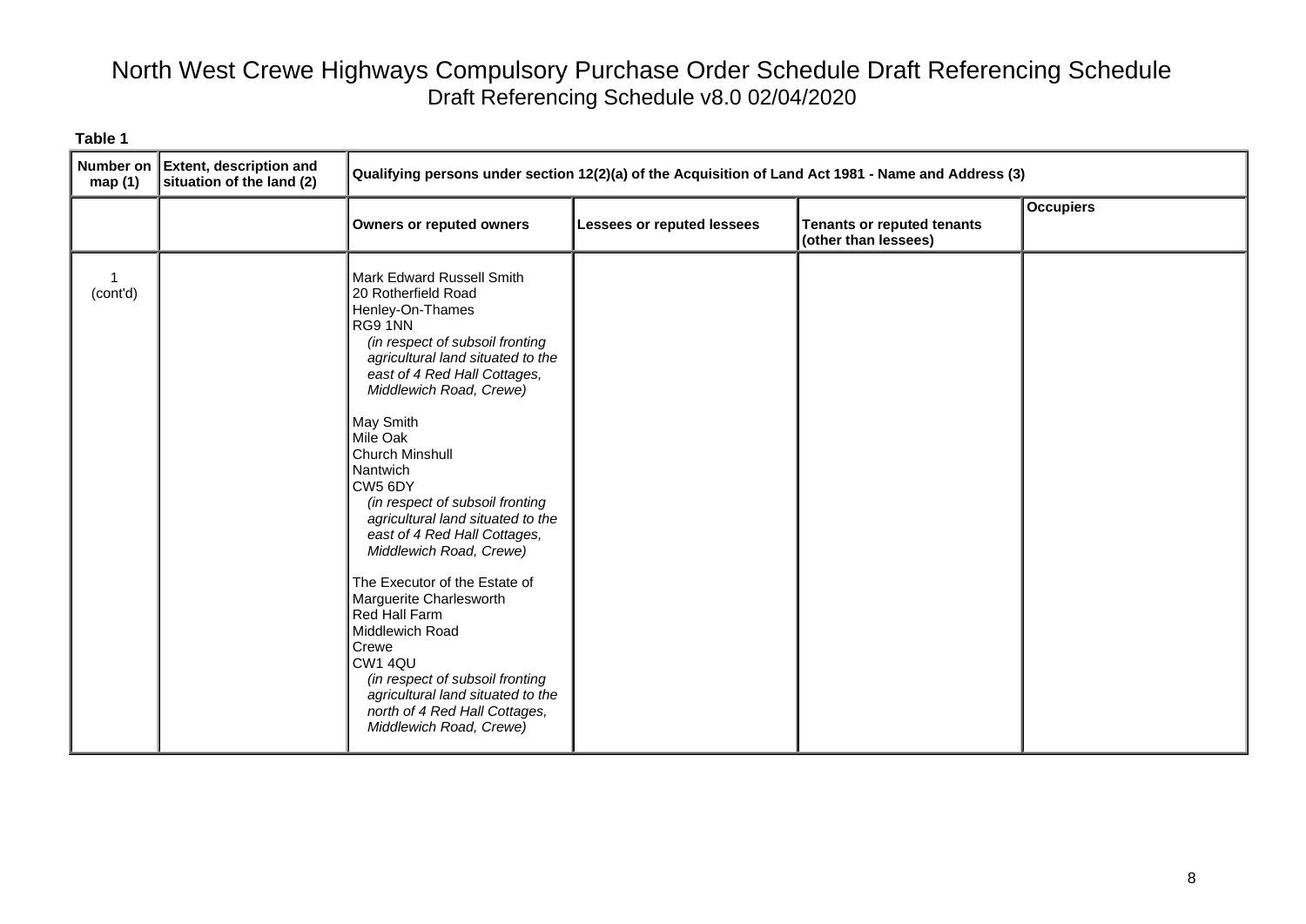| <b>Number on</b><br>map(1) | <b>Extent, description and</b><br>situation of the land (2) | Qualifying persons under section 12(2)(a) of the Acquisition of Land Act 1981 - Name and Address (3)                                                                                                                                                                                                                                                                                                                                                                                                                                                                                                                                                                             |                            |                                                           |                  |
|----------------------------|-------------------------------------------------------------|----------------------------------------------------------------------------------------------------------------------------------------------------------------------------------------------------------------------------------------------------------------------------------------------------------------------------------------------------------------------------------------------------------------------------------------------------------------------------------------------------------------------------------------------------------------------------------------------------------------------------------------------------------------------------------|----------------------------|-----------------------------------------------------------|------------------|
|                            |                                                             | <b>Owners or reputed owners</b>                                                                                                                                                                                                                                                                                                                                                                                                                                                                                                                                                                                                                                                  | Lessees or reputed lessees | <b>Tenants or reputed tenants</b><br>(other than lessees) | <b>Occupiers</b> |
| (cont'd)                   |                                                             | Mark Edward Russell Smith<br>20 Rotherfield Road<br>Henley-On-Thames<br>RG9 1NN<br>(in respect of subsoil fronting<br>agricultural land situated to the<br>east of 4 Red Hall Cottages,<br>Middlewich Road, Crewe)<br>May Smith<br>Mile Oak<br>Church Minshull<br>Nantwich<br>CW5 6DY<br>(in respect of subsoil fronting<br>agricultural land situated to the<br>east of 4 Red Hall Cottages,<br>Middlewich Road, Crewe)<br>The Executor of the Estate of<br>Marguerite Charlesworth<br>Red Hall Farm<br>Middlewich Road<br>Crewe<br>CW1 4QU<br>(in respect of subsoil fronting<br>agricultural land situated to the<br>north of 4 Red Hall Cottages,<br>Middlewich Road, Crewe) |                            |                                                           |                  |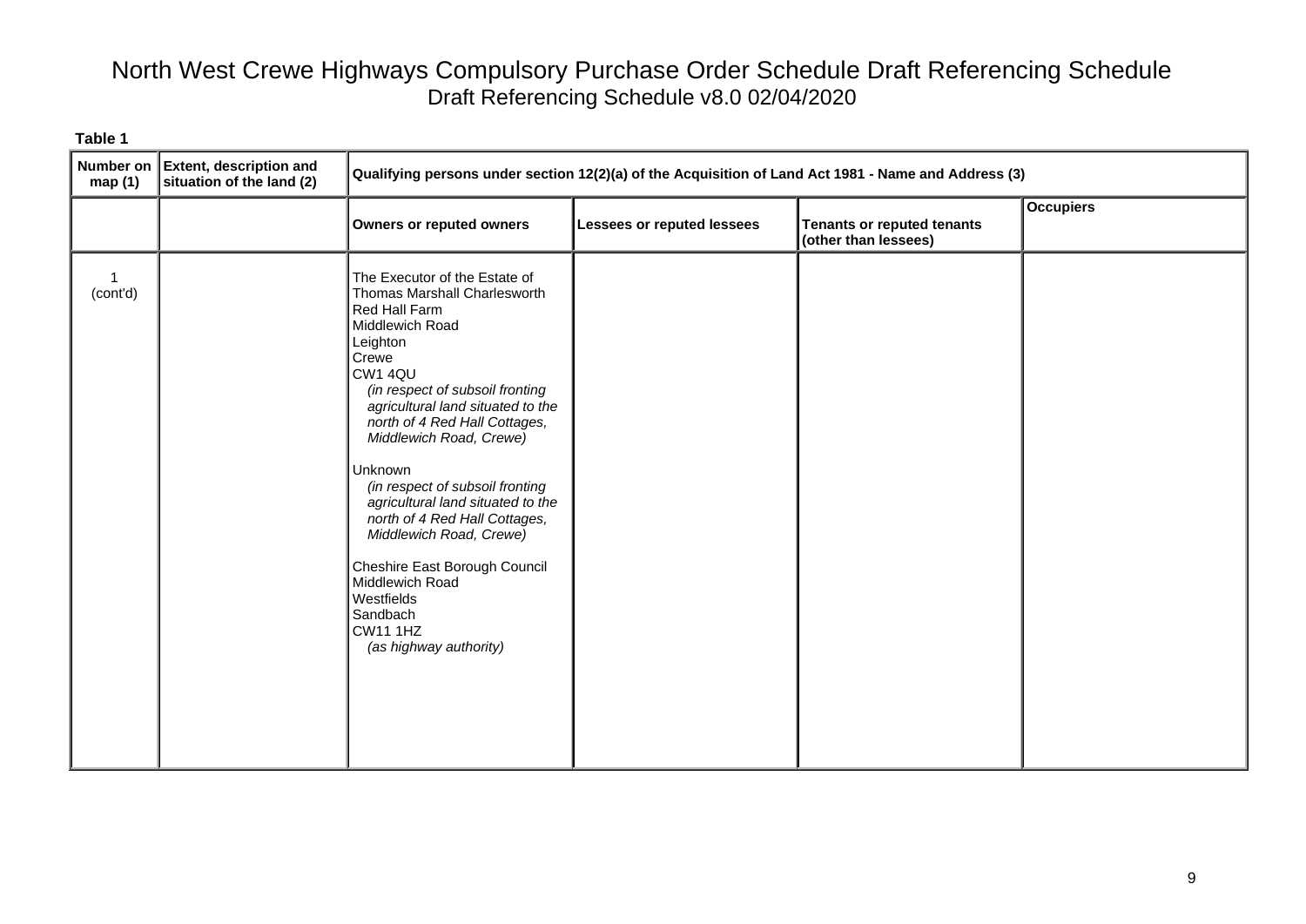| <b>Number on</b><br>map(1) | <b>Extent, description and</b><br>situation of the land (2) | Qualifying persons under section 12(2)(a) of the Acquisition of Land Act 1981 - Name and Address (3)                                                                                                                                                                                                                                                                                                                                                                                                                                            |                                   |                                                           |                  |
|----------------------------|-------------------------------------------------------------|-------------------------------------------------------------------------------------------------------------------------------------------------------------------------------------------------------------------------------------------------------------------------------------------------------------------------------------------------------------------------------------------------------------------------------------------------------------------------------------------------------------------------------------------------|-----------------------------------|-----------------------------------------------------------|------------------|
|                            |                                                             | Owners or reputed owners                                                                                                                                                                                                                                                                                                                                                                                                                                                                                                                        | <b>Lessees or reputed lessees</b> | <b>Tenants or reputed tenants</b><br>(other than lessees) | <b>Occupiers</b> |
| (cont'd)                   |                                                             | The Executor of the Estate of<br>Thomas Marshall Charlesworth<br>Red Hall Farm<br>Middlewich Road<br>Leighton<br>Crewe<br>CW1 4QU<br>(in respect of subsoil fronting<br>agricultural land situated to the<br>north of 4 Red Hall Cottages,<br>Middlewich Road, Crewe)<br>Unknown<br>(in respect of subsoil fronting<br>agricultural land situated to the<br>north of 4 Red Hall Cottages,<br>Middlewich Road, Crewe)<br>Cheshire East Borough Council<br>Middlewich Road<br>Westfields<br>Sandbach<br><b>CW11 1HZ</b><br>(as highway authority) |                                   |                                                           |                  |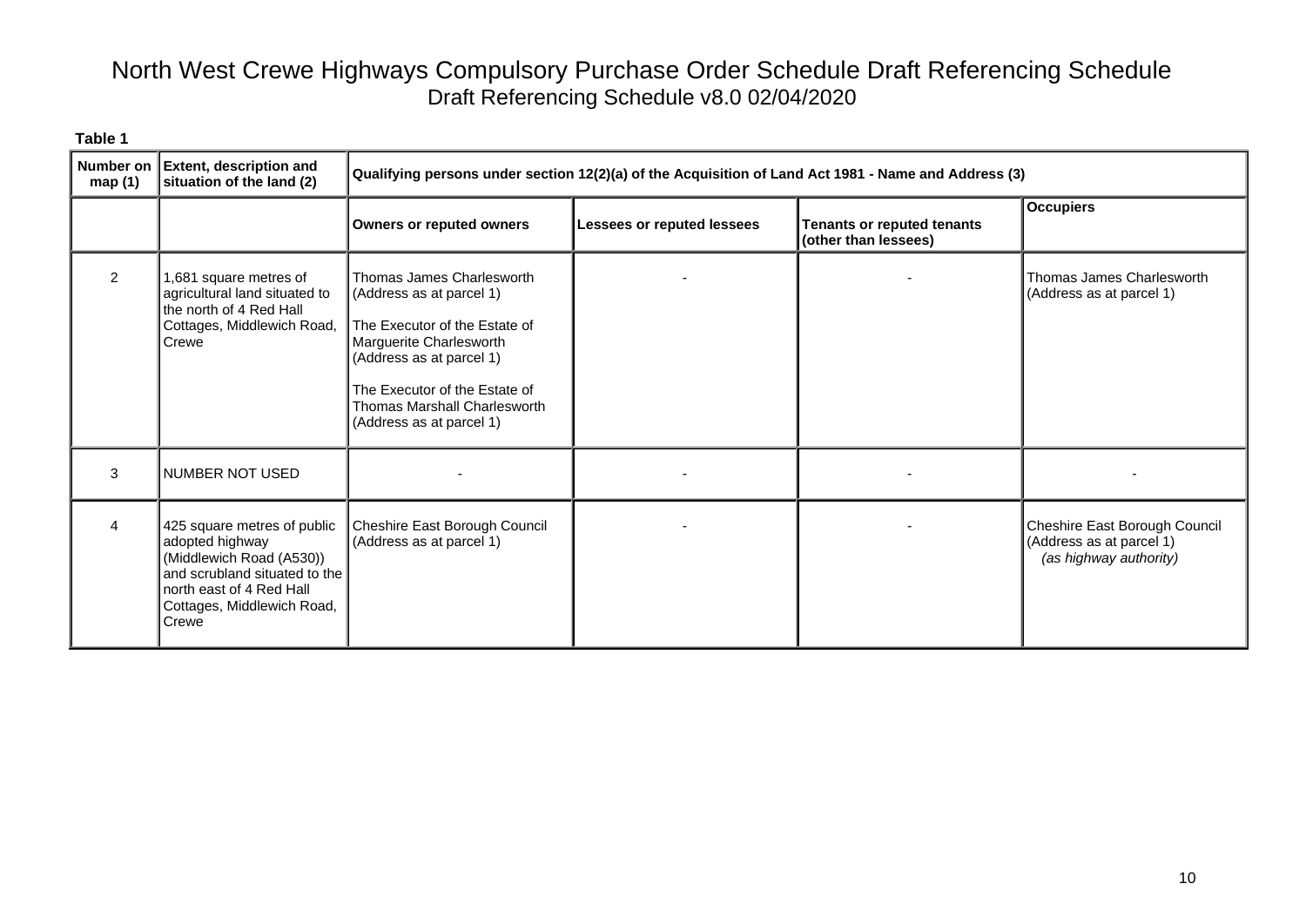| <b>Number on</b><br>map(1) | <b>Extent, description and</b><br>situation of the land (2)                                                                                                                    | Qualifying persons under section 12(2)(a) of the Acquisition of Land Act 1981 - Name and Address (3)                                                                                                                                       |                                   |                                                           |                                                                                     |
|----------------------------|--------------------------------------------------------------------------------------------------------------------------------------------------------------------------------|--------------------------------------------------------------------------------------------------------------------------------------------------------------------------------------------------------------------------------------------|-----------------------------------|-----------------------------------------------------------|-------------------------------------------------------------------------------------|
|                            |                                                                                                                                                                                | <b>Owners or reputed owners</b>                                                                                                                                                                                                            | <b>Lessees or reputed lessees</b> | <b>Tenants or reputed tenants</b><br>(other than lessees) | <b>Occupiers</b>                                                                    |
| $\mathcal{P}$              | 1,681 square metres of<br>agricultural land situated to<br>the north of 4 Red Hall<br>Cottages, Middlewich Road,<br>Crewe                                                      | Thomas James Charlesworth<br>(Address as at parcel 1)<br>The Executor of the Estate of<br>Marguerite Charlesworth<br>(Address as at parcel 1)<br>The Executor of the Estate of<br>Thomas Marshall Charlesworth<br>(Address as at parcel 1) |                                   |                                                           | Thomas James Charlesworth<br>(Address as at parcel 1)                               |
| 3                          | NUMBER NOT USED                                                                                                                                                                |                                                                                                                                                                                                                                            |                                   |                                                           |                                                                                     |
|                            | 425 square metres of public<br>adopted highway<br>(Middlewich Road (A530))<br>and scrubland situated to the<br>north east of 4 Red Hall<br>Cottages, Middlewich Road,<br>Crewe | Cheshire East Borough Council<br>(Address as at parcel 1)                                                                                                                                                                                  |                                   |                                                           | Cheshire East Borough Council<br>(Address as at parcel 1)<br>(as highway authority) |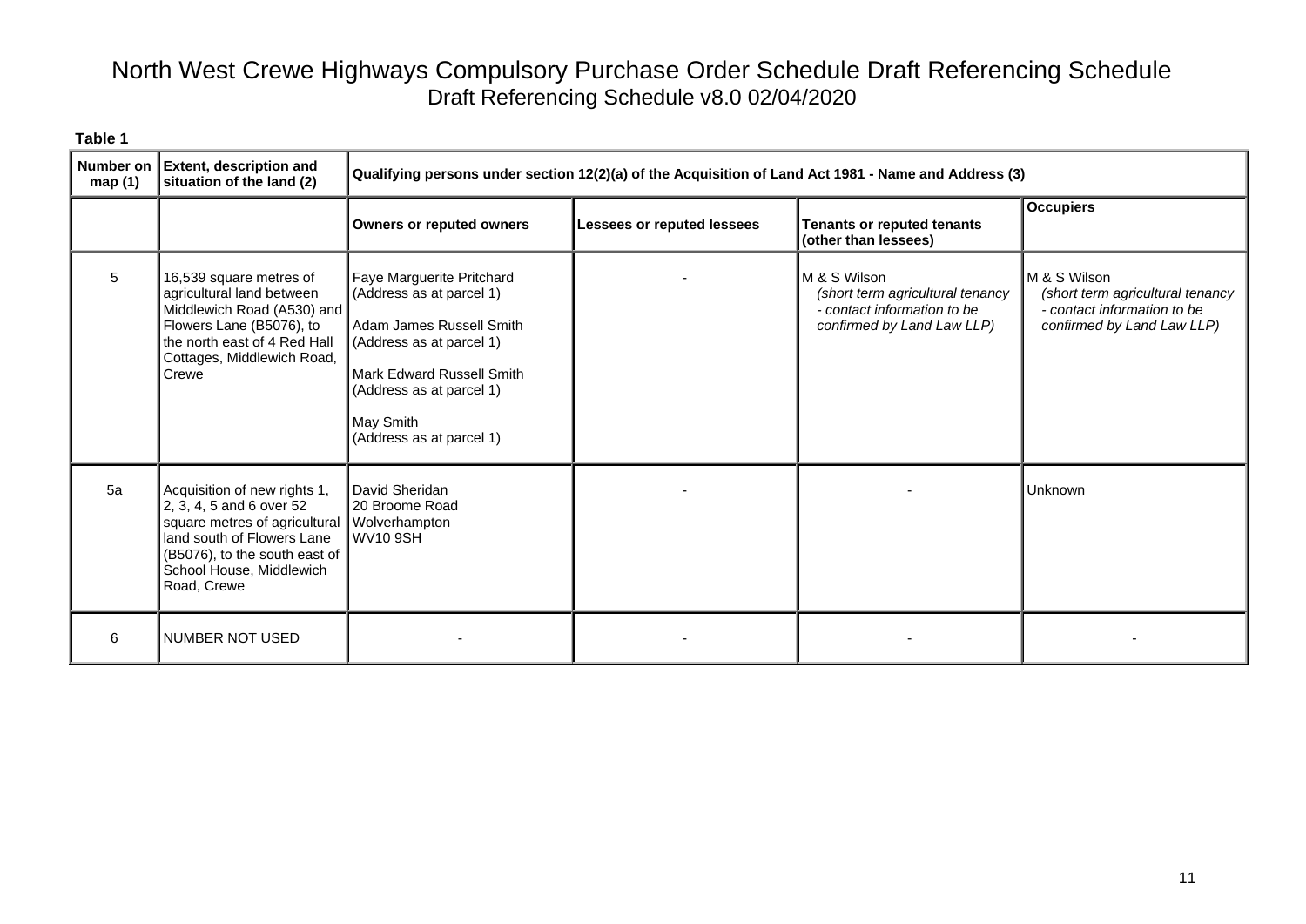| <b>Number on</b><br>map(1) | <b>Extent, description and</b><br>situation of the land (2)                                                                                                                                                 | Qualifying persons under section 12(2)(a) of the Acquisition of Land Act 1981 - Name and Address (3)                                                                                                            |                            |                                                                                                               |                                                                                                               |
|----------------------------|-------------------------------------------------------------------------------------------------------------------------------------------------------------------------------------------------------------|-----------------------------------------------------------------------------------------------------------------------------------------------------------------------------------------------------------------|----------------------------|---------------------------------------------------------------------------------------------------------------|---------------------------------------------------------------------------------------------------------------|
|                            |                                                                                                                                                                                                             | <b>Owners or reputed owners</b>                                                                                                                                                                                 | Lessees or reputed lessees | Tenants or reputed tenants<br>(other than lessees)                                                            | <b>Occupiers</b>                                                                                              |
| 5                          | 16,539 square metres of<br>agricultural land between<br>Middlewich Road (A530) and<br>Flowers Lane (B5076), to<br>the north east of 4 Red Hall<br>Cottages, Middlewich Road,<br>Crewe                       | Faye Marguerite Pritchard<br>(Address as at parcel 1)<br>Adam James Russell Smith<br>(Address as at parcel 1)<br>Mark Edward Russell Smith<br>(Address as at parcel 1)<br>May Smith<br>(Address as at parcel 1) |                            | M & S Wilson<br>(short term agricultural tenancy<br>- contact information to be<br>confirmed by Land Law LLP) | M & S Wilson<br>(short term agricultural tenancy<br>- contact information to be<br>confirmed by Land Law LLP) |
| 5a                         | Acquisition of new rights 1,<br>2, 3, 4, 5 and 6 over 52<br>square metres of agricultural<br>land south of Flowers Lane<br>(B5076), to the south east of $\vert$<br>School House, Middlewich<br>Road, Crewe | David Sheridan<br>20 Broome Road<br>Wolverhampton<br>WV10 9SH                                                                                                                                                   |                            |                                                                                                               | <b>Unknown</b>                                                                                                |
| 6                          | <b>NUMBER NOT USED</b>                                                                                                                                                                                      |                                                                                                                                                                                                                 |                            |                                                                                                               |                                                                                                               |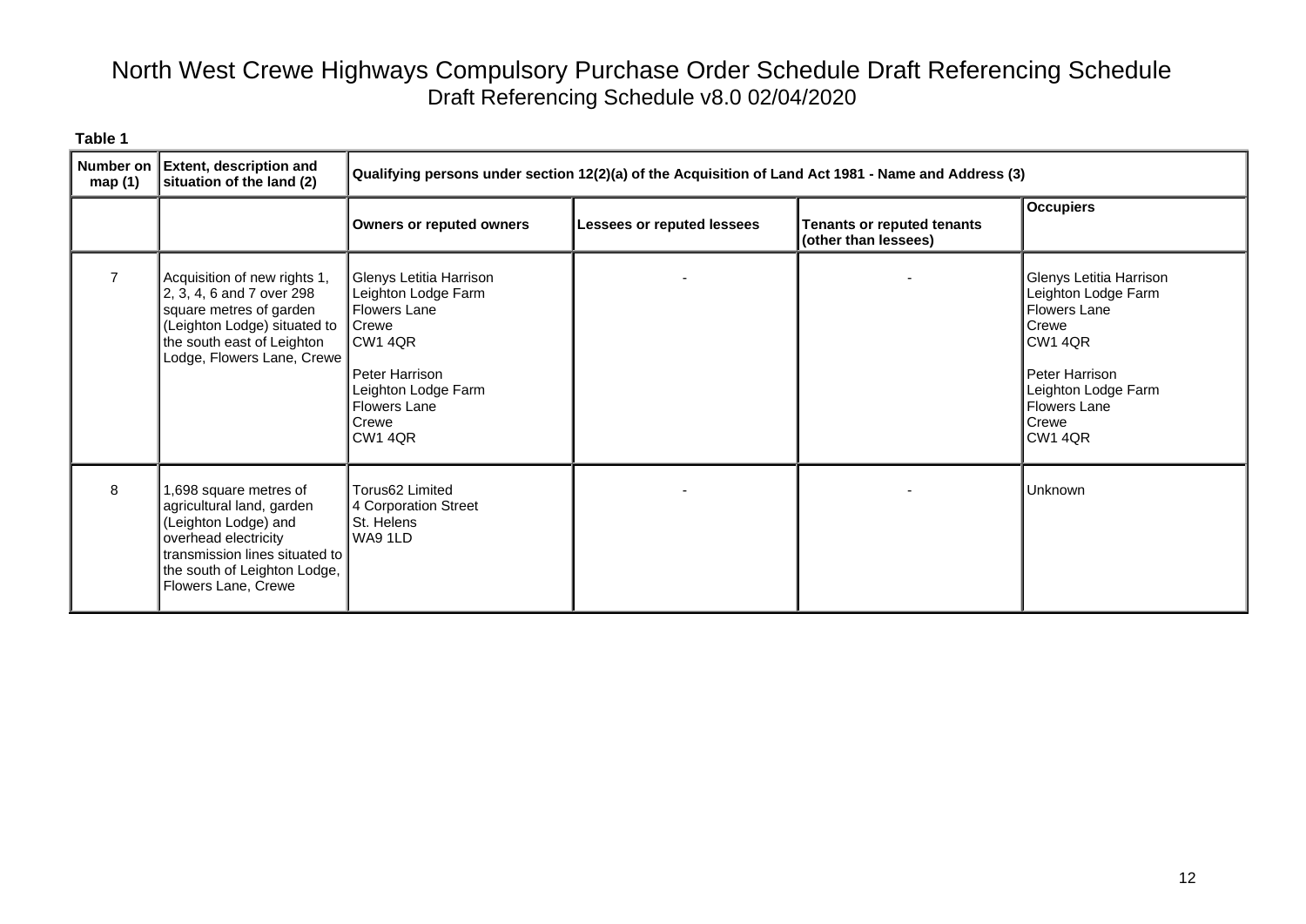| Number on<br>map $(1)$ | <b>Extent, description and</b><br>situation of the land (2)                                                                                                                                    | Qualifying persons under section 12(2)(a) of the Acquisition of Land Act 1981 - Name and Address (3)                                                                                 |                            |                                                           |                                                                                                                                                                        |
|------------------------|------------------------------------------------------------------------------------------------------------------------------------------------------------------------------------------------|--------------------------------------------------------------------------------------------------------------------------------------------------------------------------------------|----------------------------|-----------------------------------------------------------|------------------------------------------------------------------------------------------------------------------------------------------------------------------------|
|                        |                                                                                                                                                                                                | Owners or reputed owners                                                                                                                                                             | Lessees or reputed lessees | <b>Tenants or reputed tenants</b><br>(other than lessees) | <b>Occupiers</b>                                                                                                                                                       |
|                        | Acquisition of new rights 1,<br>2, 3, 4, 6 and 7 over 298<br>square metres of garden<br>(Leighton Lodge) situated to<br>the south east of Leighton<br>Lodge, Flowers Lane, Crewe               | Glenys Letitia Harrison<br>Leighton Lodge Farm<br><b>Flowers Lane</b><br><b>Crewe</b><br>CW1 4QR<br>Peter Harrison<br>Leighton Lodge Farm<br><b>Flowers Lane</b><br>Crewe<br>CW1 4QR |                            |                                                           | Glenys Letitia Harrison<br>Leighton Lodge Farm<br><b>Flowers Lane</b><br>Crewe<br>CW1 4QR<br>Peter Harrison<br>Leighton Lodge Farm<br>Flowers Lane<br>Crewe<br>CW1 4QR |
| 8                      | 1,698 square metres of<br>agricultural land, garden<br>(Leighton Lodge) and<br>overhead electricity<br>transmission lines situated to I<br>the south of Leighton Lodge,<br>Flowers Lane, Crewe | Torus62 Limited<br>4 Corporation Street<br>St. Helens<br>WA9 1LD                                                                                                                     |                            |                                                           | Unknown                                                                                                                                                                |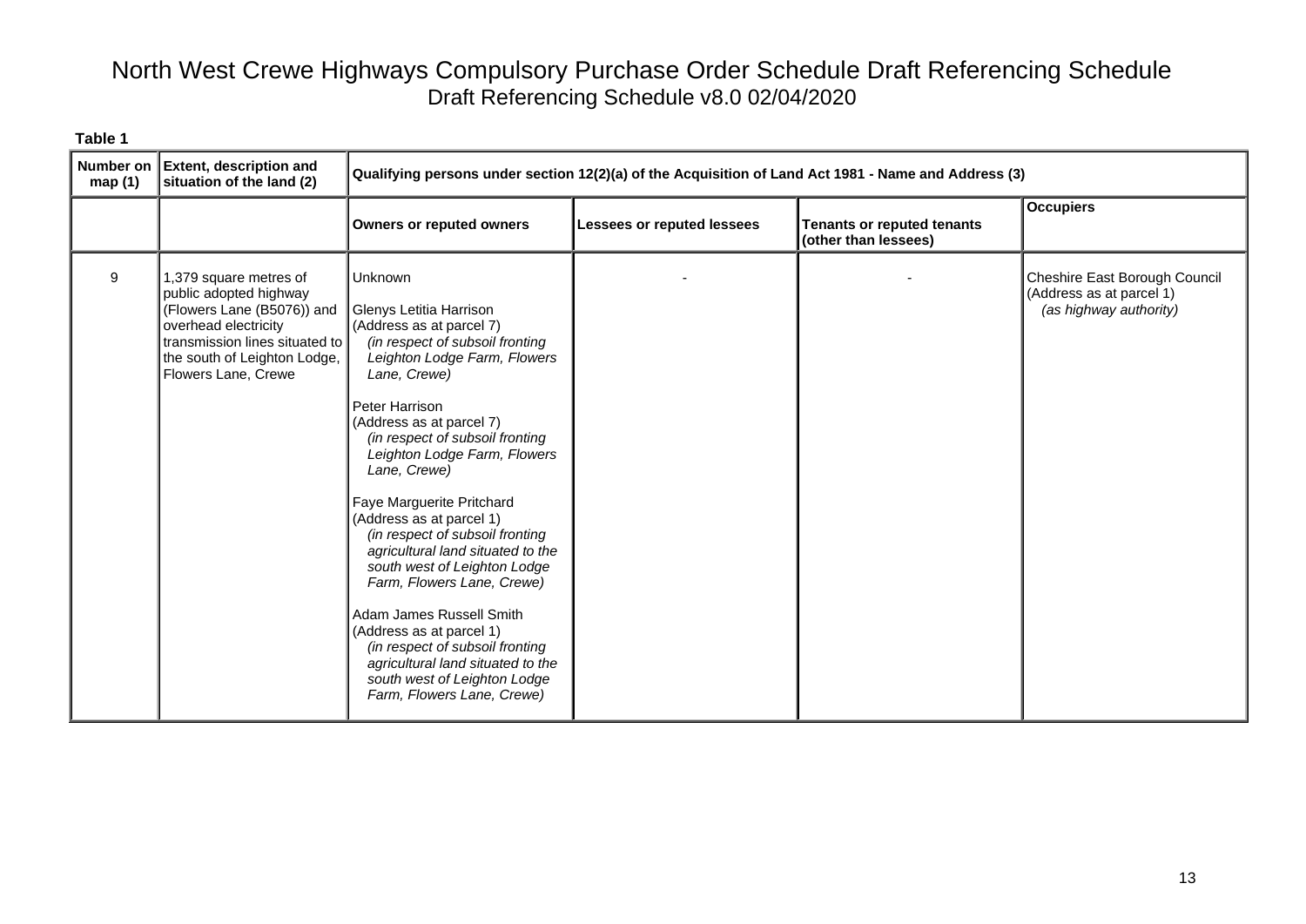| <b>Number on</b><br>map (1) | <b>Extent, description and</b><br>situation of the land (2)                                                                                                                                     | Qualifying persons under section 12(2)(a) of the Acquisition of Land Act 1981 - Name and Address (3)                                                                                                                                                                                                                                                                                                                                                                                                                                                                                                                                                                            |                            |                                                           |                                                                                     |
|-----------------------------|-------------------------------------------------------------------------------------------------------------------------------------------------------------------------------------------------|---------------------------------------------------------------------------------------------------------------------------------------------------------------------------------------------------------------------------------------------------------------------------------------------------------------------------------------------------------------------------------------------------------------------------------------------------------------------------------------------------------------------------------------------------------------------------------------------------------------------------------------------------------------------------------|----------------------------|-----------------------------------------------------------|-------------------------------------------------------------------------------------|
|                             |                                                                                                                                                                                                 | <b>Owners or reputed owners</b>                                                                                                                                                                                                                                                                                                                                                                                                                                                                                                                                                                                                                                                 | Lessees or reputed lessees | <b>Tenants or reputed tenants</b><br>(other than lessees) | <b>Occupiers</b>                                                                    |
| 9                           | 1,379 square metres of<br>public adopted highway<br>(Flowers Lane (B5076)) and<br>overhead electricity<br>transmission lines situated to<br>the south of Leighton Lodge,<br>Flowers Lane, Crewe | Unknown<br>Glenys Letitia Harrison<br>(Address as at parcel 7)<br>(in respect of subsoil fronting<br>Leighton Lodge Farm, Flowers<br>Lane, Crewe)<br>Peter Harrison<br>(Address as at parcel 7)<br>(in respect of subsoil fronting<br>Leighton Lodge Farm, Flowers<br>Lane, Crewe)<br>Faye Marguerite Pritchard<br>(Address as at parcel 1)<br>(in respect of subsoil fronting<br>agricultural land situated to the<br>south west of Leighton Lodge<br>Farm, Flowers Lane, Crewe)<br>Adam James Russell Smith<br>(Address as at parcel 1)<br>(in respect of subsoil fronting<br>agricultural land situated to the<br>south west of Leighton Lodge<br>Farm, Flowers Lane, Crewe) |                            |                                                           | Cheshire East Borough Council<br>(Address as at parcel 1)<br>(as highway authority) |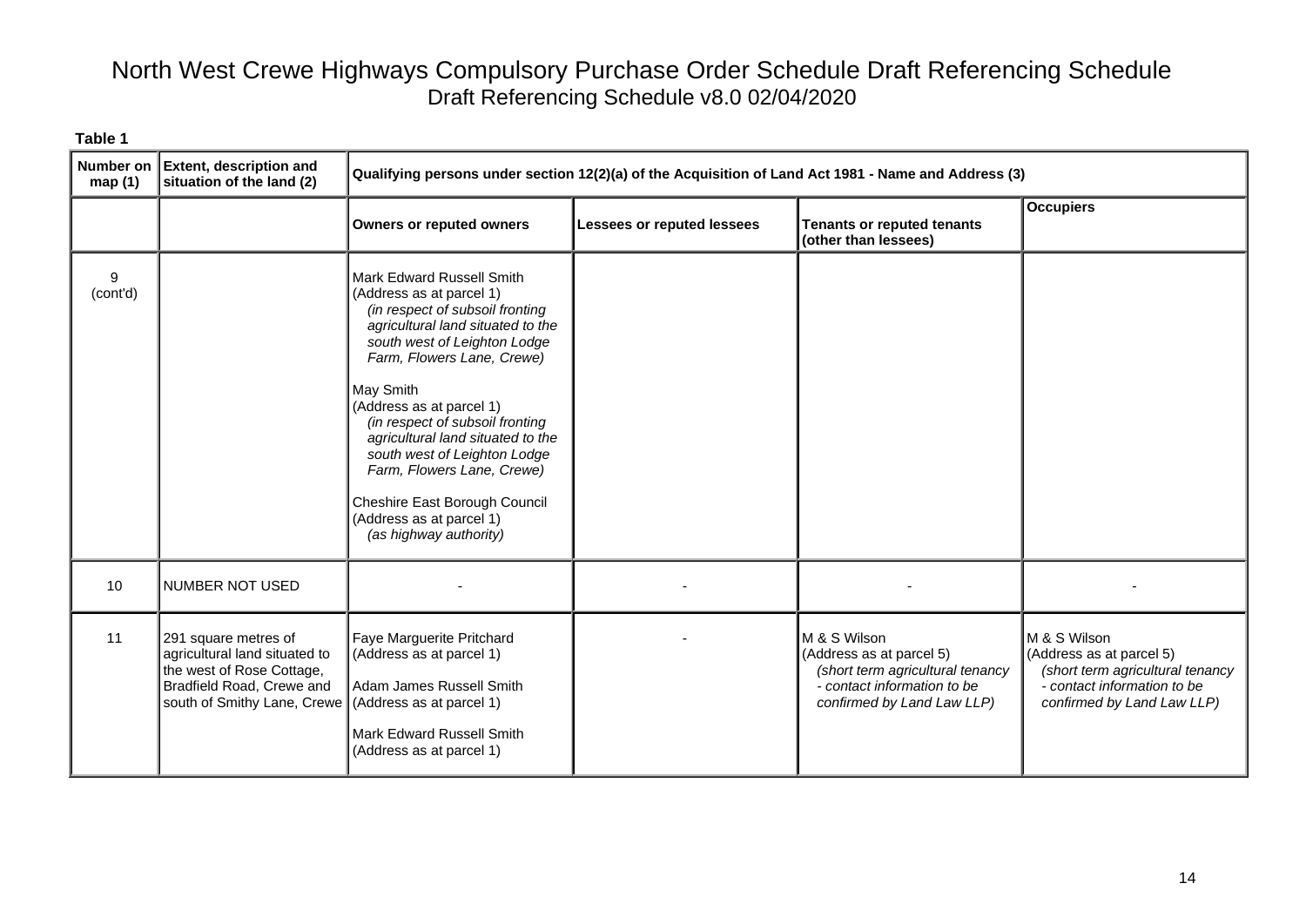| Number on<br>map(1) | <b>Extent, description and</b><br>situation of the land (2)                                                                                                             | Qualifying persons under section 12(2)(a) of the Acquisition of Land Act 1981 - Name and Address (3)                                                                                                                                                                                                                                                                                                                                                              |                            |                                                                                                                                           |                                                                                                                                           |
|---------------------|-------------------------------------------------------------------------------------------------------------------------------------------------------------------------|-------------------------------------------------------------------------------------------------------------------------------------------------------------------------------------------------------------------------------------------------------------------------------------------------------------------------------------------------------------------------------------------------------------------------------------------------------------------|----------------------------|-------------------------------------------------------------------------------------------------------------------------------------------|-------------------------------------------------------------------------------------------------------------------------------------------|
|                     |                                                                                                                                                                         | <b>Owners or reputed owners</b>                                                                                                                                                                                                                                                                                                                                                                                                                                   | Lessees or reputed lessees | <b>Tenants or reputed tenants</b><br>(other than lessees)                                                                                 | <b>Occupiers</b>                                                                                                                          |
| 9<br>(cont'd)       |                                                                                                                                                                         | Mark Edward Russell Smith<br>(Address as at parcel 1)<br>(in respect of subsoil fronting<br>agricultural land situated to the<br>south west of Leighton Lodge<br>Farm, Flowers Lane, Crewe)<br>May Smith<br>(Address as at parcel 1)<br>(in respect of subsoil fronting<br>agricultural land situated to the<br>south west of Leighton Lodge<br>Farm, Flowers Lane, Crewe)<br>Cheshire East Borough Council<br>(Address as at parcel 1)<br>(as highway authority) |                            |                                                                                                                                           |                                                                                                                                           |
| 10                  | NUMBER NOT USED                                                                                                                                                         |                                                                                                                                                                                                                                                                                                                                                                                                                                                                   |                            |                                                                                                                                           |                                                                                                                                           |
| 11                  | 291 square metres of<br>agricultural land situated to<br>the west of Rose Cottage,<br>Bradfield Road, Crewe and<br>south of Smithy Lane, Crewe (Address as at parcel 1) | Faye Marguerite Pritchard<br>(Address as at parcel 1)<br>Adam James Russell Smith<br>Mark Edward Russell Smith<br>(Address as at parcel 1)                                                                                                                                                                                                                                                                                                                        |                            | M & S Wilson<br>(Address as at parcel 5)<br>(short term agricultural tenancy<br>- contact information to be<br>confirmed by Land Law LLP) | M & S Wilson<br>(Address as at parcel 5)<br>(short term agricultural tenancy<br>- contact information to be<br>confirmed by Land Law LLP) |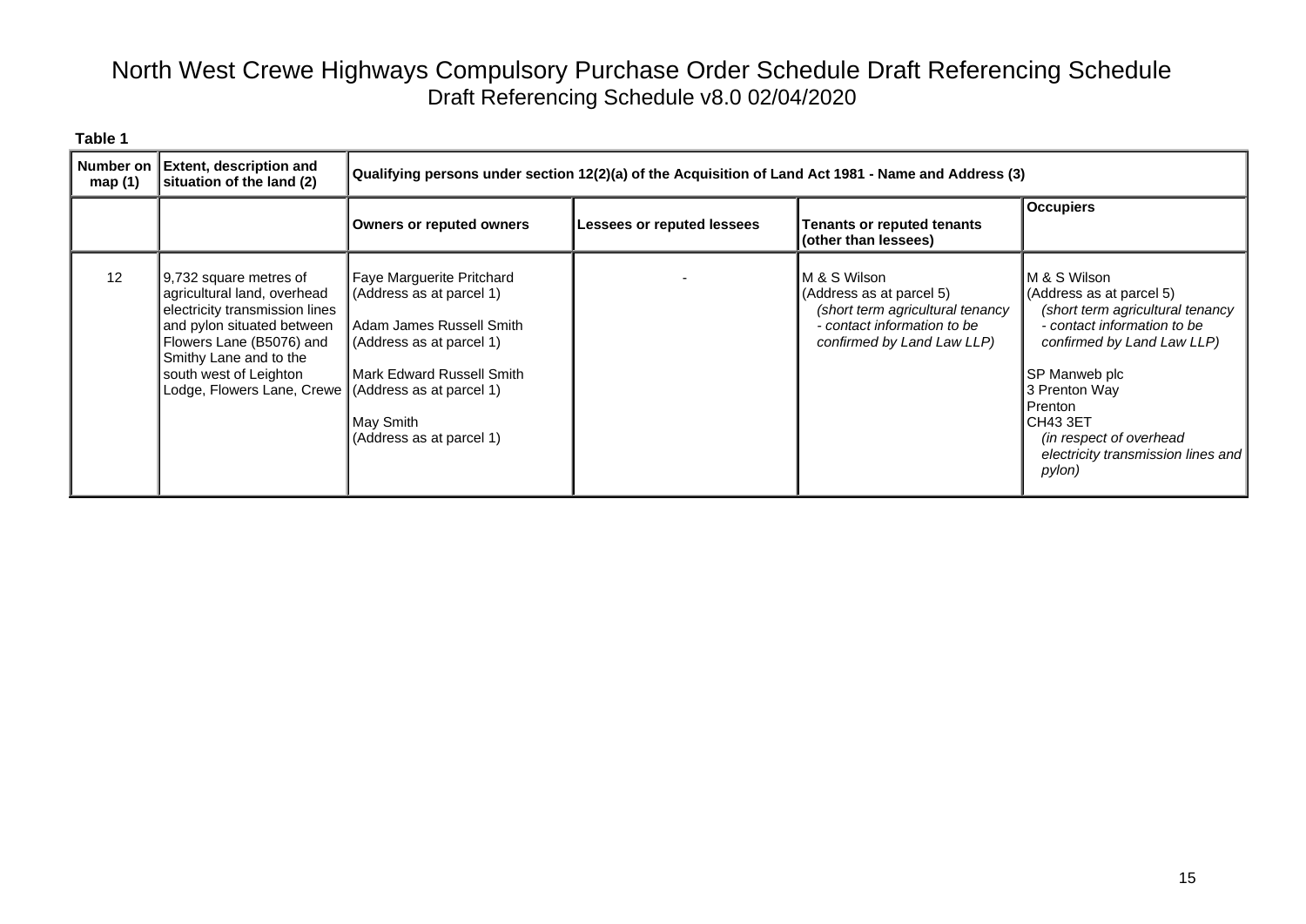| Number on<br>map (1) | <b>Extent, description and</b><br>situation of the land (2)                                                                                                                                                                                                  | Qualifying persons under section 12(2)(a) of the Acquisition of Land Act 1981 - Name and Address (3)                                                                                  |                            |                                                                                                                                           |                                                                                                                                                                                                                                                                                       |  |
|----------------------|--------------------------------------------------------------------------------------------------------------------------------------------------------------------------------------------------------------------------------------------------------------|---------------------------------------------------------------------------------------------------------------------------------------------------------------------------------------|----------------------------|-------------------------------------------------------------------------------------------------------------------------------------------|---------------------------------------------------------------------------------------------------------------------------------------------------------------------------------------------------------------------------------------------------------------------------------------|--|
|                      |                                                                                                                                                                                                                                                              | <b>Owners or reputed owners</b>                                                                                                                                                       | Lessees or reputed lessees | <b>Tenants or reputed tenants</b><br>(other than lessees)                                                                                 | <b>Occupiers</b>                                                                                                                                                                                                                                                                      |  |
| 12                   | 9,732 square metres of<br>agricultural land, overhead<br>electricity transmission lines<br>and pylon situated between<br>Flowers Lane (B5076) and<br>Smithy Lane and to the<br>south west of Leighton<br>Lodge, Flowers Lane, Crewe (Address as at parcel 1) | Faye Marguerite Pritchard<br>(Address as at parcel 1)<br>Adam James Russell Smith<br>(Address as at parcel 1)<br>l Mark Edward Russell Smith<br>May Smith<br>(Address as at parcel 1) |                            | M & S Wilson<br>(Address as at parcel 5)<br>(short term agricultural tenancy<br>- contact information to be<br>confirmed by Land Law LLP) | M & S Wilson<br>(Address as at parcel 5)<br>(short term agricultural tenancy<br>- contact information to be<br>confirmed by Land Law LLP)<br>SP Manweb plc<br>3 Prenton Way<br>Prenton<br><b>CH43 3ET</b><br>(in respect of overhead)<br>electricity transmission lines and<br>pylon) |  |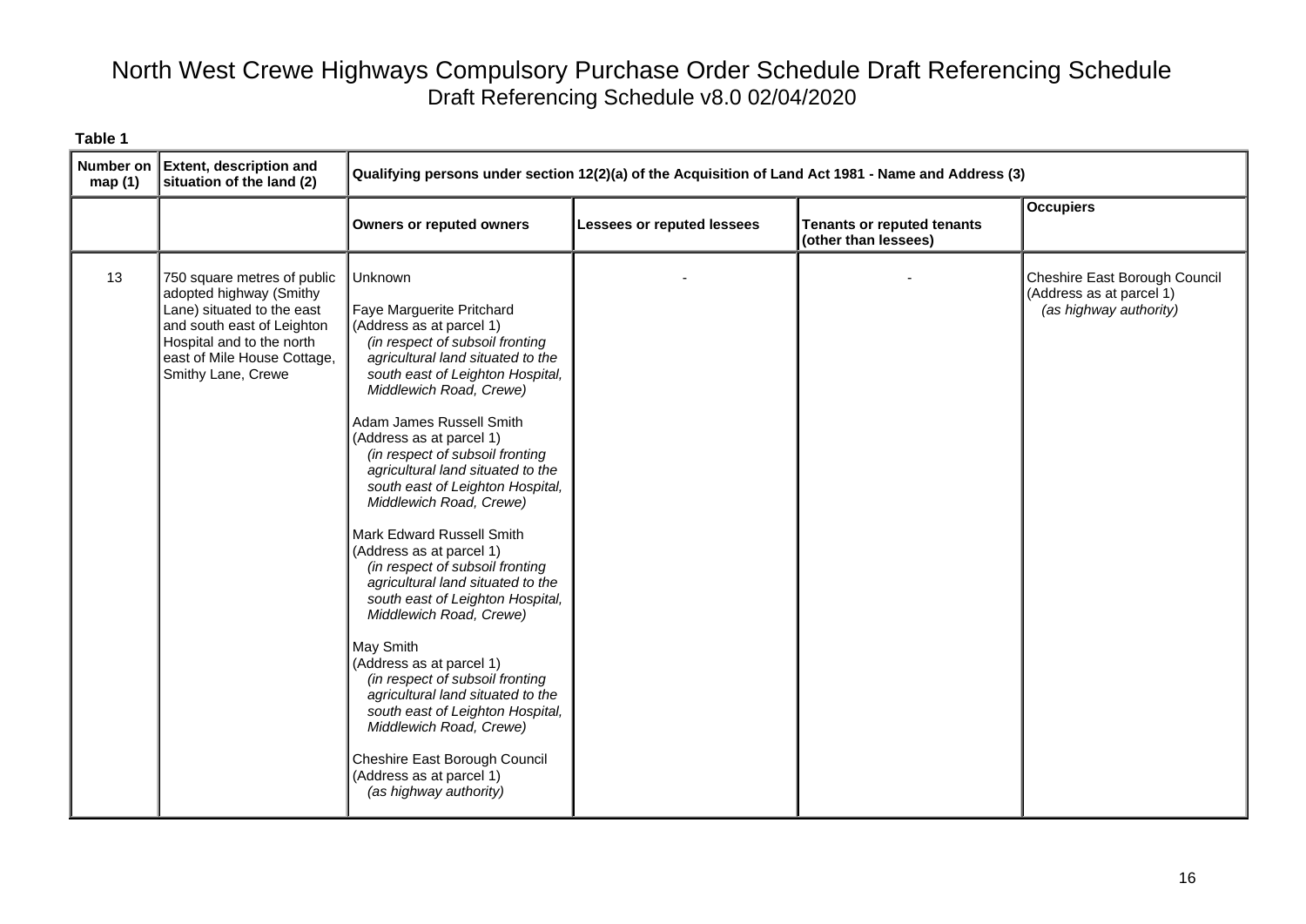| Number on<br>map(1) | <b>Extent, description and</b><br>situation of the land (2)                                                                                                                                          | Qualifying persons under section 12(2)(a) of the Acquisition of Land Act 1981 - Name and Address (3)                                                                                                                                                                                                                                                                                                                                                                                                                                                                                                                                                                                                                                                                                                                                                                                 |                            |                                                           |                                                                                     |
|---------------------|------------------------------------------------------------------------------------------------------------------------------------------------------------------------------------------------------|--------------------------------------------------------------------------------------------------------------------------------------------------------------------------------------------------------------------------------------------------------------------------------------------------------------------------------------------------------------------------------------------------------------------------------------------------------------------------------------------------------------------------------------------------------------------------------------------------------------------------------------------------------------------------------------------------------------------------------------------------------------------------------------------------------------------------------------------------------------------------------------|----------------------------|-----------------------------------------------------------|-------------------------------------------------------------------------------------|
|                     |                                                                                                                                                                                                      | <b>Owners or reputed owners</b>                                                                                                                                                                                                                                                                                                                                                                                                                                                                                                                                                                                                                                                                                                                                                                                                                                                      | Lessees or reputed lessees | <b>Tenants or reputed tenants</b><br>(other than lessees) | <b>Occupiers</b>                                                                    |
| 13                  | 750 square metres of public<br>adopted highway (Smithy<br>Lane) situated to the east<br>and south east of Leighton<br>Hospital and to the north<br>east of Mile House Cottage,<br>Smithy Lane, Crewe | <b>Unknown</b><br>Faye Marguerite Pritchard<br>(Address as at parcel 1)<br>(in respect of subsoil fronting<br>agricultural land situated to the<br>south east of Leighton Hospital,<br>Middlewich Road, Crewe)<br>Adam James Russell Smith<br>(Address as at parcel 1)<br>(in respect of subsoil fronting<br>agricultural land situated to the<br>south east of Leighton Hospital,<br>Middlewich Road, Crewe)<br>Mark Edward Russell Smith<br>(Address as at parcel 1)<br>(in respect of subsoil fronting<br>agricultural land situated to the<br>south east of Leighton Hospital,<br>Middlewich Road, Crewe)<br>May Smith<br>(Address as at parcel 1)<br>(in respect of subsoil fronting<br>agricultural land situated to the<br>south east of Leighton Hospital,<br>Middlewich Road, Crewe)<br>Cheshire East Borough Council<br>(Address as at parcel 1)<br>(as highway authority) |                            |                                                           | Cheshire East Borough Council<br>(Address as at parcel 1)<br>(as highway authority) |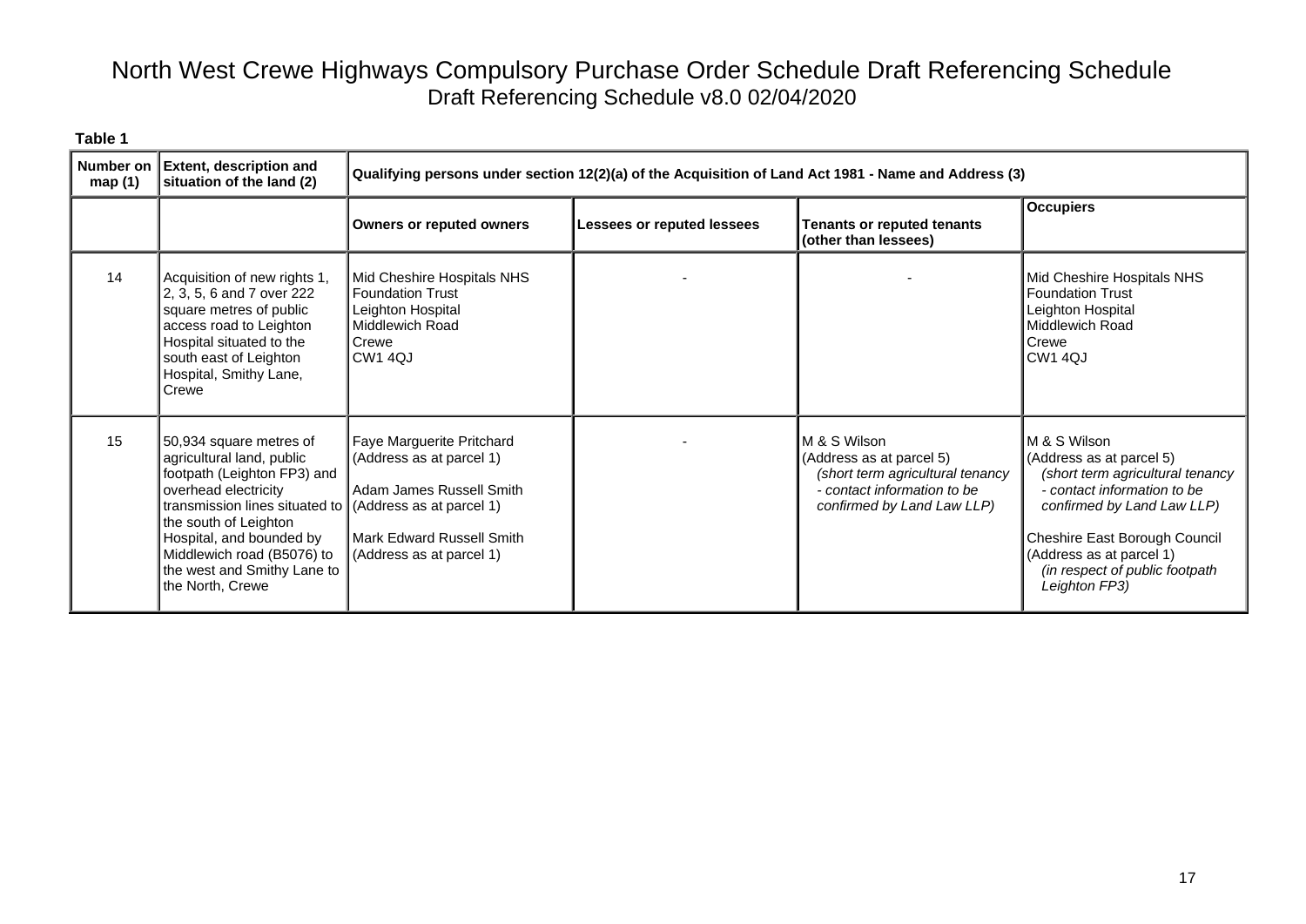| Number on<br>map(1) | <b>Extent, description and</b><br>situation of the land (2)                                                                                                                                                                                                                                                    |                                                                                                                                            | Qualifying persons under section 12(2)(a) of the Acquisition of Land Act 1981 - Name and Address (3) |                                                                                                                                           |                                                                                                                                                                                                                                                           |  |  |
|---------------------|----------------------------------------------------------------------------------------------------------------------------------------------------------------------------------------------------------------------------------------------------------------------------------------------------------------|--------------------------------------------------------------------------------------------------------------------------------------------|------------------------------------------------------------------------------------------------------|-------------------------------------------------------------------------------------------------------------------------------------------|-----------------------------------------------------------------------------------------------------------------------------------------------------------------------------------------------------------------------------------------------------------|--|--|
|                     |                                                                                                                                                                                                                                                                                                                | <b>Owners or reputed owners</b>                                                                                                            | <b>Lessees or reputed lessees</b>                                                                    | <b>Tenants or reputed tenants</b><br>(other than lessees)                                                                                 | <b>Occupiers</b>                                                                                                                                                                                                                                          |  |  |
| 14                  | Acquisition of new rights 1,<br>2, 3, 5, 6 and 7 over 222<br>square metres of public<br>access road to Leighton<br>Hospital situated to the<br>south east of Leighton<br>Hospital, Smithy Lane,<br>Crewe                                                                                                       | Mid Cheshire Hospitals NHS<br><b>Foundation Trust</b><br>Leighton Hospital<br>Middlewich Road<br>Crewe<br><b>CW1 4QJ</b>                   |                                                                                                      |                                                                                                                                           | Mid Cheshire Hospitals NHS<br><b>Foundation Trust</b><br>Leighton Hospital<br>Middlewich Road<br>Crewe<br><b>CW1 4QJ</b>                                                                                                                                  |  |  |
| 15                  | 50,934 square metres of<br>agricultural land, public<br>footpath (Leighton FP3) and<br>overhead electricity<br>transmission lines situated to   (Address as at parcel 1)<br>the south of Leighton<br>Hospital, and bounded by<br>Middlewich road (B5076) to<br>the west and Smithy Lane to<br>the North, Crewe | Faye Marguerite Pritchard<br>(Address as at parcel 1)<br>Adam James Russell Smith<br>Mark Edward Russell Smith<br>(Address as at parcel 1) |                                                                                                      | M & S Wilson<br>(Address as at parcel 5)<br>(short term agricultural tenancy<br>- contact information to be<br>confirmed by Land Law LLP) | M & S Wilson<br>(Address as at parcel 5)<br>(short term agricultural tenancy<br>- contact information to be<br>confirmed by Land Law LLP)<br>Cheshire East Borough Council<br>(Address as at parcel 1)<br>(in respect of public footpath<br>Leighton FP3) |  |  |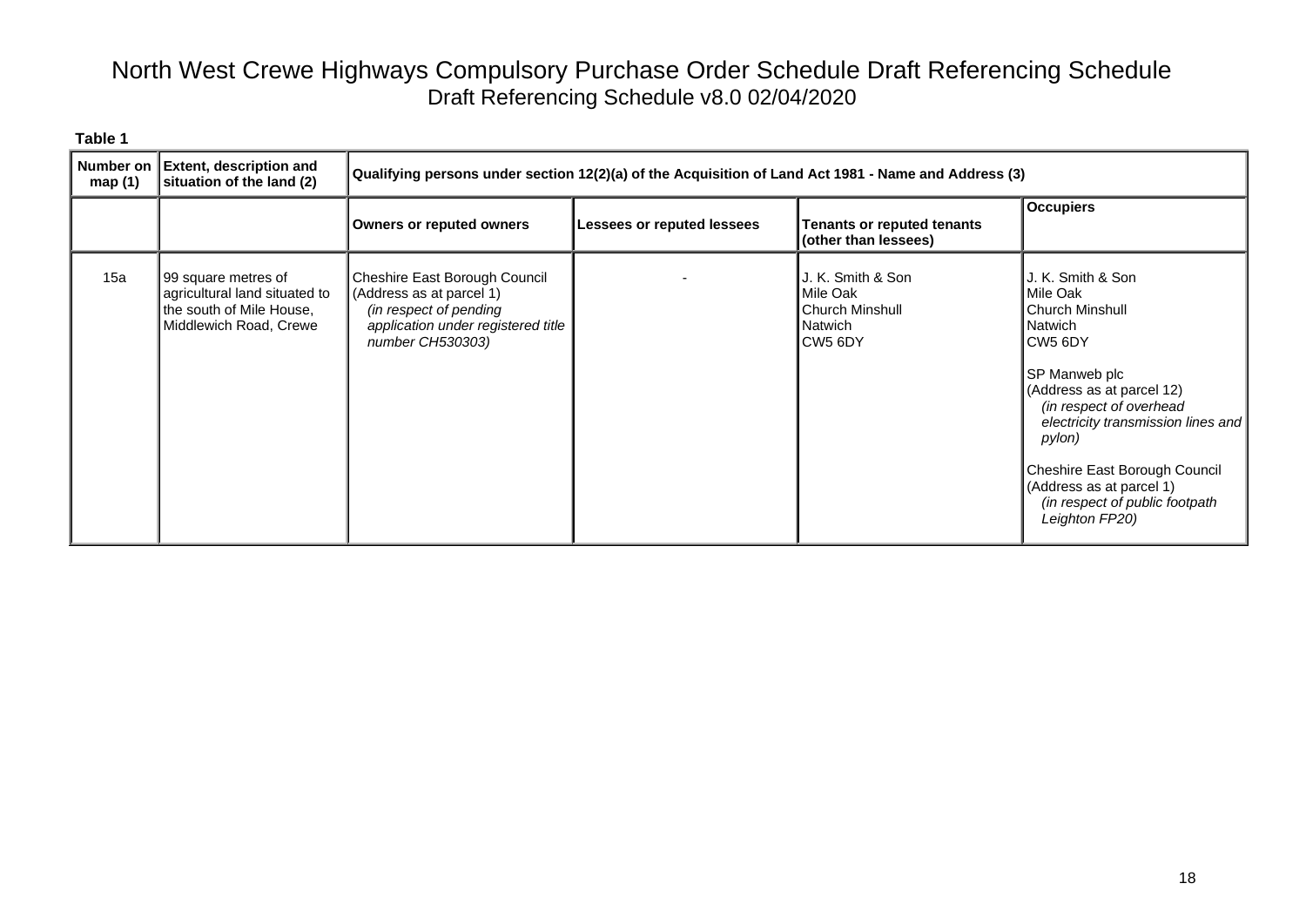| map $(1)$ | Number on Extent, description and<br>situation of the land (2)                                             | Qualifying persons under section 12(2)(a) of the Acquisition of Land Act 1981 - Name and Address (3)                                          |                            |                                                                                           |                                                                                                                                                                                                                                                                                                                                            |  |  |
|-----------|------------------------------------------------------------------------------------------------------------|-----------------------------------------------------------------------------------------------------------------------------------------------|----------------------------|-------------------------------------------------------------------------------------------|--------------------------------------------------------------------------------------------------------------------------------------------------------------------------------------------------------------------------------------------------------------------------------------------------------------------------------------------|--|--|
|           |                                                                                                            | <b>Owners or reputed owners</b>                                                                                                               | Lessees or reputed lessees | <b>Tenants or reputed tenants</b><br>(other than lessees)                                 | <b>Occupiers</b>                                                                                                                                                                                                                                                                                                                           |  |  |
| 15a       | 99 square metres of<br>agricultural land situated to<br>the south of Mile House,<br>Middlewich Road, Crewe | Cheshire East Borough Council<br>(Address as at parcel 1)<br>(in respect of pending<br>application under registered title<br>number CH530303) |                            | J. K. Smith & Son<br>Mile Oak<br><b>Church Minshull</b><br>Natwich<br>CW <sub>5</sub> 6DY | J. K. Smith & Son<br>Mile Oak<br><b>Church Minshull</b><br><b>Natwich</b><br>CW <sub>5</sub> 6DY<br>SP Manweb plc<br>(Address as at parcel 12)<br>(in respect of overhead<br>electricity transmission lines and<br>pylon)<br>Cheshire East Borough Council<br>(Address as at parcel 1)<br>(in respect of public footpath<br>Leighton FP20) |  |  |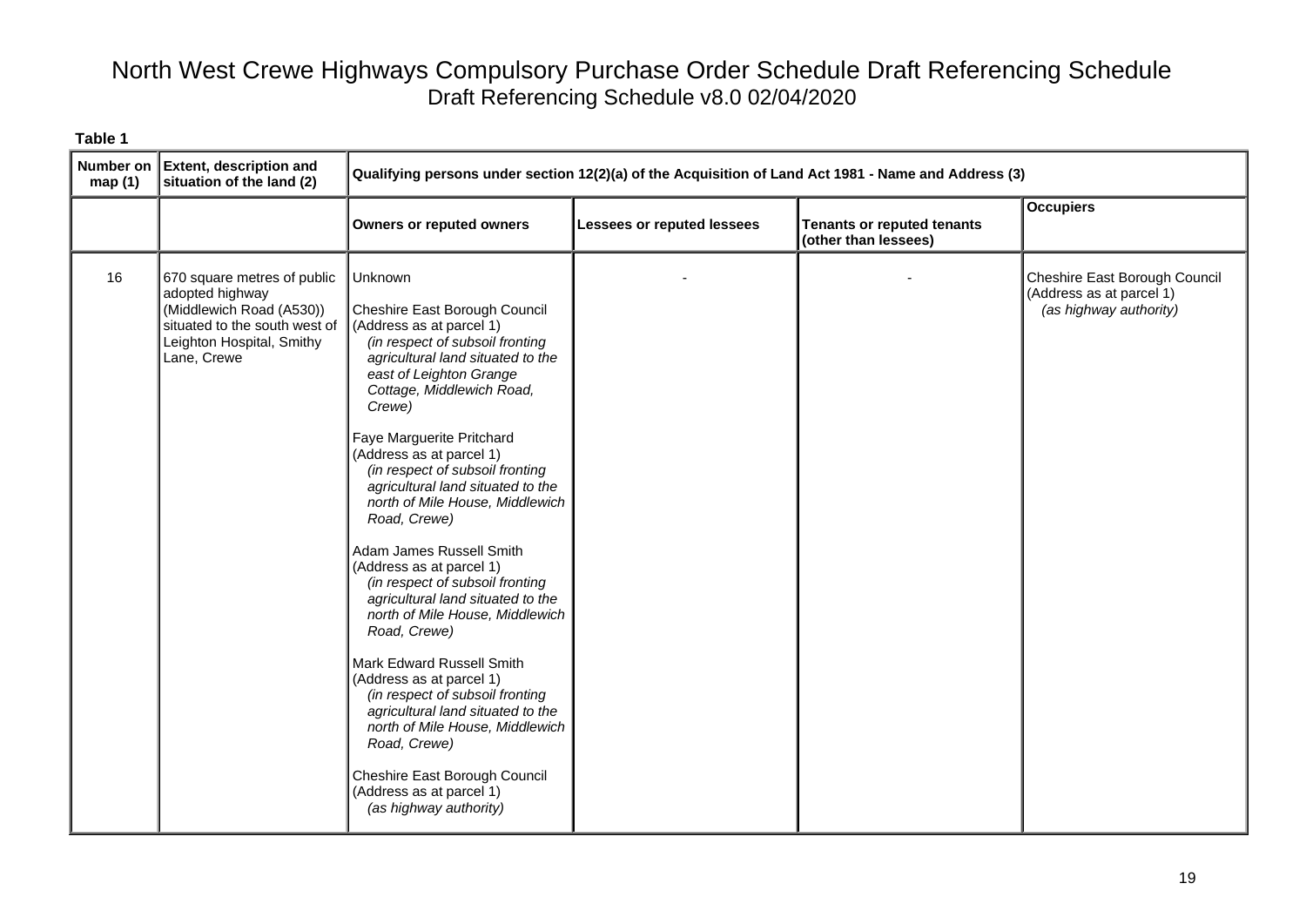| <b>Number on</b><br>map(1) | <b>Extent, description and</b><br>situation of the land (2)                                                                                             | Qualifying persons under section 12(2)(a) of the Acquisition of Land Act 1981 - Name and Address (3)                                                                                                                                                                                                                                                                                                                                                                                                                                                                                                                                                                                                                                                                                                                                                             |                            |                                                           |                                                                                     |
|----------------------------|---------------------------------------------------------------------------------------------------------------------------------------------------------|------------------------------------------------------------------------------------------------------------------------------------------------------------------------------------------------------------------------------------------------------------------------------------------------------------------------------------------------------------------------------------------------------------------------------------------------------------------------------------------------------------------------------------------------------------------------------------------------------------------------------------------------------------------------------------------------------------------------------------------------------------------------------------------------------------------------------------------------------------------|----------------------------|-----------------------------------------------------------|-------------------------------------------------------------------------------------|
|                            |                                                                                                                                                         | <b>Owners or reputed owners</b>                                                                                                                                                                                                                                                                                                                                                                                                                                                                                                                                                                                                                                                                                                                                                                                                                                  | Lessees or reputed lessees | <b>Tenants or reputed tenants</b><br>(other than lessees) | <b>Occupiers</b>                                                                    |
| 16                         | 670 square metres of public<br>adopted highway<br>(Middlewich Road (A530))<br>situated to the south west of<br>Leighton Hospital, Smithy<br>Lane, Crewe | Unknown<br>Cheshire East Borough Council<br>(Address as at parcel 1)<br>(in respect of subsoil fronting<br>agricultural land situated to the<br>east of Leighton Grange<br>Cottage, Middlewich Road,<br>Crewe)<br>Faye Marguerite Pritchard<br>(Address as at parcel 1)<br>(in respect of subsoil fronting<br>agricultural land situated to the<br>north of Mile House, Middlewich<br>Road, Crewe)<br>Adam James Russell Smith<br>(Address as at parcel 1)<br>(in respect of subsoil fronting<br>agricultural land situated to the<br>north of Mile House, Middlewich<br>Road, Crewe)<br>Mark Edward Russell Smith<br>(Address as at parcel 1)<br>(in respect of subsoil fronting<br>agricultural land situated to the<br>north of Mile House, Middlewich<br>Road, Crewe)<br>Cheshire East Borough Council<br>(Address as at parcel 1)<br>(as highway authority) |                            |                                                           | Cheshire East Borough Council<br>(Address as at parcel 1)<br>(as highway authority) |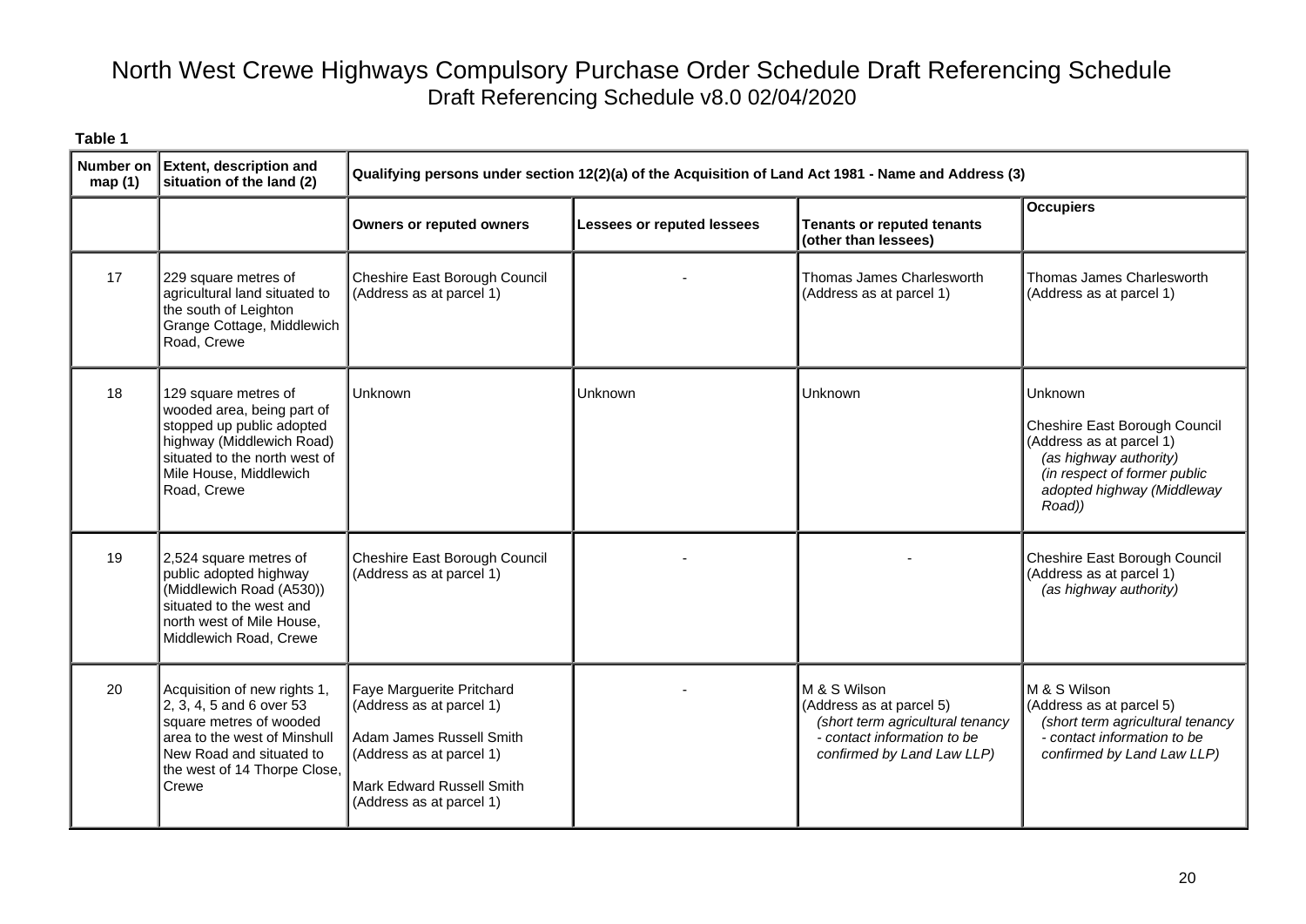| Number on<br>map(1) | <b>Extent, description and</b><br>situation of the land (2)                                                                                                                              |                                                                                                                                                                        | Qualifying persons under section 12(2)(a) of the Acquisition of Land Act 1981 - Name and Address (3) |                                                                                                                                           |                                                                                                                                                                               |  |  |
|---------------------|------------------------------------------------------------------------------------------------------------------------------------------------------------------------------------------|------------------------------------------------------------------------------------------------------------------------------------------------------------------------|------------------------------------------------------------------------------------------------------|-------------------------------------------------------------------------------------------------------------------------------------------|-------------------------------------------------------------------------------------------------------------------------------------------------------------------------------|--|--|
|                     |                                                                                                                                                                                          | <b>Owners or reputed owners</b>                                                                                                                                        | <b>Lessees or reputed lessees</b>                                                                    | <b>Tenants or reputed tenants</b><br>(other than lessees)                                                                                 | <b>Occupiers</b>                                                                                                                                                              |  |  |
| 17                  | 229 square metres of<br>agricultural land situated to<br>the south of Leighton<br>Grange Cottage, Middlewich<br>Road, Crewe                                                              | Cheshire East Borough Council<br>(Address as at parcel 1)                                                                                                              |                                                                                                      | Thomas James Charlesworth<br>(Address as at parcel 1)                                                                                     | Thomas James Charlesworth<br>(Address as at parcel 1)                                                                                                                         |  |  |
| 18                  | 129 square metres of<br>wooded area, being part of<br>stopped up public adopted<br>highway (Middlewich Road)<br>situated to the north west of<br>Mile House, Middlewich<br>Road, Crewe   | Unknown                                                                                                                                                                | Unknown                                                                                              | Unknown                                                                                                                                   | <b>Unknown</b><br>Cheshire East Borough Council<br>(Address as at parcel 1)<br>(as highway authority)<br>(in respect of former public<br>adopted highway (Middleway<br>Road)) |  |  |
| 19                  | 2,524 square metres of<br>public adopted highway<br>(Middlewich Road (A530))<br>situated to the west and<br>north west of Mile House,<br>Middlewich Road, Crewe                          | Cheshire East Borough Council<br>(Address as at parcel 1)                                                                                                              |                                                                                                      |                                                                                                                                           | Cheshire East Borough Council<br>(Address as at parcel 1)<br>(as highway authority)                                                                                           |  |  |
| 20                  | Acquisition of new rights 1,<br>2, 3, 4, 5 and 6 over 53<br>square metres of wooded<br>area to the west of Minshull<br>New Road and situated to<br>the west of 14 Thorpe Close,<br>Crewe | Faye Marguerite Pritchard<br>(Address as at parcel 1)<br>Adam James Russell Smith<br>(Address as at parcel 1)<br>Mark Edward Russell Smith<br>(Address as at parcel 1) |                                                                                                      | M & S Wilson<br>(Address as at parcel 5)<br>(short term agricultural tenancy<br>- contact information to be<br>confirmed by Land Law LLP) | M & S Wilson<br>(Address as at parcel 5)<br>(short term agricultural tenancy<br>- contact information to be<br>confirmed by Land Law LLP)                                     |  |  |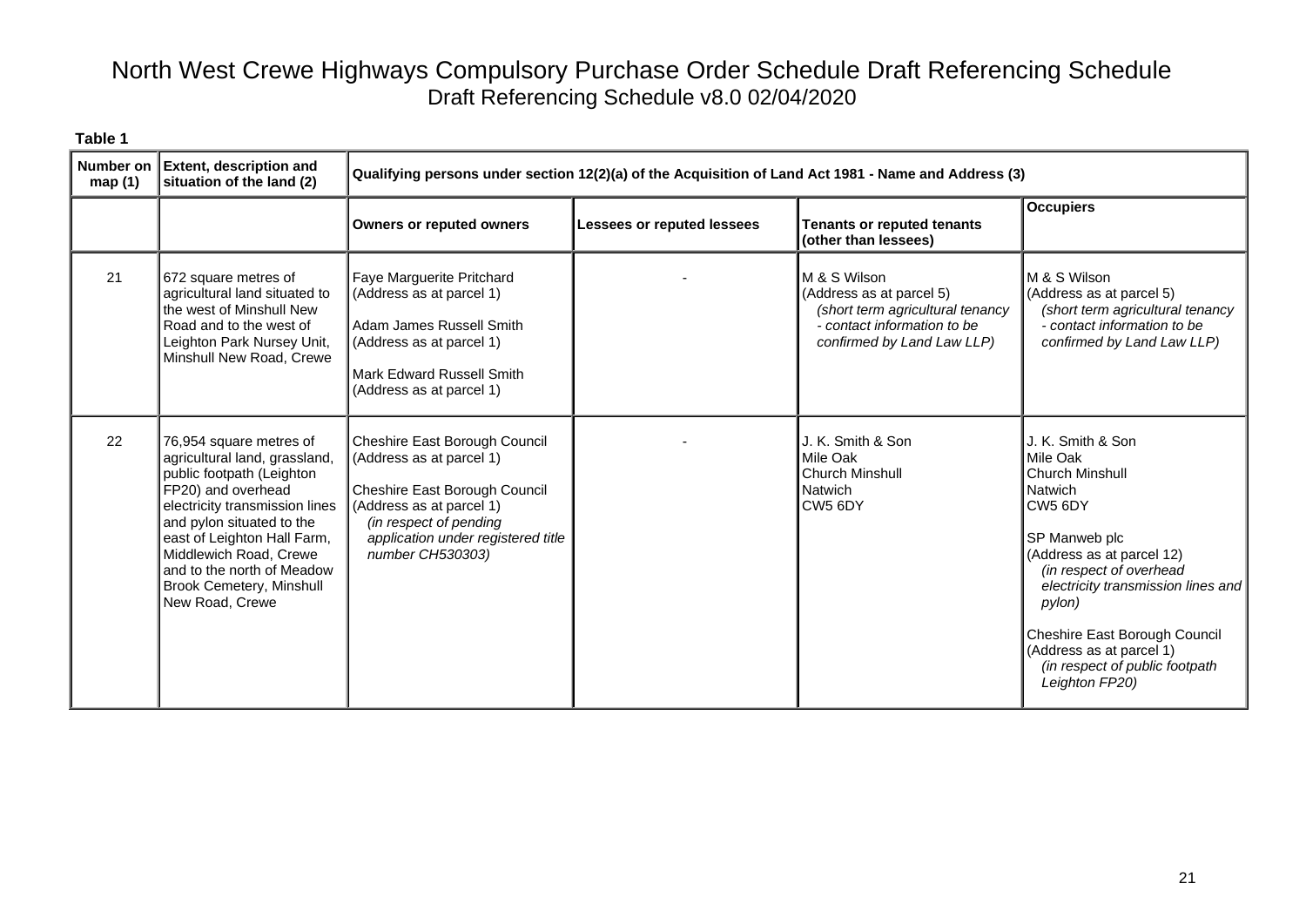| <b>Number on</b><br>map(1) | <b>Extent, description and</b><br>situation of the land (2)                                                                                                                                                                                                                                                      |                                                                                                                                                                                                            |                            | Qualifying persons under section 12(2)(a) of the Acquisition of Land Act 1981 - Name and Address (3)                                      |                                                                                                                                                                                                                                                                                                                                            |
|----------------------------|------------------------------------------------------------------------------------------------------------------------------------------------------------------------------------------------------------------------------------------------------------------------------------------------------------------|------------------------------------------------------------------------------------------------------------------------------------------------------------------------------------------------------------|----------------------------|-------------------------------------------------------------------------------------------------------------------------------------------|--------------------------------------------------------------------------------------------------------------------------------------------------------------------------------------------------------------------------------------------------------------------------------------------------------------------------------------------|
|                            |                                                                                                                                                                                                                                                                                                                  | <b>Owners or reputed owners</b>                                                                                                                                                                            | Lessees or reputed lessees | <b>Tenants or reputed tenants</b><br>(other than lessees)                                                                                 | <b>Occupiers</b>                                                                                                                                                                                                                                                                                                                           |
| 21                         | 672 square metres of<br>agricultural land situated to<br>the west of Minshull New<br>Road and to the west of<br>Leighton Park Nursey Unit,<br>Minshull New Road, Crewe                                                                                                                                           | Faye Marguerite Pritchard<br>(Address as at parcel 1)<br>Adam James Russell Smith<br>(Address as at parcel 1)<br>Mark Edward Russell Smith<br>(Address as at parcel 1)                                     |                            | M & S Wilson<br>(Address as at parcel 5)<br>(short term agricultural tenancy<br>- contact information to be<br>confirmed by Land Law LLP) | M & S Wilson<br>(Address as at parcel 5)<br>(short term agricultural tenancy<br>- contact information to be<br>confirmed by Land Law LLP)                                                                                                                                                                                                  |
| 22                         | 76,954 square metres of<br>agricultural land, grassland,<br>public footpath (Leighton<br>FP20) and overhead<br>electricity transmission lines<br>and pylon situated to the<br>east of Leighton Hall Farm,<br>Middlewich Road, Crewe<br>and to the north of Meadow<br>Brook Cemetery, Minshull<br>New Road, Crewe | Cheshire East Borough Council<br>(Address as at parcel 1)<br>Cheshire East Borough Council<br>(Address as at parcel 1)<br>(in respect of pending<br>application under registered title<br>number CH530303) |                            | J. K. Smith & Son<br>Mile Oak<br><b>Church Minshull</b><br>Natwich<br>CW <sub>5</sub> 6DY                                                 | J. K. Smith & Son<br>Mile Oak<br><b>Church Minshull</b><br><b>Natwich</b><br>CW <sub>5</sub> 6DY<br>SP Manweb plc<br>(Address as at parcel 12)<br>(in respect of overhead<br>electricity transmission lines and<br>pylon)<br>Cheshire East Borough Council<br>(Address as at parcel 1)<br>(in respect of public footpath<br>Leighton FP20) |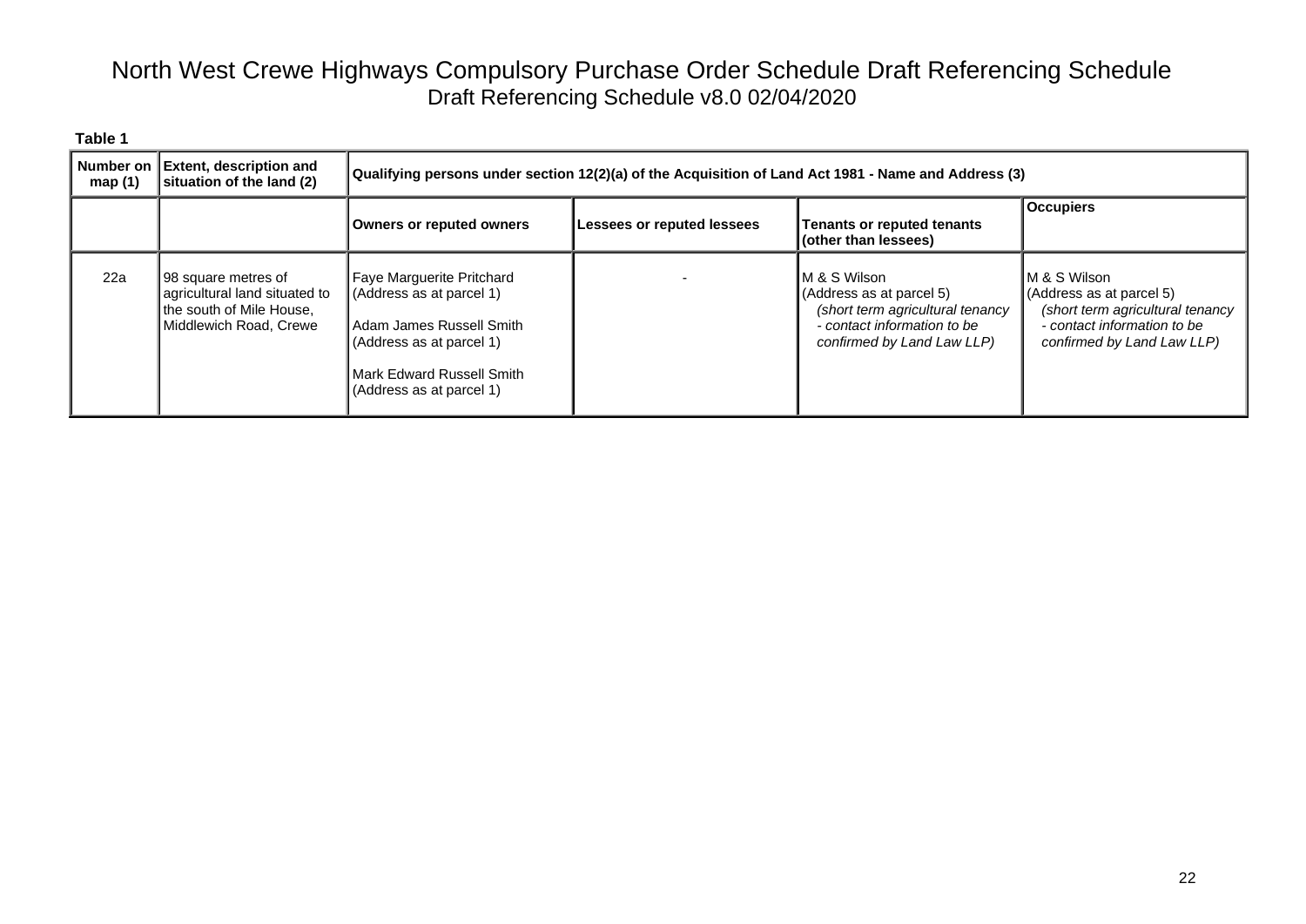| map $(1)$ | Number on Extent, description and<br>situation of the land (2)                                             | (2) Qualifying persons under section 12(2)(a) of the Acquisition of Land Act 1981 - Name and Address                                                                       |                            |                                                                                                                                           |                                                                                                                                           |  |
|-----------|------------------------------------------------------------------------------------------------------------|----------------------------------------------------------------------------------------------------------------------------------------------------------------------------|----------------------------|-------------------------------------------------------------------------------------------------------------------------------------------|-------------------------------------------------------------------------------------------------------------------------------------------|--|
|           |                                                                                                            | Owners or reputed owners                                                                                                                                                   | Lessees or reputed lessees | <b>Tenants or reputed tenants</b><br>(other than lessees)                                                                                 | <b>Occupiers</b>                                                                                                                          |  |
| 22a       | 98 square metres of<br>agricultural land situated to<br>the south of Mile House,<br>Middlewich Road, Crewe | Faye Marguerite Pritchard<br>(Address as at parcel 1)<br>l Adam James Russell Smith<br>(Address as at parcel 1)<br>l Mark Edward Russell Smith<br>(Address as at parcel 1) |                            | M & S Wilson<br>(Address as at parcel 5)<br>(short term agricultural tenancy<br>- contact information to be<br>confirmed by Land Law LLP) | M & S Wilson<br>(Address as at parcel 5)<br>(short term agricultural tenancy<br>- contact information to be<br>confirmed by Land Law LLP) |  |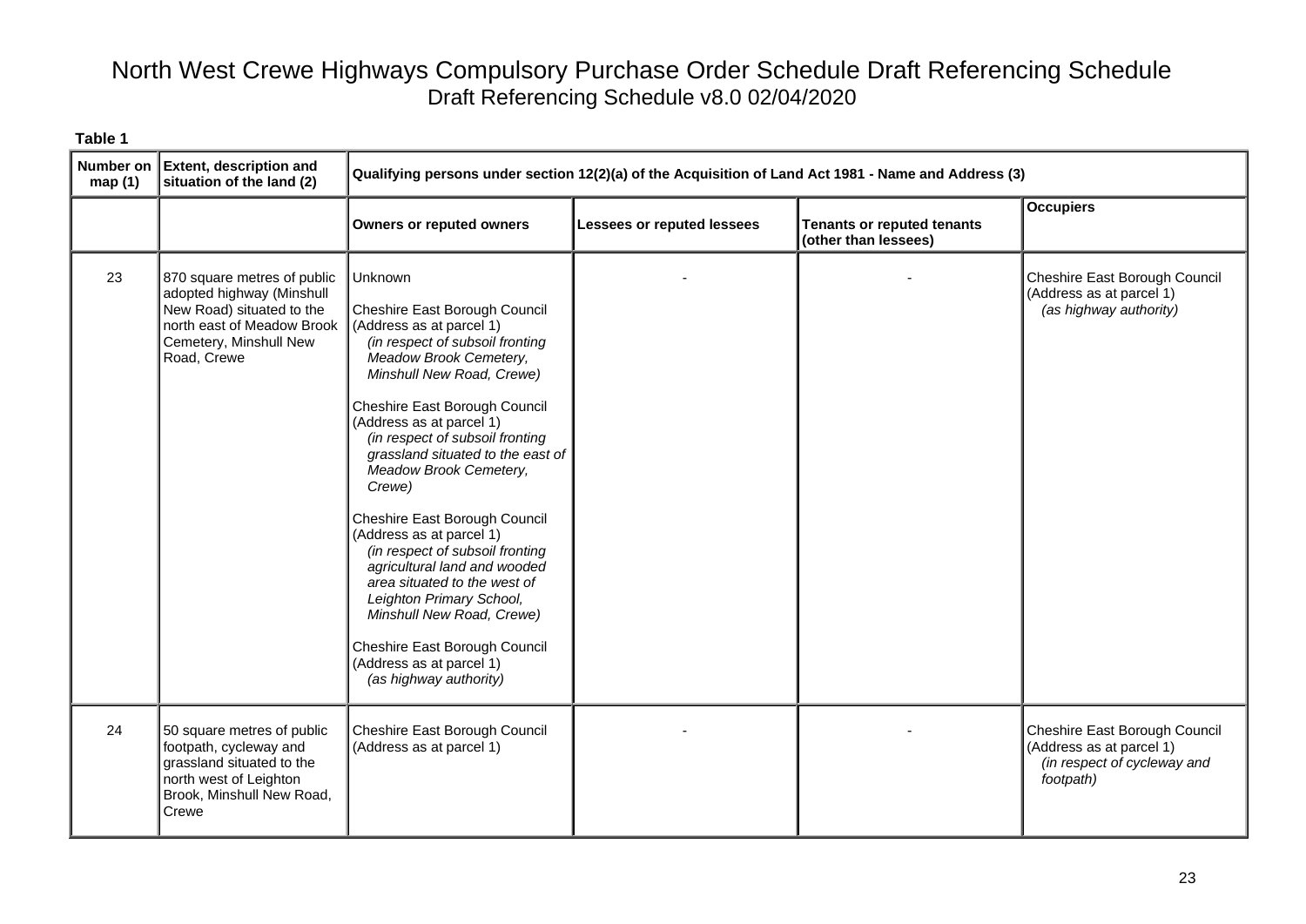| Number on<br>map(1) | <b>Extent, description and</b><br>situation of the land (2)                                                                                                  | Qualifying persons under section 12(2)(a) of the Acquisition of Land Act 1981 - Name and Address (3)                                                                                                                                                                                                                                                                                                                                                                                                                                                                                                                                                    |                                   |                                                           |                                                                                                       |
|---------------------|--------------------------------------------------------------------------------------------------------------------------------------------------------------|---------------------------------------------------------------------------------------------------------------------------------------------------------------------------------------------------------------------------------------------------------------------------------------------------------------------------------------------------------------------------------------------------------------------------------------------------------------------------------------------------------------------------------------------------------------------------------------------------------------------------------------------------------|-----------------------------------|-----------------------------------------------------------|-------------------------------------------------------------------------------------------------------|
|                     |                                                                                                                                                              | <b>Owners or reputed owners</b>                                                                                                                                                                                                                                                                                                                                                                                                                                                                                                                                                                                                                         | <b>Lessees or reputed lessees</b> | <b>Tenants or reputed tenants</b><br>(other than lessees) | <b>Occupiers</b>                                                                                      |
| 23                  | 870 square metres of public<br>adopted highway (Minshull<br>New Road) situated to the<br>north east of Meadow Brook<br>Cemetery, Minshull New<br>Road, Crewe | Unknown<br>Cheshire East Borough Council<br>(Address as at parcel 1)<br>(in respect of subsoil fronting<br>Meadow Brook Cemetery,<br>Minshull New Road, Crewe)<br>Cheshire East Borough Council<br>(Address as at parcel 1)<br>(in respect of subsoil fronting<br>grassland situated to the east of<br>Meadow Brook Cemetery,<br>Crewe)<br>Cheshire East Borough Council<br>(Address as at parcel 1)<br>(in respect of subsoil fronting<br>agricultural land and wooded<br>area situated to the west of<br>Leighton Primary School,<br>Minshull New Road, Crewe)<br>Cheshire East Borough Council<br>(Address as at parcel 1)<br>(as highway authority) |                                   |                                                           | Cheshire East Borough Council<br>(Address as at parcel 1)<br>(as highway authority)                   |
| 24                  | 50 square metres of public<br>footpath, cycleway and<br>grassland situated to the<br>north west of Leighton<br>Brook, Minshull New Road,<br>Crewe            | Cheshire East Borough Council<br>(Address as at parcel 1)                                                                                                                                                                                                                                                                                                                                                                                                                                                                                                                                                                                               |                                   |                                                           | Cheshire East Borough Council<br>(Address as at parcel 1)<br>(in respect of cycleway and<br>footpath) |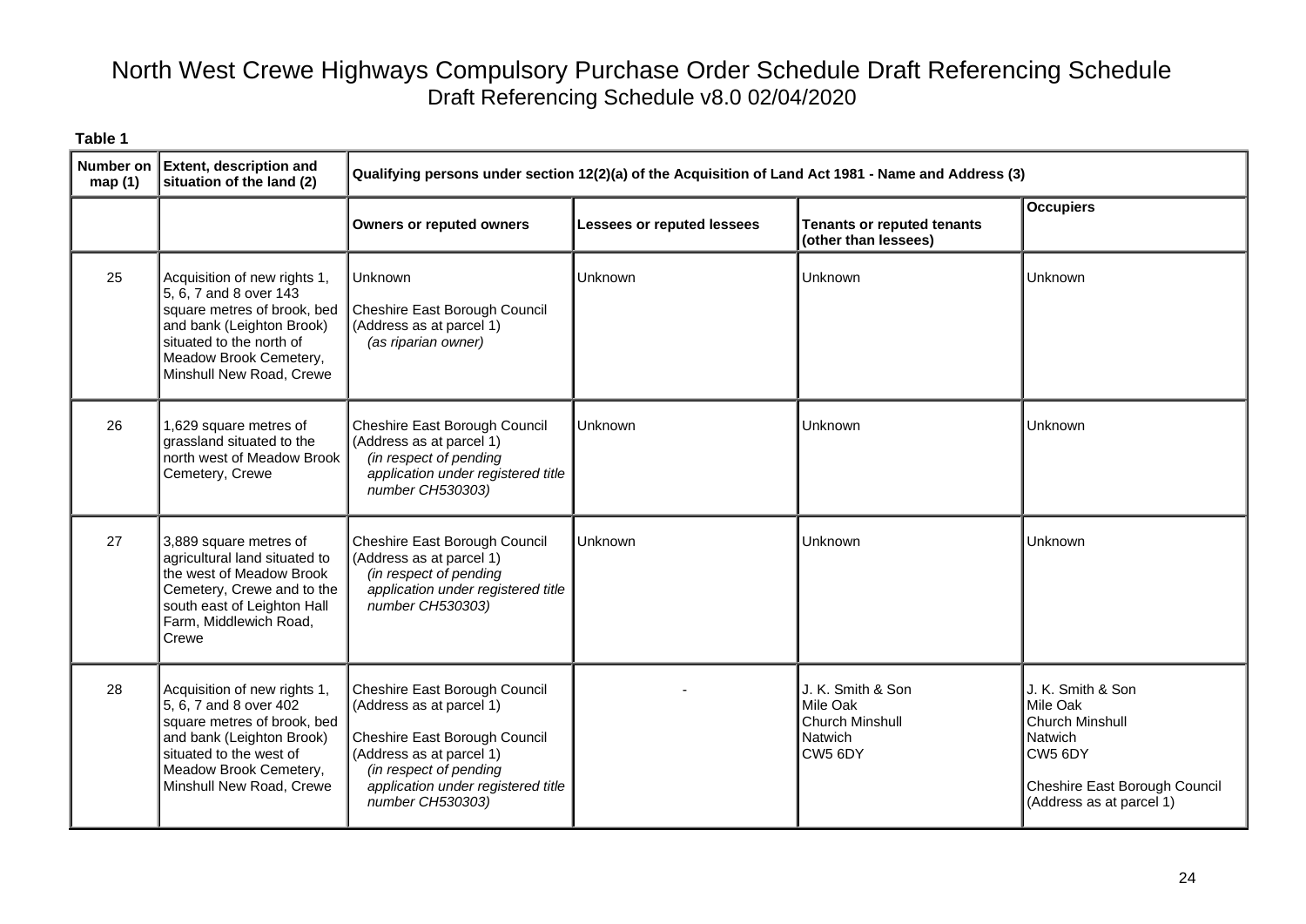| Number on<br>map(1) | <b>Extent, description and</b><br>situation of the land (2)                                                                                                                                          |                                                                                                                                                                                                            | Qualifying persons under section 12(2)(a) of the Acquisition of Land Act 1981 - Name and Address (3) |                                                                               |                                                                                                                                            |  |  |
|---------------------|------------------------------------------------------------------------------------------------------------------------------------------------------------------------------------------------------|------------------------------------------------------------------------------------------------------------------------------------------------------------------------------------------------------------|------------------------------------------------------------------------------------------------------|-------------------------------------------------------------------------------|--------------------------------------------------------------------------------------------------------------------------------------------|--|--|
|                     |                                                                                                                                                                                                      | <b>Owners or reputed owners</b>                                                                                                                                                                            | Lessees or reputed lessees                                                                           | <b>Tenants or reputed tenants</b><br>(other than lessees)                     | <b>Occupiers</b>                                                                                                                           |  |  |
| 25                  | Acquisition of new rights 1,<br>5, 6, 7 and 8 over 143<br>square metres of brook, bed<br>and bank (Leighton Brook)<br>situated to the north of<br>Meadow Brook Cemetery,<br>Minshull New Road, Crewe | <b>Unknown</b><br>Cheshire East Borough Council<br>(Address as at parcel 1)<br>(as riparian owner)                                                                                                         | Unknown                                                                                              | Unknown                                                                       | Unknown                                                                                                                                    |  |  |
| 26                  | 1,629 square metres of<br>grassland situated to the<br>north west of Meadow Brook<br>Cemetery, Crewe                                                                                                 | Cheshire East Borough Council<br>(Address as at parcel 1)<br>(in respect of pending<br>application under registered title<br>number CH530303)                                                              | Unknown                                                                                              | Unknown                                                                       | Unknown                                                                                                                                    |  |  |
| 27                  | 3,889 square metres of<br>agricultural land situated to<br>the west of Meadow Brook<br>Cemetery, Crewe and to the<br>south east of Leighton Hall<br>Farm, Middlewich Road,<br>Crewe                  | Cheshire East Borough Council<br>(Address as at parcel 1)<br>(in respect of pending<br>application under registered title<br>number CH530303)                                                              | Unknown                                                                                              | Unknown                                                                       | Unknown                                                                                                                                    |  |  |
| 28                  | Acquisition of new rights 1,<br>5, 6, 7 and 8 over 402<br>square metres of brook, bed<br>and bank (Leighton Brook)<br>situated to the west of<br>Meadow Brook Cemetery,<br>Minshull New Road, Crewe  | Cheshire East Borough Council<br>(Address as at parcel 1)<br>Cheshire East Borough Council<br>(Address as at parcel 1)<br>(in respect of pending<br>application under registered title<br>number CH530303) |                                                                                                      | J. K. Smith & Son<br>Mile Oak<br><b>Church Minshull</b><br>Natwich<br>CW5 6DY | J. K. Smith & Son<br>Mile Oak<br><b>Church Minshull</b><br>Natwich<br>CW5 6DY<br>Cheshire East Borough Council<br>(Address as at parcel 1) |  |  |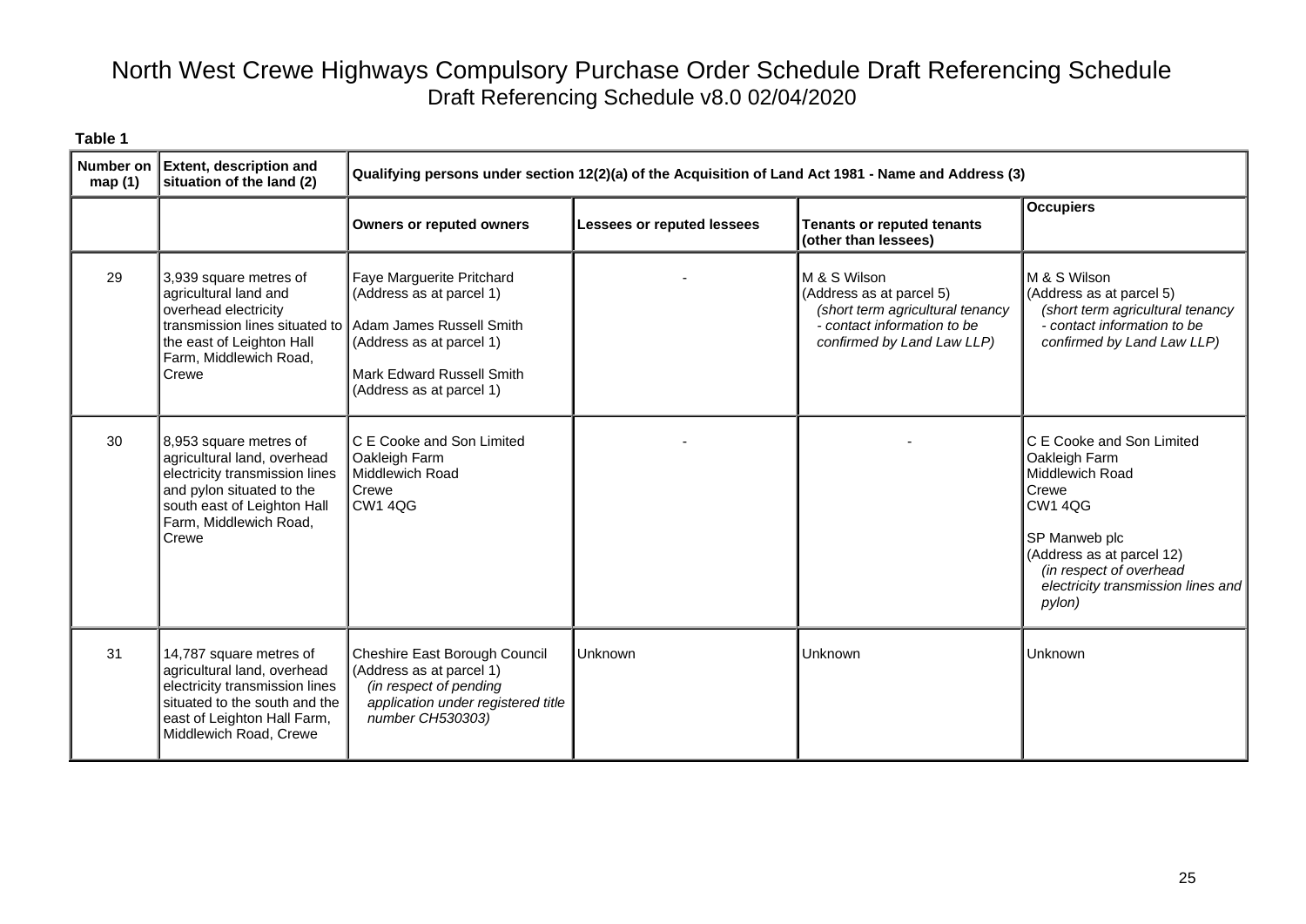| Number on<br>map(1) | <b>Extent, description and</b><br>situation of the land (2)                                                                                                                                        |                                                                                                                                               | Qualifying persons under section 12(2)(a) of the Acquisition of Land Act 1981 - Name and Address (3) |                                                                                                                                           |                                                                                                                                                                                                                   |  |  |
|---------------------|----------------------------------------------------------------------------------------------------------------------------------------------------------------------------------------------------|-----------------------------------------------------------------------------------------------------------------------------------------------|------------------------------------------------------------------------------------------------------|-------------------------------------------------------------------------------------------------------------------------------------------|-------------------------------------------------------------------------------------------------------------------------------------------------------------------------------------------------------------------|--|--|
|                     |                                                                                                                                                                                                    | <b>Owners or reputed owners</b>                                                                                                               | Lessees or reputed lessees                                                                           | <b>Tenants or reputed tenants</b><br>(other than lessees)                                                                                 | <b>Occupiers</b>                                                                                                                                                                                                  |  |  |
| 29                  | 3,939 square metres of<br>agricultural land and<br>overhead electricity<br>transmission lines situated to Adam James Russell Smith<br>the east of Leighton Hall<br>Farm, Middlewich Road,<br>Crewe | Faye Marguerite Pritchard<br>(Address as at parcel 1)<br>(Address as at parcel 1)<br>Mark Edward Russell Smith<br>(Address as at parcel 1)    |                                                                                                      | M & S Wilson<br>(Address as at parcel 5)<br>(short term agricultural tenancy<br>- contact information to be<br>confirmed by Land Law LLP) | M & S Wilson<br>(Address as at parcel 5)<br>(short term agricultural tenancy<br>- contact information to be<br>confirmed by Land Law LLP)                                                                         |  |  |
| 30                  | 8,953 square metres of<br>agricultural land, overhead<br>electricity transmission lines<br>and pylon situated to the<br>south east of Leighton Hall<br>Farm, Middlewich Road,<br>Crewe             | C E Cooke and Son Limited<br>Oakleigh Farm<br>Middlewich Road<br>Crewe<br><b>CW1 4QG</b>                                                      |                                                                                                      |                                                                                                                                           | C E Cooke and Son Limited<br>Oakleigh Farm<br>Middlewich Road<br>Crewe<br><b>CW1 4QG</b><br>SP Manweb plc<br>(Address as at parcel 12)<br>(in respect of overhead<br>electricity transmission lines and<br>pylon) |  |  |
| 31                  | 14,787 square metres of<br>agricultural land, overhead<br>electricity transmission lines<br>situated to the south and the<br>east of Leighton Hall Farm,<br>Middlewich Road, Crewe                 | Cheshire East Borough Council<br>(Address as at parcel 1)<br>(in respect of pending<br>application under registered title<br>number CH530303) | Unknown                                                                                              | Unknown                                                                                                                                   | <b>Unknown</b>                                                                                                                                                                                                    |  |  |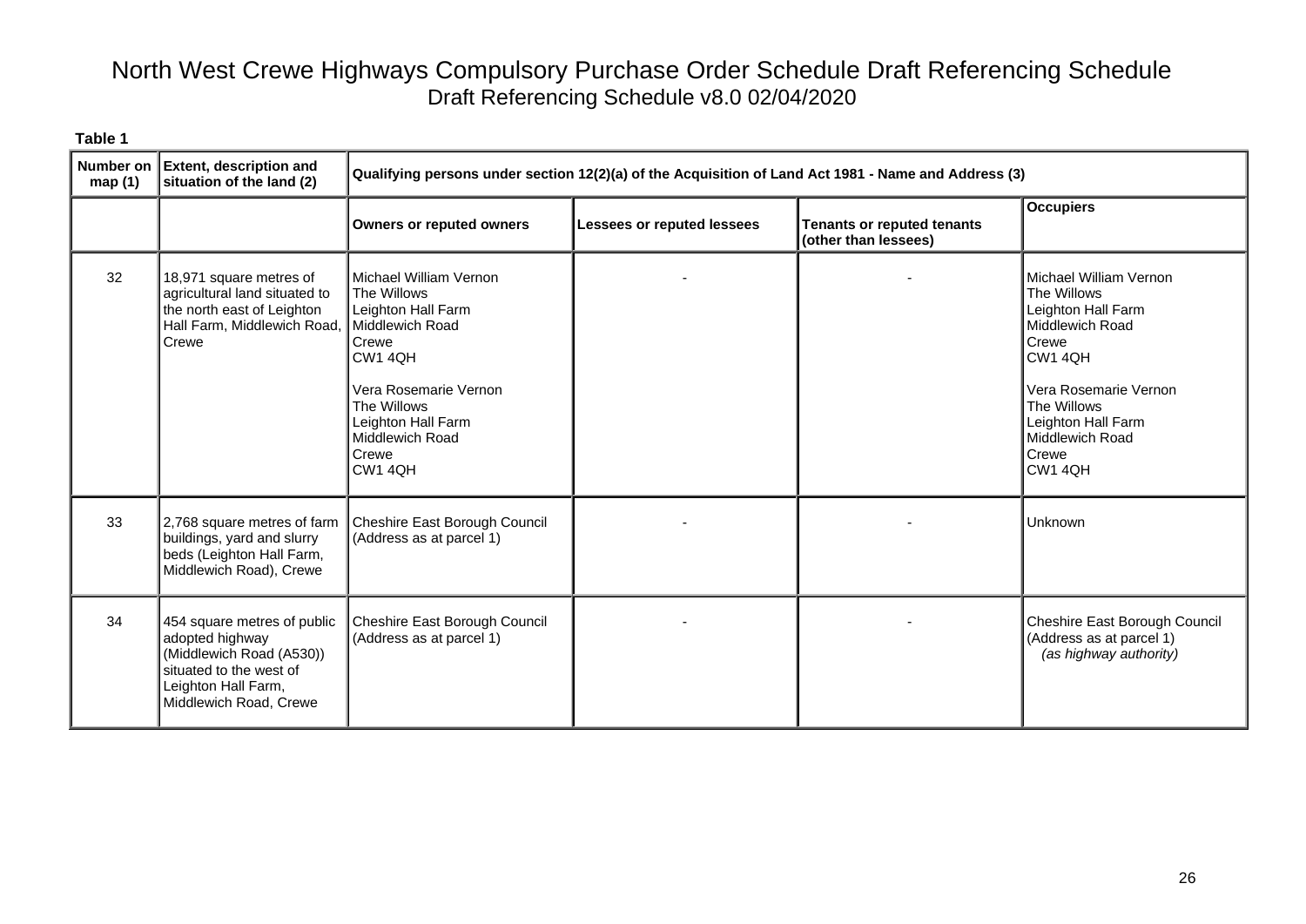| <b>Number on</b><br>map(1) | <b>Extent, description and</b><br>situation of the land (2)                                                                                            | Qualifying persons under section 12(2)(a) of the Acquisition of Land Act 1981 - Name and Address (3)                                                                                                    |                            |                                                           |                                                                                                                                                                                                         |
|----------------------------|--------------------------------------------------------------------------------------------------------------------------------------------------------|---------------------------------------------------------------------------------------------------------------------------------------------------------------------------------------------------------|----------------------------|-----------------------------------------------------------|---------------------------------------------------------------------------------------------------------------------------------------------------------------------------------------------------------|
|                            |                                                                                                                                                        | <b>Owners or reputed owners</b>                                                                                                                                                                         | Lessees or reputed lessees | <b>Tenants or reputed tenants</b><br>(other than lessees) | <b>Occupiers</b>                                                                                                                                                                                        |
| 32                         | 18,971 square metres of<br>agricultural land situated to<br>the north east of Leighton<br>Hall Farm, Middlewich Road,<br>Crewe                         | Michael William Vernon<br>The Willows<br>Leighton Hall Farm<br>Middlewich Road<br>Crewe<br>CW1 4QH<br>Vera Rosemarie Vernon<br>The Willows<br>Leighton Hall Farm<br>Middlewich Road<br>Crewe<br>CW1 4QH |                            |                                                           | Michael William Vernon<br>The Willows<br>Leighton Hall Farm<br>Middlewich Road<br>Crewe<br>CW1 4QH<br>Vera Rosemarie Vernon<br>The Willows<br>Leighton Hall Farm<br>Middlewich Road<br>Crewe<br>CW1 4QH |
| 33                         | 2,768 square metres of farm<br>buildings, yard and slurry<br>beds (Leighton Hall Farm,<br>Middlewich Road), Crewe                                      | Cheshire East Borough Council<br>(Address as at parcel 1)                                                                                                                                               |                            |                                                           | Unknown                                                                                                                                                                                                 |
| 34                         | 454 square metres of public<br>adopted highway<br>(Middlewich Road (A530))<br>situated to the west of<br>Leighton Hall Farm,<br>Middlewich Road, Crewe | Cheshire East Borough Council<br>(Address as at parcel 1)                                                                                                                                               |                            |                                                           | Cheshire East Borough Council<br>(Address as at parcel 1)<br>(as highway authority)                                                                                                                     |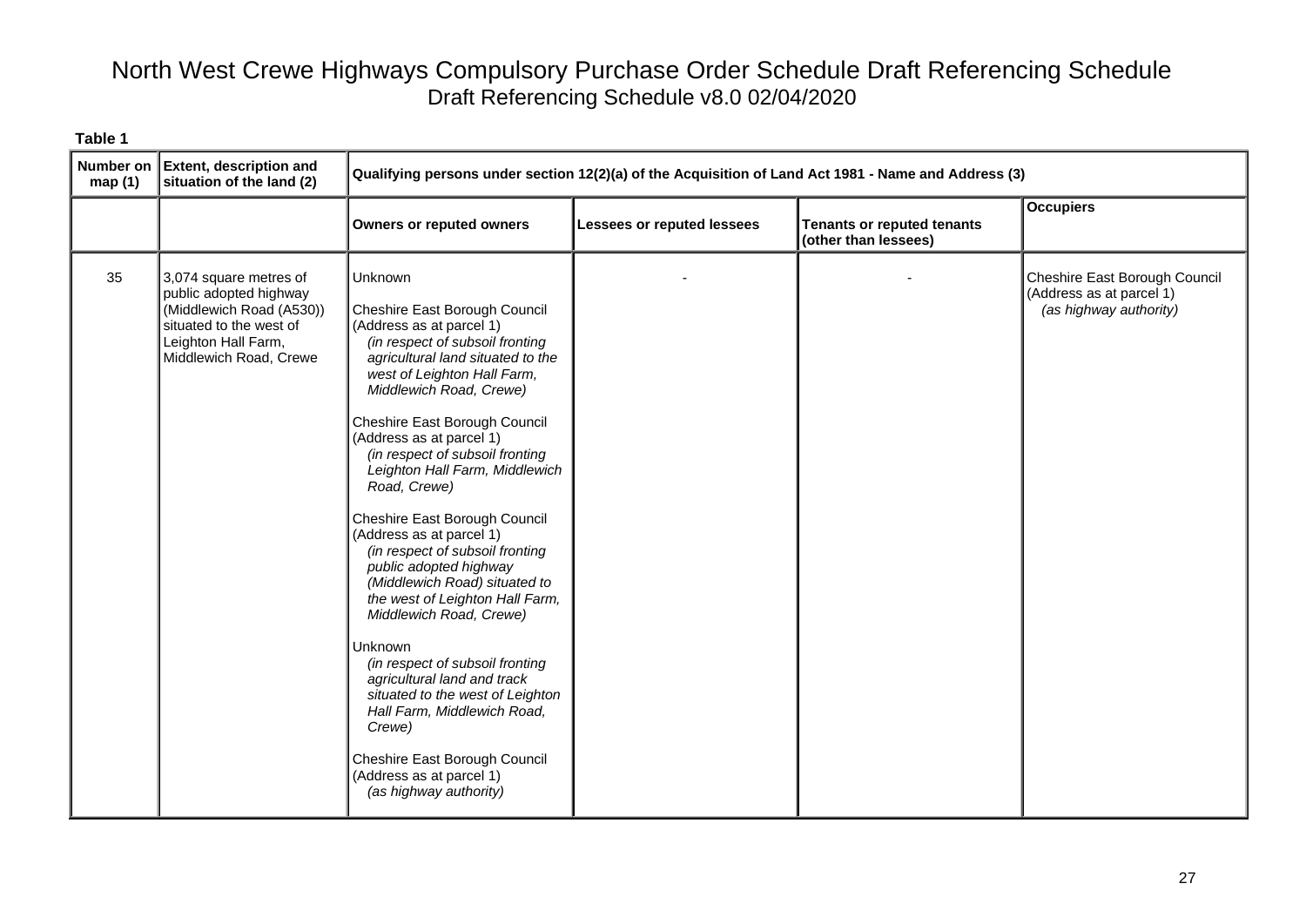| Number on<br>map(1) | <b>Extent, description and</b><br>situation of the land (2)                                                                                              | Qualifying persons under section 12(2)(a) of the Acquisition of Land Act 1981 - Name and Address (3)                                                                                                                                                                                                                                                                                                                                                                                                                                                                                                                                                                                                                                                                                                                               |                            |                                                           |                                                                                     |
|---------------------|----------------------------------------------------------------------------------------------------------------------------------------------------------|------------------------------------------------------------------------------------------------------------------------------------------------------------------------------------------------------------------------------------------------------------------------------------------------------------------------------------------------------------------------------------------------------------------------------------------------------------------------------------------------------------------------------------------------------------------------------------------------------------------------------------------------------------------------------------------------------------------------------------------------------------------------------------------------------------------------------------|----------------------------|-----------------------------------------------------------|-------------------------------------------------------------------------------------|
|                     |                                                                                                                                                          | <b>Owners or reputed owners</b>                                                                                                                                                                                                                                                                                                                                                                                                                                                                                                                                                                                                                                                                                                                                                                                                    | Lessees or reputed lessees | <b>Tenants or reputed tenants</b><br>(other than lessees) | <b>Occupiers</b>                                                                    |
| 35                  | 3,074 square metres of<br>public adopted highway<br>(Middlewich Road (A530))<br>situated to the west of<br>Leighton Hall Farm,<br>Middlewich Road, Crewe | Unknown<br>Cheshire East Borough Council<br>(Address as at parcel 1)<br>(in respect of subsoil fronting<br>agricultural land situated to the<br>west of Leighton Hall Farm,<br>Middlewich Road, Crewe)<br>Cheshire East Borough Council<br>(Address as at parcel 1)<br>(in respect of subsoil fronting<br>Leighton Hall Farm, Middlewich<br>Road, Crewe)<br>Cheshire East Borough Council<br>(Address as at parcel 1)<br>(in respect of subsoil fronting<br>public adopted highway<br>(Middlewich Road) situated to<br>the west of Leighton Hall Farm,<br>Middlewich Road, Crewe)<br>Unknown<br>(in respect of subsoil fronting<br>agricultural land and track<br>situated to the west of Leighton<br>Hall Farm, Middlewich Road,<br>Crewe)<br>Cheshire East Borough Council<br>(Address as at parcel 1)<br>(as highway authority) |                            |                                                           | Cheshire East Borough Council<br>(Address as at parcel 1)<br>(as highway authority) |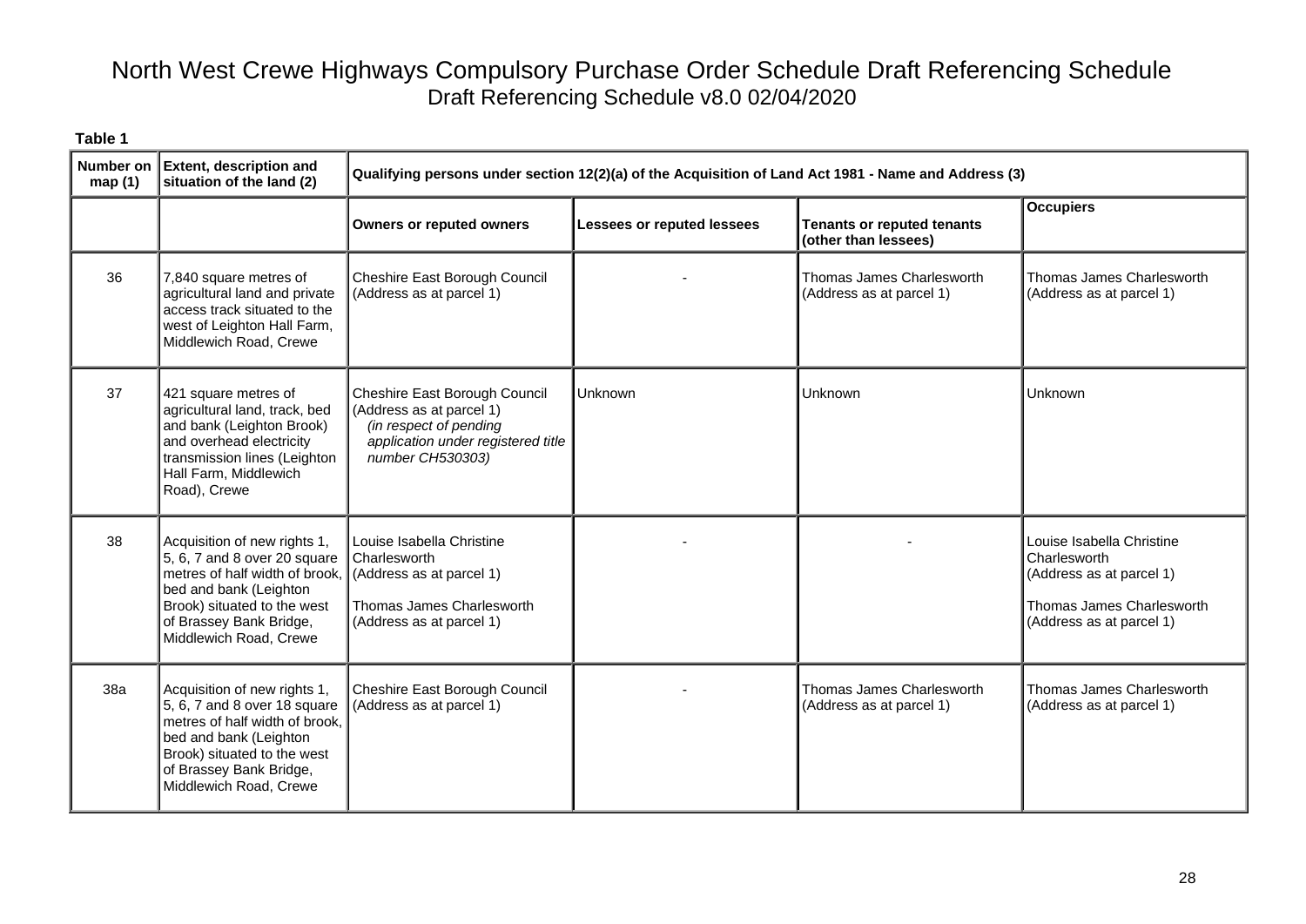| Number on<br>map(1) | <b>Extent, description and</b><br>situation of the land (2)                                                                                                                                                  | Qualifying persons under section 12(2)(a) of the Acquisition of Land Act 1981 - Name and Address (3)                                          |                                   |                                                           |                                                                                                                                |  |
|---------------------|--------------------------------------------------------------------------------------------------------------------------------------------------------------------------------------------------------------|-----------------------------------------------------------------------------------------------------------------------------------------------|-----------------------------------|-----------------------------------------------------------|--------------------------------------------------------------------------------------------------------------------------------|--|
|                     |                                                                                                                                                                                                              | <b>Owners or reputed owners</b>                                                                                                               | <b>Lessees or reputed lessees</b> | <b>Tenants or reputed tenants</b><br>(other than lessees) | <b>Occupiers</b>                                                                                                               |  |
| 36                  | 7,840 square metres of<br>agricultural land and private<br>access track situated to the<br>west of Leighton Hall Farm,<br>Middlewich Road, Crewe                                                             | Cheshire East Borough Council<br>(Address as at parcel 1)                                                                                     |                                   | Thomas James Charlesworth<br>(Address as at parcel 1)     | Thomas James Charlesworth<br>(Address as at parcel 1)                                                                          |  |
| 37                  | 421 square metres of<br>agricultural land, track, bed<br>and bank (Leighton Brook)<br>and overhead electricity<br>transmission lines (Leighton<br>Hall Farm, Middlewich<br>Road), Crewe                      | Cheshire East Borough Council<br>(Address as at parcel 1)<br>(in respect of pending<br>application under registered title<br>number CH530303) | Unknown                           | Unknown                                                   | Unknown                                                                                                                        |  |
| 38                  | Acquisition of new rights 1,<br>5, 6, 7 and 8 over 20 square<br>metres of half width of brook,<br>bed and bank (Leighton<br>Brook) situated to the west<br>of Brassey Bank Bridge,<br>Middlewich Road, Crewe | Louise Isabella Christine<br><b>Charlesworth</b><br>$\vert$ (Address as at parcel 1)<br>Thomas James Charlesworth<br>(Address as at parcel 1) |                                   |                                                           | Louise Isabella Christine<br>Charlesworth<br>(Address as at parcel 1)<br>Thomas James Charlesworth<br>(Address as at parcel 1) |  |
| 38a                 | Acquisition of new rights 1,<br>5, 6, 7 and 8 over 18 square<br>metres of half width of brook,<br>bed and bank (Leighton<br>Brook) situated to the west<br>of Brassey Bank Bridge,<br>Middlewich Road, Crewe | Cheshire East Borough Council<br>(Address as at parcel 1)                                                                                     |                                   | Thomas James Charlesworth<br>(Address as at parcel 1)     | Thomas James Charlesworth<br>(Address as at parcel 1)                                                                          |  |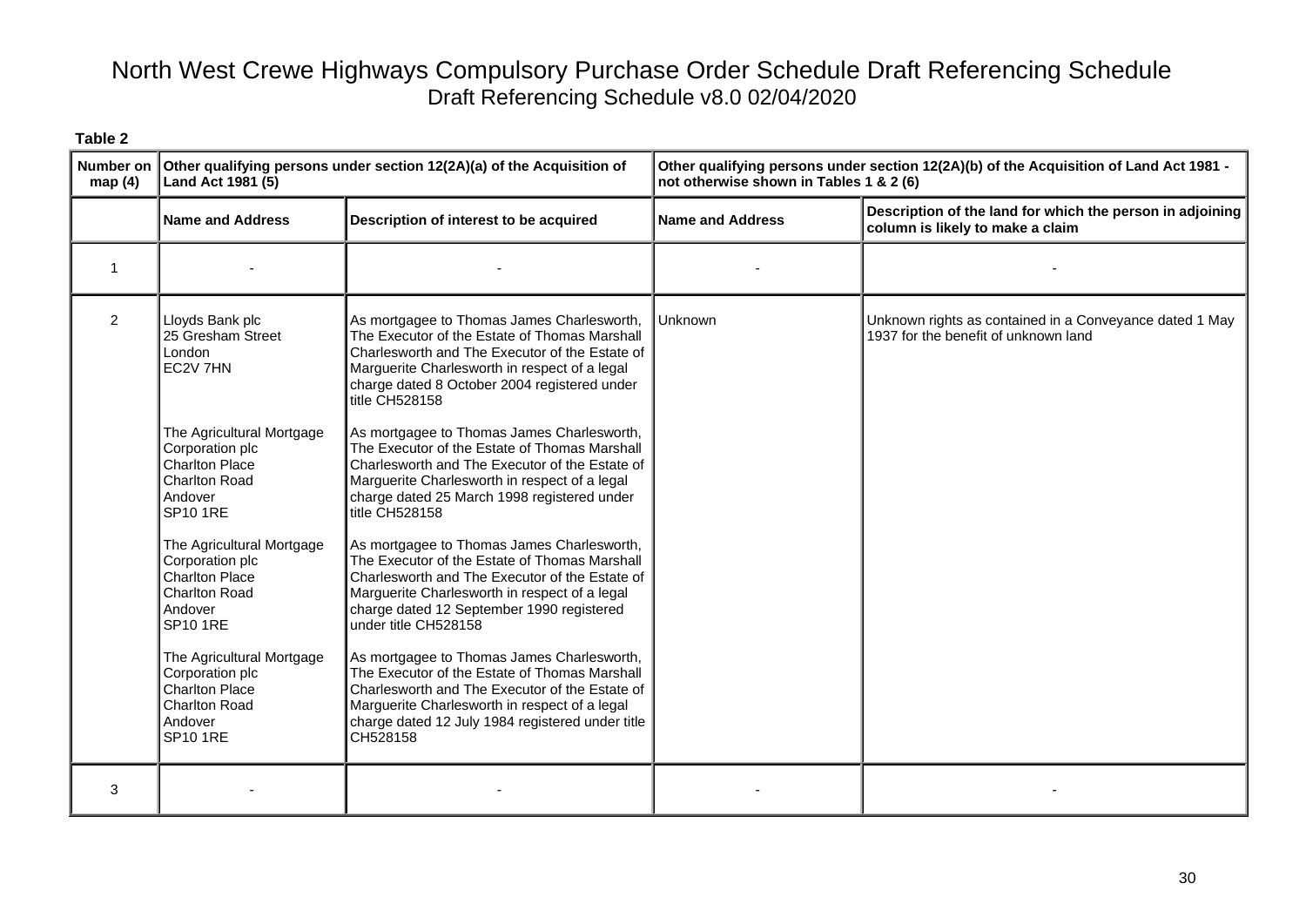| map(4)         | Number on Other qualifying persons under section $12(2A)(a)$ of the Acquisition of<br>Land Act 1981 (5)                     |                                                                                                                                                                                                                                                                     | Other qualifying persons under section 12(2A)(b) of the Acquisition of Land Act 1981 -<br>not otherwise shown in Tables 1 & 2 (6) |                                                                                                 |
|----------------|-----------------------------------------------------------------------------------------------------------------------------|---------------------------------------------------------------------------------------------------------------------------------------------------------------------------------------------------------------------------------------------------------------------|-----------------------------------------------------------------------------------------------------------------------------------|-------------------------------------------------------------------------------------------------|
|                | <b>Name and Address</b>                                                                                                     | Description of interest to be acquired                                                                                                                                                                                                                              | <b>Name and Address</b>                                                                                                           | Description of the land for which the person in adjoining<br>column is likely to make a claim   |
| $\overline{1}$ |                                                                                                                             |                                                                                                                                                                                                                                                                     |                                                                                                                                   |                                                                                                 |
| $\overline{2}$ | Lloyds Bank plc<br>25 Gresham Street<br>London<br>EC2V 7HN                                                                  | As mortgagee to Thomas James Charlesworth,<br>The Executor of the Estate of Thomas Marshall<br>Charlesworth and The Executor of the Estate of<br>Marguerite Charlesworth in respect of a legal<br>charge dated 8 October 2004 registered under<br>title CH528158    | Unknown                                                                                                                           | Unknown rights as contained in a Conveyance dated 1 May<br>1937 for the benefit of unknown land |
|                | The Agricultural Mortgage<br>Corporation plc<br><b>Charlton Place</b><br><b>Charlton Road</b><br>Andover<br><b>SP10 1RE</b> | As mortgagee to Thomas James Charlesworth,<br>The Executor of the Estate of Thomas Marshall<br>Charlesworth and The Executor of the Estate of<br>Marguerite Charlesworth in respect of a legal<br>charge dated 25 March 1998 registered under<br>title CH528158     |                                                                                                                                   |                                                                                                 |
|                | The Agricultural Mortgage<br>Corporation plc<br><b>Charlton Place</b><br><b>Charlton Road</b><br>Andover<br><b>SP10 1RE</b> | As mortgagee to Thomas James Charlesworth,<br>The Executor of the Estate of Thomas Marshall<br>Charlesworth and The Executor of the Estate of<br>Marguerite Charlesworth in respect of a legal<br>charge dated 12 September 1990 registered<br>under title CH528158 |                                                                                                                                   |                                                                                                 |
|                | The Agricultural Mortgage<br>Corporation plc<br><b>Charlton Place</b><br><b>Charlton Road</b><br>Andover<br><b>SP10 1RE</b> | As mortgagee to Thomas James Charlesworth,<br>The Executor of the Estate of Thomas Marshall<br>Charlesworth and The Executor of the Estate of<br>Marguerite Charlesworth in respect of a legal<br>charge dated 12 July 1984 registered under title<br>CH528158      |                                                                                                                                   |                                                                                                 |
| 3              |                                                                                                                             |                                                                                                                                                                                                                                                                     |                                                                                                                                   |                                                                                                 |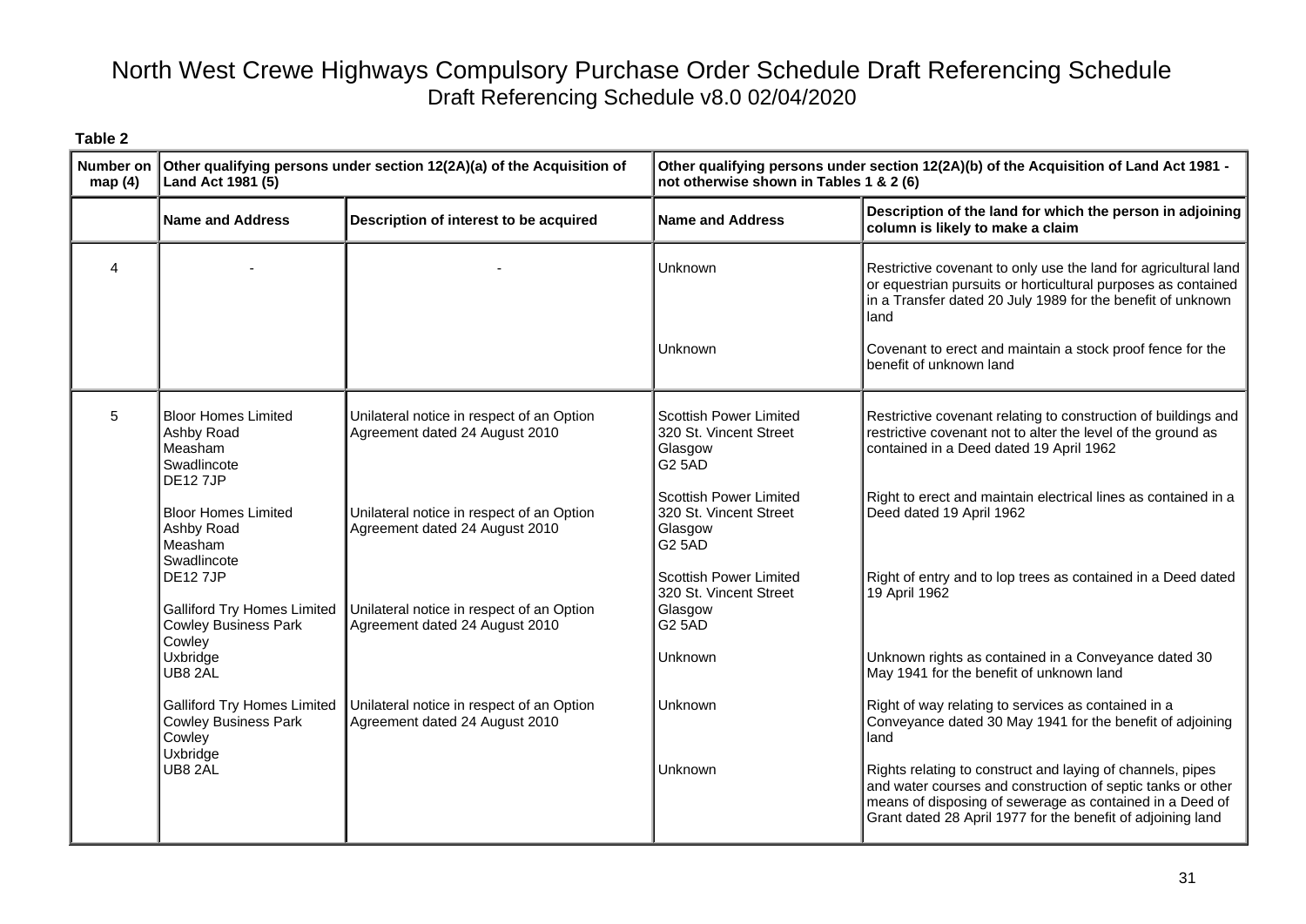| <b>Number on</b><br>map(4) | Other qualifying persons under section 12(2A)(a) of the Acquisition of<br>Land Act 1981 (5)   |                                                                             | Other qualifying persons under section 12(2A)(b) of the Acquisition of Land Act 1981 -<br>not otherwise shown in Tables 1 & 2 (6) |                                                                                                                                                                                                                                                                                                  |
|----------------------------|-----------------------------------------------------------------------------------------------|-----------------------------------------------------------------------------|-----------------------------------------------------------------------------------------------------------------------------------|--------------------------------------------------------------------------------------------------------------------------------------------------------------------------------------------------------------------------------------------------------------------------------------------------|
|                            | <b>Name and Address</b>                                                                       | Description of interest to be acquired                                      | <b>Name and Address</b>                                                                                                           | Description of the land for which the person in adjoining<br>column is likely to make a claim                                                                                                                                                                                                    |
| 4                          |                                                                                               |                                                                             | <b>Unknown</b><br>Unknown                                                                                                         | Restrictive covenant to only use the land for agricultural land<br>or equestrian pursuits or horticultural purposes as contained<br>in a Transfer dated 20 July 1989 for the benefit of unknown<br>land<br>Covenant to erect and maintain a stock proof fence for the<br>benefit of unknown land |
| 5                          | <b>Bloor Homes Limited</b><br>Ashby Road<br>Measham<br>Swadlincote<br><b>DE127JP</b>          | Unilateral notice in respect of an Option<br>Agreement dated 24 August 2010 | Scottish Power Limited<br>320 St. Vincent Street<br>Glasgow<br><b>G2 5AD</b>                                                      | Restrictive covenant relating to construction of buildings and<br>restrictive covenant not to alter the level of the ground as<br>contained in a Deed dated 19 April 1962                                                                                                                        |
|                            | <b>Bloor Homes Limited</b><br>Ashby Road<br>Measham<br>Swadlincote                            | Unilateral notice in respect of an Option<br>Agreement dated 24 August 2010 | <b>Scottish Power Limited</b><br>320 St. Vincent Street<br>Glasgow<br><b>G2 5AD</b>                                               | Right to erect and maintain electrical lines as contained in a<br>Deed dated 19 April 1962                                                                                                                                                                                                       |
|                            | <b>DE127JP</b><br><b>Galliford Try Homes Limited</b><br><b>Cowley Business Park</b><br>Cowley | Unilateral notice in respect of an Option<br>Agreement dated 24 August 2010 | <b>Scottish Power Limited</b><br>320 St. Vincent Street<br>Glasgow<br>G25AD                                                       | Right of entry and to lop trees as contained in a Deed dated<br>19 April 1962                                                                                                                                                                                                                    |
|                            | Uxbridge<br>UB8 2AL                                                                           |                                                                             | Unknown                                                                                                                           | Unknown rights as contained in a Conveyance dated 30<br>May 1941 for the benefit of unknown land                                                                                                                                                                                                 |
|                            | <b>Galliford Try Homes Limited</b><br><b>Cowley Business Park</b><br>Cowley<br>Uxbridge       | Unilateral notice in respect of an Option<br>Agreement dated 24 August 2010 | Unknown                                                                                                                           | Right of way relating to services as contained in a<br>Conveyance dated 30 May 1941 for the benefit of adjoining<br>land                                                                                                                                                                         |
|                            | UB8 2AL                                                                                       |                                                                             | Unknown                                                                                                                           | Rights relating to construct and laying of channels, pipes<br>and water courses and construction of septic tanks or other<br>means of disposing of sewerage as contained in a Deed of<br>Grant dated 28 April 1977 for the benefit of adjoining land                                             |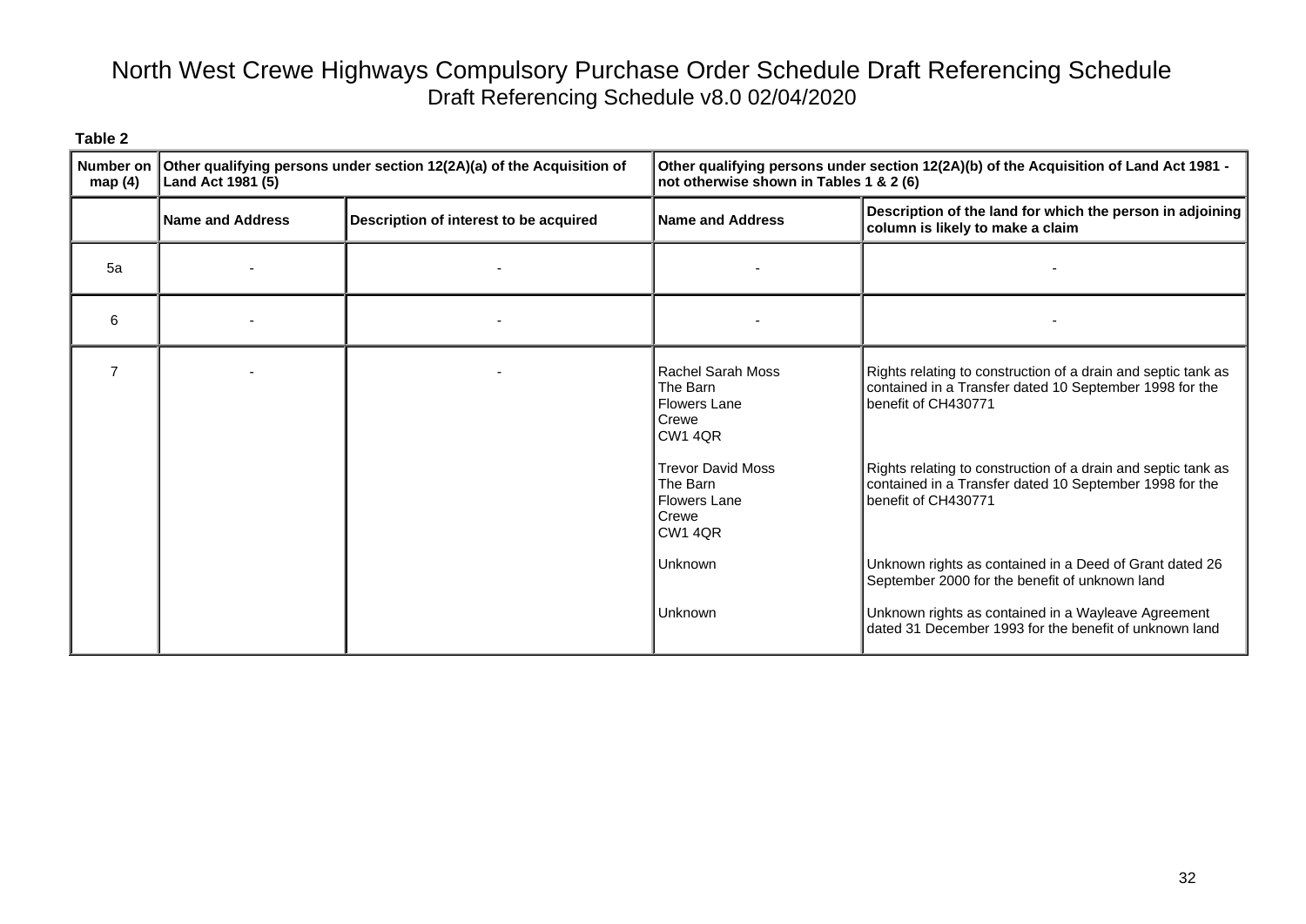| <b>Number on</b><br>map $(4)$ | Other qualifying persons under section 12(2A)(a) of the Acquisition of<br>Land Act 1981 (5) |                                        | Other qualifying persons under section 12(2A)(b) of the Acquisition of Land Act 1981 -<br>not otherwise shown in Tables 1 & 2 (6) |                                                                                                                                                 |
|-------------------------------|---------------------------------------------------------------------------------------------|----------------------------------------|-----------------------------------------------------------------------------------------------------------------------------------|-------------------------------------------------------------------------------------------------------------------------------------------------|
|                               | <b>Name and Address</b>                                                                     | Description of interest to be acquired | Name and Address                                                                                                                  | Description of the land for which the person in adjoining<br>column is likely to make a claim                                                   |
| 5a                            |                                                                                             |                                        |                                                                                                                                   |                                                                                                                                                 |
| 6                             |                                                                                             |                                        |                                                                                                                                   |                                                                                                                                                 |
|                               |                                                                                             |                                        | <b>Rachel Sarah Moss</b><br>The Barn<br><b>Flowers Lane</b><br>Crewe<br><b>CW1 4QR</b>                                            | Rights relating to construction of a drain and septic tank as<br>contained in a Transfer dated 10 September 1998 for the<br>benefit of CH430771 |
|                               |                                                                                             |                                        | <b>Trevor David Moss</b><br>The Barn<br><b>Flowers Lane</b><br>Crewe<br><b>CW1 4QR</b>                                            | Rights relating to construction of a drain and septic tank as<br>contained in a Transfer dated 10 September 1998 for the<br>benefit of CH430771 |
|                               |                                                                                             |                                        | <b>Unknown</b>                                                                                                                    | Unknown rights as contained in a Deed of Grant dated 26<br>September 2000 for the benefit of unknown land                                       |
|                               |                                                                                             |                                        | <b>Unknown</b>                                                                                                                    | Unknown rights as contained in a Wayleave Agreement<br>dated 31 December 1993 for the benefit of unknown land                                   |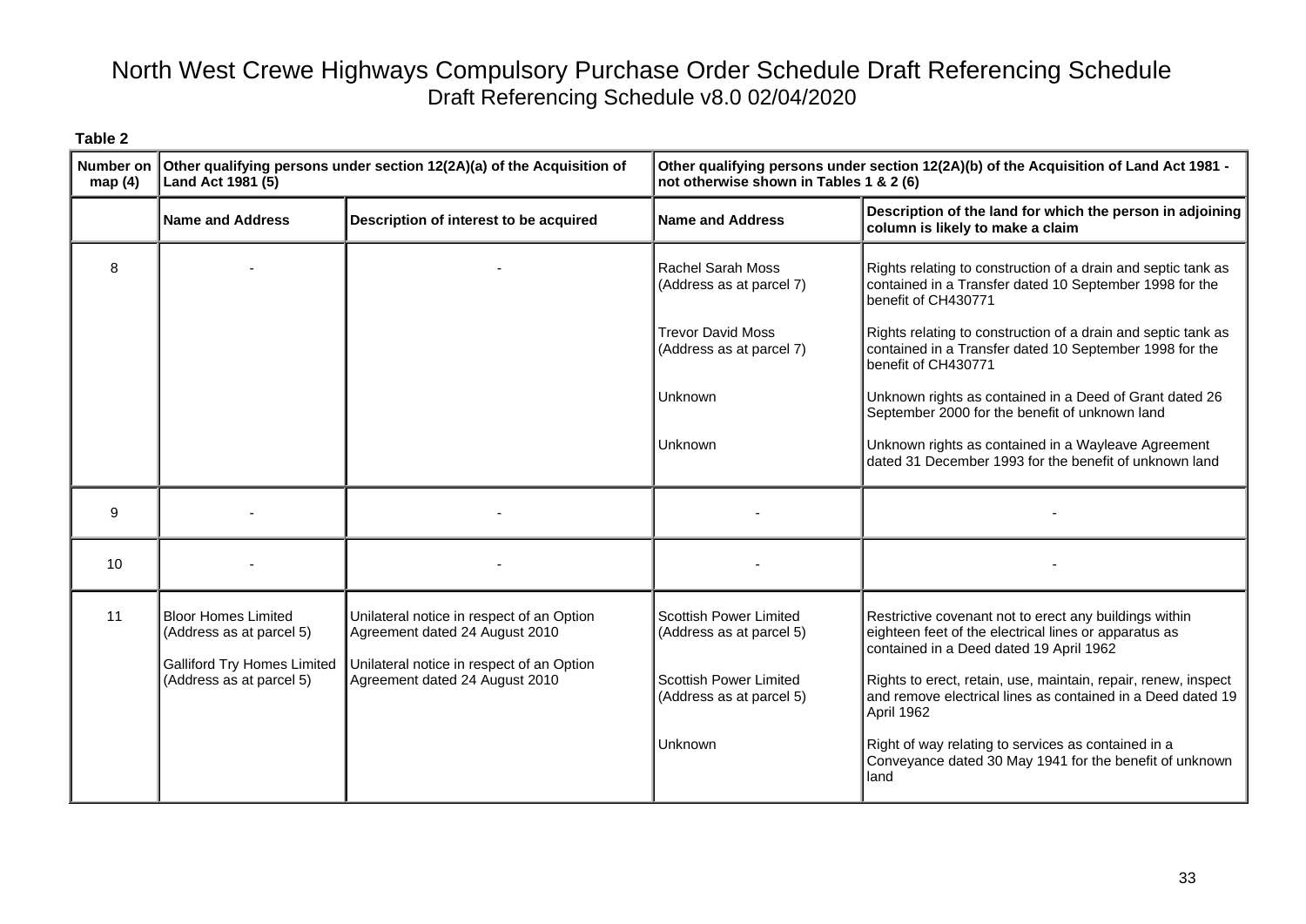| Number on<br>map(4) | Other qualifying persons under section 12(2A)(a) of the Acquisition of<br>Land Act 1981 (5)                              |                                                                                                                                                            | Other qualifying persons under section 12(2A)(b) of the Acquisition of Land Act 1981 -<br>not otherwise shown in Tables 1 & 2 (6) |                                                                                                                                                                                                                              |
|---------------------|--------------------------------------------------------------------------------------------------------------------------|------------------------------------------------------------------------------------------------------------------------------------------------------------|-----------------------------------------------------------------------------------------------------------------------------------|------------------------------------------------------------------------------------------------------------------------------------------------------------------------------------------------------------------------------|
|                     | <b>Name and Address</b>                                                                                                  | Description of interest to be acquired                                                                                                                     | <b>Name and Address</b>                                                                                                           | Description of the land for which the person in adjoining<br>column is likely to make a claim                                                                                                                                |
| 8                   |                                                                                                                          |                                                                                                                                                            | <b>Rachel Sarah Moss</b><br>(Address as at parcel 7)                                                                              | Rights relating to construction of a drain and septic tank as<br>contained in a Transfer dated 10 September 1998 for the<br>benefit of CH430771                                                                              |
|                     |                                                                                                                          |                                                                                                                                                            | <b>Trevor David Moss</b><br>(Address as at parcel 7)                                                                              | Rights relating to construction of a drain and septic tank as<br>contained in a Transfer dated 10 September 1998 for the<br>benefit of CH430771                                                                              |
|                     |                                                                                                                          |                                                                                                                                                            | Unknown                                                                                                                           | Unknown rights as contained in a Deed of Grant dated 26<br>September 2000 for the benefit of unknown land                                                                                                                    |
|                     |                                                                                                                          |                                                                                                                                                            | Unknown                                                                                                                           | Unknown rights as contained in a Wayleave Agreement<br>dated 31 December 1993 for the benefit of unknown land                                                                                                                |
| 9                   |                                                                                                                          |                                                                                                                                                            |                                                                                                                                   |                                                                                                                                                                                                                              |
| 10                  |                                                                                                                          |                                                                                                                                                            |                                                                                                                                   |                                                                                                                                                                                                                              |
| 11                  | <b>Bloor Homes Limited</b><br>(Address as at parcel 5)<br><b>Galliford Try Homes Limited</b><br>(Address as at parcel 5) | Unilateral notice in respect of an Option<br>Agreement dated 24 August 2010<br>Unilateral notice in respect of an Option<br>Agreement dated 24 August 2010 | <b>Scottish Power Limited</b><br>(Address as at parcel 5)<br><b>Scottish Power Limited</b>                                        | Restrictive covenant not to erect any buildings within<br>eighteen feet of the electrical lines or apparatus as<br>contained in a Deed dated 19 April 1962<br>Rights to erect, retain, use, maintain, repair, renew, inspect |
|                     |                                                                                                                          |                                                                                                                                                            | (Address as at parcel 5)                                                                                                          | and remove electrical lines as contained in a Deed dated 19<br>April 1962                                                                                                                                                    |
|                     |                                                                                                                          |                                                                                                                                                            | Unknown                                                                                                                           | Right of way relating to services as contained in a<br>Conveyance dated 30 May 1941 for the benefit of unknown<br>land                                                                                                       |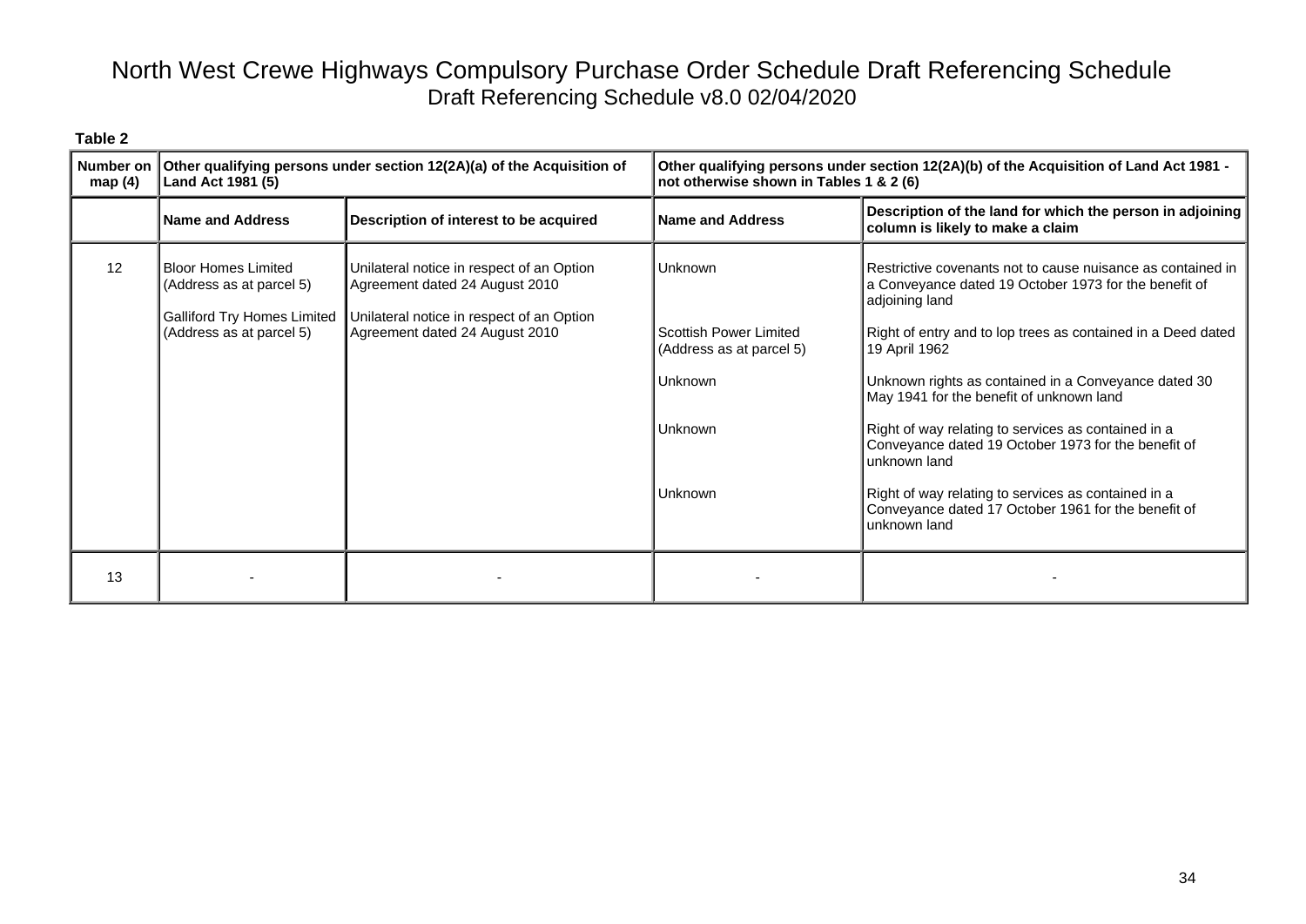| ٦.<br>н<br>.,<br>٠<br>٧<br>÷<br>÷<br>× |  |
|----------------------------------------|--|
|----------------------------------------|--|

| Number on<br>map $(4)$ | Other qualifying persons under section 12(2A)(a) of the Acquisition of<br>Land Act 1981 (5)                              |                                                                                                                                                            | Other qualifying persons under section 12(2A)(b) of the Acquisition of Land Act 1981 -<br>not otherwise shown in Tables 1 & 2 (6) |                                                                                                                                                                                                                                                                                                                                                                                                                                                                                                                                                                                         |
|------------------------|--------------------------------------------------------------------------------------------------------------------------|------------------------------------------------------------------------------------------------------------------------------------------------------------|-----------------------------------------------------------------------------------------------------------------------------------|-----------------------------------------------------------------------------------------------------------------------------------------------------------------------------------------------------------------------------------------------------------------------------------------------------------------------------------------------------------------------------------------------------------------------------------------------------------------------------------------------------------------------------------------------------------------------------------------|
|                        | Name and Address                                                                                                         | Description of interest to be acquired                                                                                                                     | <b>Name and Address</b>                                                                                                           | Description of the land for which the person in adjoining<br>column is likely to make a claim                                                                                                                                                                                                                                                                                                                                                                                                                                                                                           |
| 12                     | <b>Bloor Homes Limited</b><br>(Address as at parcel 5)<br><b>Galliford Try Homes Limited</b><br>(Address as at parcel 5) | Unilateral notice in respect of an Option<br>Agreement dated 24 August 2010<br>Unilateral notice in respect of an Option<br>Agreement dated 24 August 2010 | Unknown<br>Scottish Power Limited<br>(Address as at parcel 5)<br>Unknown<br>Unknown<br><b>Unknown</b>                             | Restrictive covenants not to cause nuisance as contained in<br>a Conveyance dated 19 October 1973 for the benefit of<br>adjoining land<br>Right of entry and to lop trees as contained in a Deed dated<br>19 April 1962<br>Unknown rights as contained in a Conveyance dated 30<br>May 1941 for the benefit of unknown land<br>Right of way relating to services as contained in a<br>Conveyance dated 19 October 1973 for the benefit of<br>unknown land<br>Right of way relating to services as contained in a<br>Conveyance dated 17 October 1961 for the benefit of<br>unknown land |
| 13                     |                                                                                                                          |                                                                                                                                                            |                                                                                                                                   |                                                                                                                                                                                                                                                                                                                                                                                                                                                                                                                                                                                         |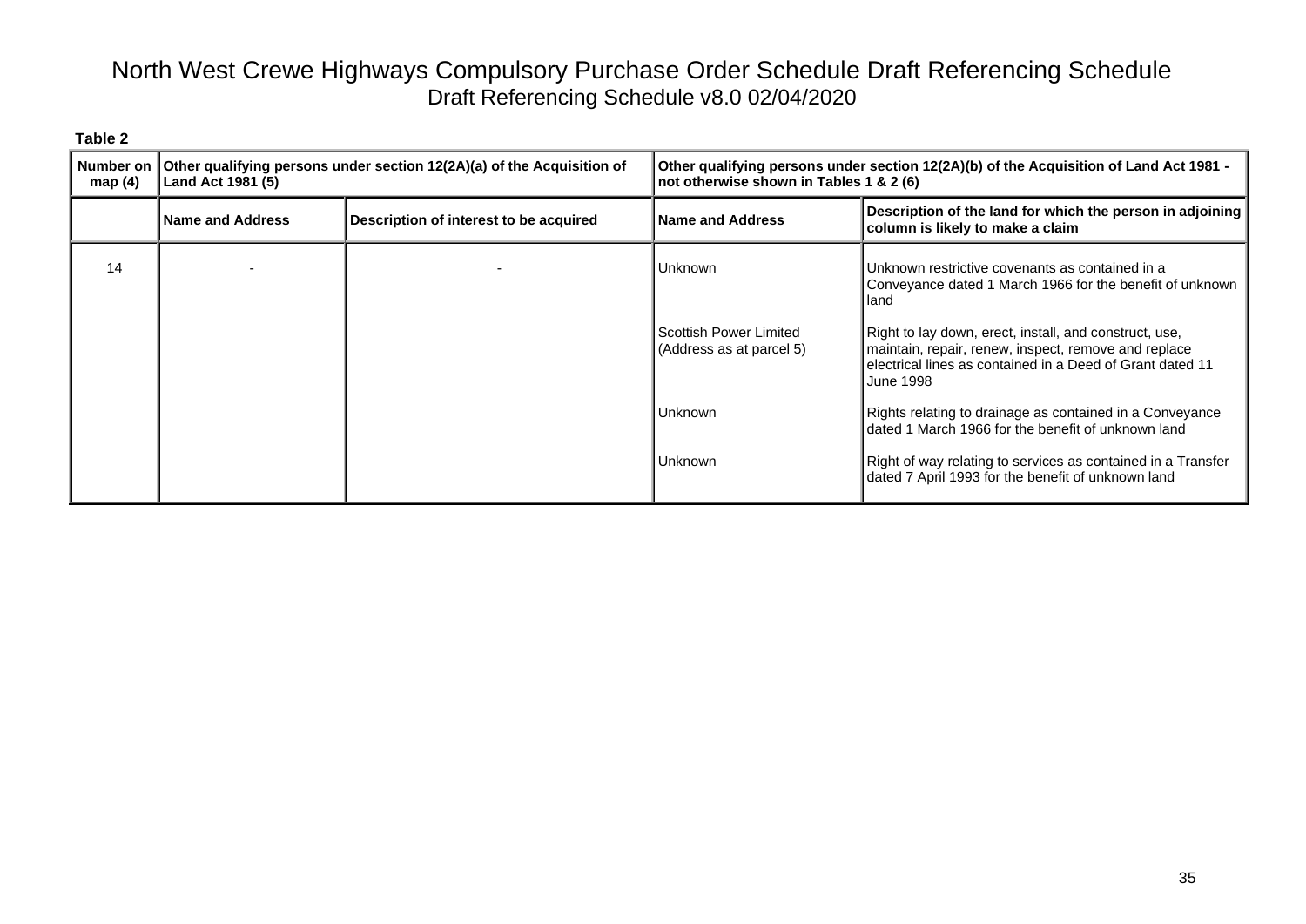| map $(4)$ | Number on Other qualifying persons under section 12(2A)(a) of the Acquisition of<br>Land Act 1981 (5) |                                        | Other qualifying persons under section 12(2A)(b) of the Acquisition of Land Act 1981 -<br>not otherwise shown in Tables 1 & 2 (6) |                                                                                                                                                                                                 |
|-----------|-------------------------------------------------------------------------------------------------------|----------------------------------------|-----------------------------------------------------------------------------------------------------------------------------------|-------------------------------------------------------------------------------------------------------------------------------------------------------------------------------------------------|
|           | <b>Name and Address</b>                                                                               | Description of interest to be acquired | <b>Name and Address</b>                                                                                                           | Description of the land for which the person in adjoining<br>column is likely to make a claim                                                                                                   |
| 14        |                                                                                                       |                                        | Unknown                                                                                                                           | Unknown restrictive covenants as contained in a<br>Conveyance dated 1 March 1966 for the benefit of unknown<br>Hand                                                                             |
|           |                                                                                                       |                                        | Scottish Power Limited<br>(Address as at parcel 5)                                                                                | Right to lay down, erect, install, and construct, use,<br>maintain, repair, renew, inspect, remove and replace<br>electrical lines as contained in a Deed of Grant dated 11<br><b>June 1998</b> |
|           |                                                                                                       |                                        | Unknown                                                                                                                           | Rights relating to drainage as contained in a Conveyance<br>dated 1 March 1966 for the benefit of unknown land                                                                                  |
|           |                                                                                                       |                                        | Unknown                                                                                                                           | Right of way relating to services as contained in a Transfer<br>dated 7 April 1993 for the benefit of unknown land                                                                              |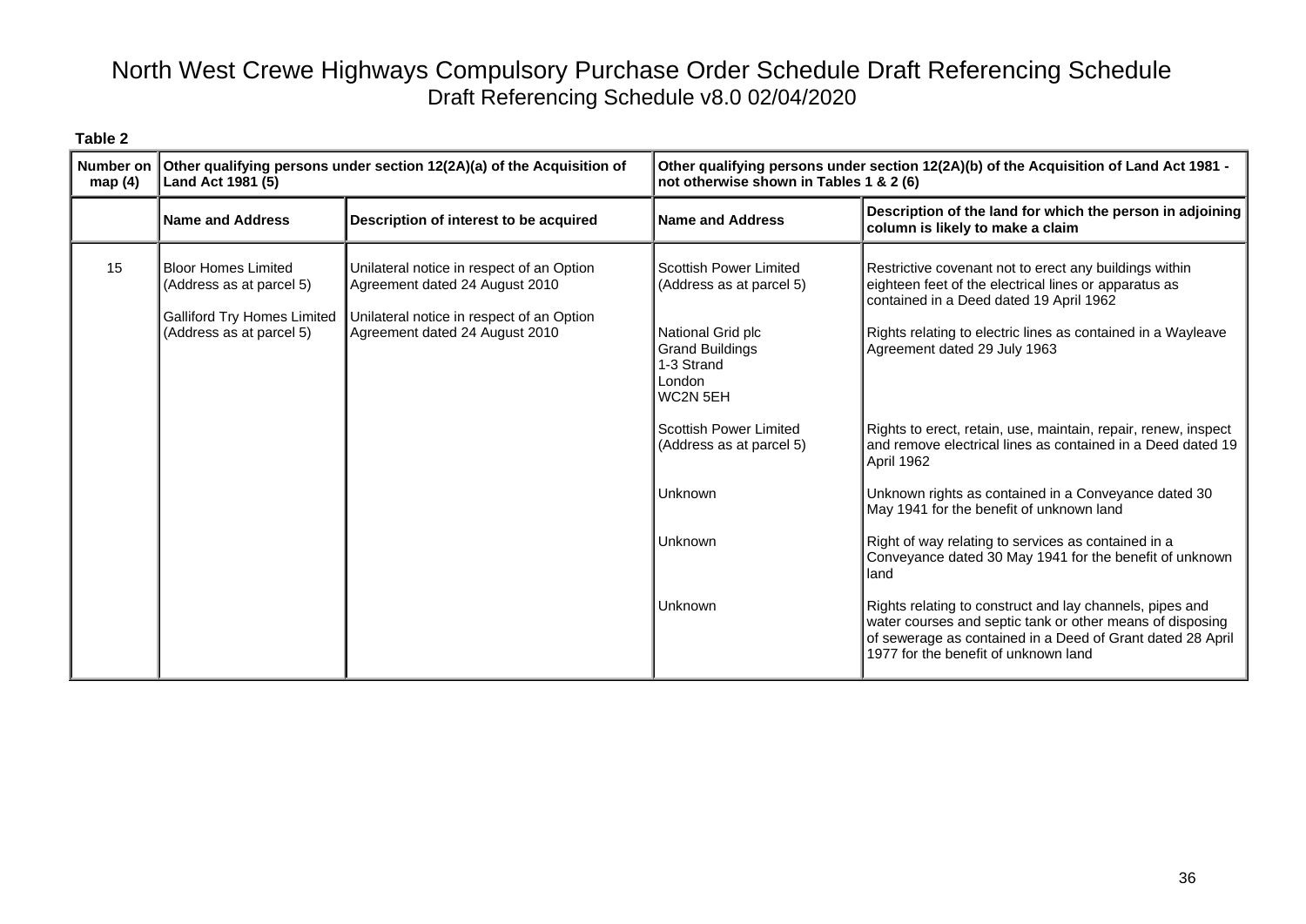| Table 2             |                                                                                                                          |                                                                                                                                                            |                                                                                                                                       |                                                                                                                                                                                                                                                            |
|---------------------|--------------------------------------------------------------------------------------------------------------------------|------------------------------------------------------------------------------------------------------------------------------------------------------------|---------------------------------------------------------------------------------------------------------------------------------------|------------------------------------------------------------------------------------------------------------------------------------------------------------------------------------------------------------------------------------------------------------|
| Number on<br>map(4) | Land Act 1981 (5)                                                                                                        | Other qualifying persons under section 12(2A)(a) of the Acquisition of                                                                                     | Other qualifying persons under section 12(2A)(b) of the Acquisition of Land Act 1981 -<br>not otherwise shown in Tables 1 & 2 (6)     |                                                                                                                                                                                                                                                            |
|                     | <b>Name and Address</b>                                                                                                  | Description of interest to be acquired                                                                                                                     | <b>Name and Address</b>                                                                                                               | Description of the land for which the person in adjoining<br>column is likely to make a claim                                                                                                                                                              |
| 15                  | <b>Bloor Homes Limited</b><br>(Address as at parcel 5)<br><b>Galliford Try Homes Limited</b><br>(Address as at parcel 5) | Unilateral notice in respect of an Option<br>Agreement dated 24 August 2010<br>Unilateral notice in respect of an Option<br>Agreement dated 24 August 2010 | Scottish Power Limited<br>(Address as at parcel 5)<br>National Grid plc<br><b>Grand Buildings</b><br>1-3 Strand<br>London<br>WC2N 5EH | Restrictive covenant not to erect any buildings within<br>eighteen feet of the electrical lines or apparatus as<br>contained in a Deed dated 19 April 1962<br>Rights relating to electric lines as contained in a Wayleave<br>Agreement dated 29 July 1963 |
|                     |                                                                                                                          |                                                                                                                                                            | Scottish Power Limited<br>(Address as at parcel 5)                                                                                    | Rights to erect, retain, use, maintain, repair, renew, inspect<br>and remove electrical lines as contained in a Deed dated 19<br>April 1962                                                                                                                |
|                     |                                                                                                                          |                                                                                                                                                            | Unknown                                                                                                                               | Unknown rights as contained in a Conveyance dated 30<br>May 1941 for the benefit of unknown land                                                                                                                                                           |
|                     |                                                                                                                          |                                                                                                                                                            | Unknown                                                                                                                               | Right of way relating to services as contained in a<br>Conveyance dated 30 May 1941 for the benefit of unknown<br>land                                                                                                                                     |
|                     |                                                                                                                          |                                                                                                                                                            | Unknown                                                                                                                               | Rights relating to construct and lay channels, pipes and<br>water courses and septic tank or other means of disposing<br>of sewerage as contained in a Deed of Grant dated 28 April<br>1977 for the benefit of unknown land                                |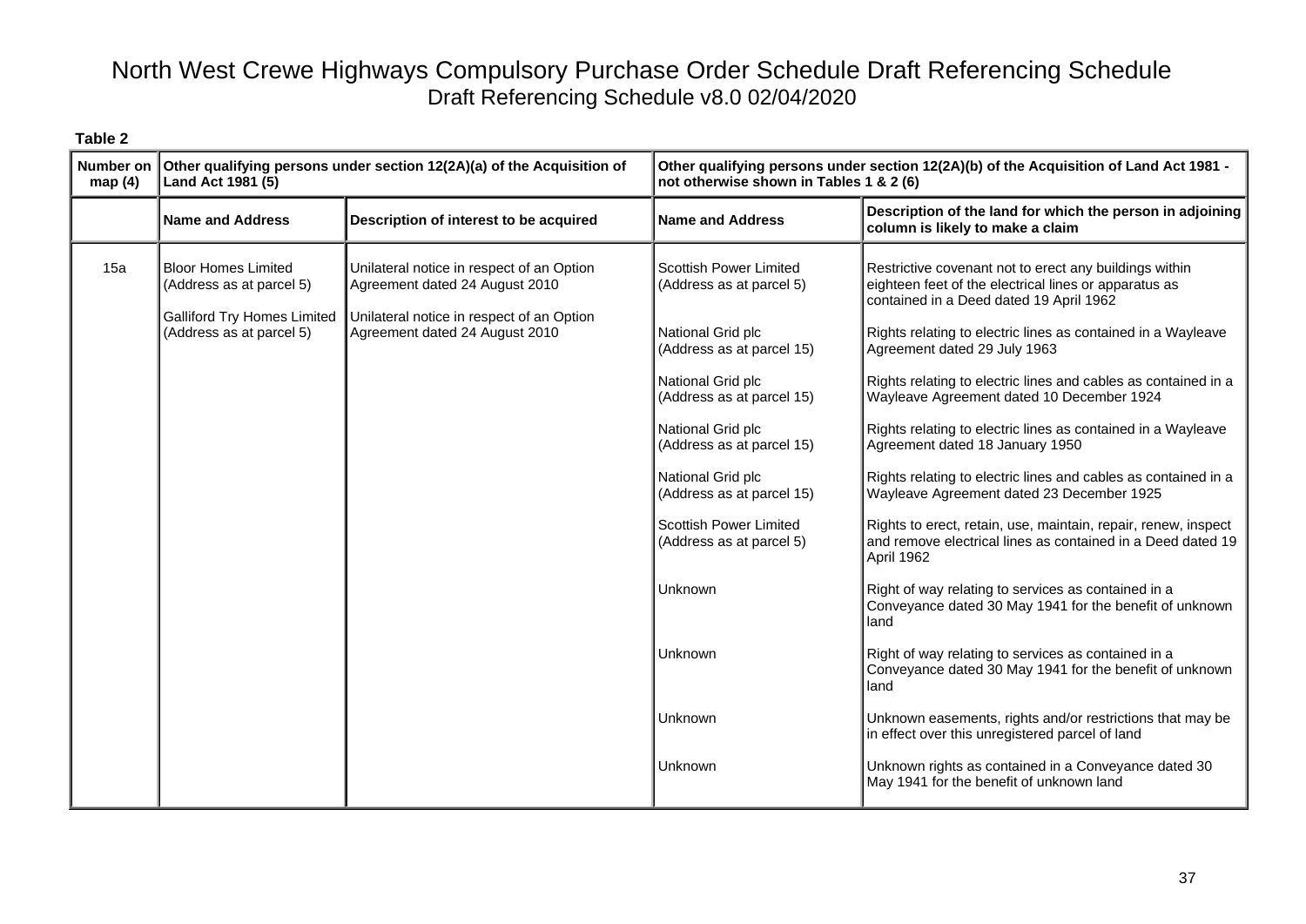| <b>Number on</b><br>map(4) | Other qualifying persons under section 12(2A)(a) of the Acquisition of<br>Land Act 1981 (5)                              |                                                                                                                                                            | Other qualifying persons under section 12(2A)(b) of the Acquisition of Land Act 1981 -<br>not otherwise shown in Tables 1 & 2 (6)                                                                                                                                                                                                                                   |                                                                                                                                                                                                                                                                                                                                                                                                                                                                                                                                                                                                                                                                                                                                                                                                                                                                                                                                                                                                                                                                                                                                                                                                                    |  |
|----------------------------|--------------------------------------------------------------------------------------------------------------------------|------------------------------------------------------------------------------------------------------------------------------------------------------------|---------------------------------------------------------------------------------------------------------------------------------------------------------------------------------------------------------------------------------------------------------------------------------------------------------------------------------------------------------------------|--------------------------------------------------------------------------------------------------------------------------------------------------------------------------------------------------------------------------------------------------------------------------------------------------------------------------------------------------------------------------------------------------------------------------------------------------------------------------------------------------------------------------------------------------------------------------------------------------------------------------------------------------------------------------------------------------------------------------------------------------------------------------------------------------------------------------------------------------------------------------------------------------------------------------------------------------------------------------------------------------------------------------------------------------------------------------------------------------------------------------------------------------------------------------------------------------------------------|--|
|                            | <b>Name and Address</b>                                                                                                  | Description of interest to be acquired                                                                                                                     | <b>Name and Address</b>                                                                                                                                                                                                                                                                                                                                             | Description of the land for which the person in adjoining<br>column is likely to make a claim                                                                                                                                                                                                                                                                                                                                                                                                                                                                                                                                                                                                                                                                                                                                                                                                                                                                                                                                                                                                                                                                                                                      |  |
| 15a                        | <b>Bloor Homes Limited</b><br>(Address as at parcel 5)<br><b>Galliford Try Homes Limited</b><br>(Address as at parcel 5) | Unilateral notice in respect of an Option<br>Agreement dated 24 August 2010<br>Unilateral notice in respect of an Option<br>Agreement dated 24 August 2010 | <b>Scottish Power Limited</b><br>(Address as at parcel 5)<br>National Grid plc<br>(Address as at parcel 15)<br>National Grid plc<br>(Address as at parcel 15)<br>National Grid plc<br>(Address as at parcel 15)<br>National Grid plc<br>(Address as at parcel 15)<br>Scottish Power Limited<br>(Address as at parcel 5)<br>Unknown<br>Unknown<br>Unknown<br>Unknown | Restrictive covenant not to erect any buildings within<br>eighteen feet of the electrical lines or apparatus as<br>contained in a Deed dated 19 April 1962<br>Rights relating to electric lines as contained in a Wayleave<br>Agreement dated 29 July 1963<br>Rights relating to electric lines and cables as contained in a<br>Wayleave Agreement dated 10 December 1924<br>Rights relating to electric lines as contained in a Wayleave<br>Agreement dated 18 January 1950<br>Rights relating to electric lines and cables as contained in a<br>Wayleave Agreement dated 23 December 1925<br>Rights to erect, retain, use, maintain, repair, renew, inspect<br>and remove electrical lines as contained in a Deed dated 19<br>April 1962<br>Right of way relating to services as contained in a<br>Conveyance dated 30 May 1941 for the benefit of unknown<br>land<br>Right of way relating to services as contained in a<br>Conveyance dated 30 May 1941 for the benefit of unknown<br>land<br>Unknown easements, rights and/or restrictions that may be<br>in effect over this unregistered parcel of land<br>Unknown rights as contained in a Conveyance dated 30<br>May 1941 for the benefit of unknown land |  |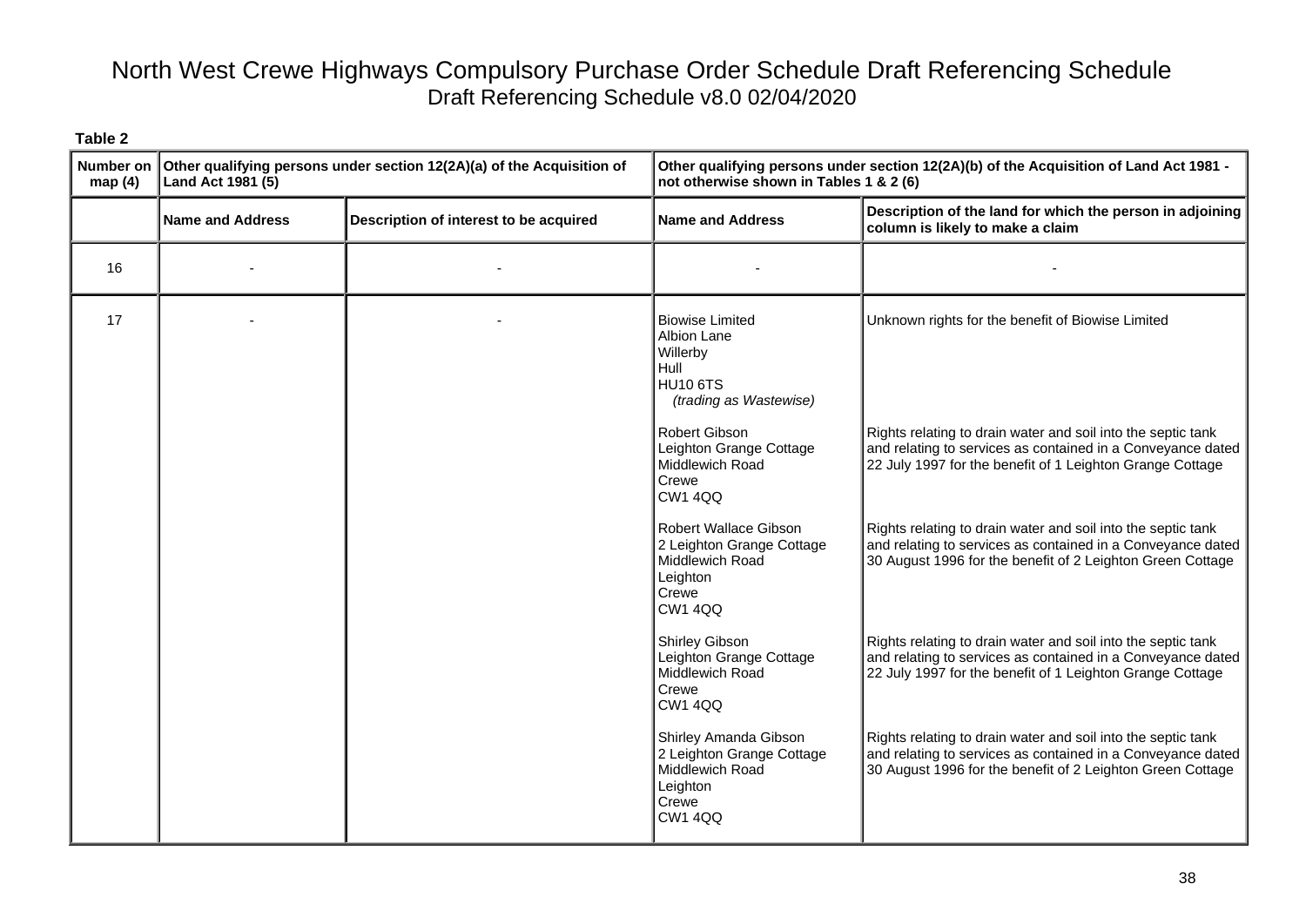| <b>Number on</b><br>map(4) | Other qualifying persons under section 12(2A)(a) of the Acquisition of<br>Land Act 1981 (5) |                                        | Other qualifying persons under section 12(2A)(b) of the Acquisition of Land Act 1981 -<br>not otherwise shown in Tables 1 & 2 (6) |                                                                                                                                                                                           |
|----------------------------|---------------------------------------------------------------------------------------------|----------------------------------------|-----------------------------------------------------------------------------------------------------------------------------------|-------------------------------------------------------------------------------------------------------------------------------------------------------------------------------------------|
|                            | <b>Name and Address</b>                                                                     | Description of interest to be acquired | <b>Name and Address</b>                                                                                                           | Description of the land for which the person in adjoining<br>column is likely to make a claim                                                                                             |
| 16                         |                                                                                             |                                        |                                                                                                                                   |                                                                                                                                                                                           |
| 17                         |                                                                                             |                                        | <b>Biowise Limited</b><br>Albion Lane<br>Willerby<br>Hull<br>HU <sub>10</sub> 6TS<br>(trading as Wastewise)                       | Unknown rights for the benefit of Biowise Limited                                                                                                                                         |
|                            |                                                                                             |                                        | Robert Gibson<br>Leighton Grange Cottage<br>Middlewich Road<br>Crewe<br><b>CW1 4QQ</b>                                            | Rights relating to drain water and soil into the septic tank<br>and relating to services as contained in a Conveyance dated<br>22 July 1997 for the benefit of 1 Leighton Grange Cottage  |
|                            |                                                                                             |                                        | Robert Wallace Gibson<br>2 Leighton Grange Cottage<br>Middlewich Road<br>Leighton<br>Crewe<br><b>CW1 4QQ</b>                      | Rights relating to drain water and soil into the septic tank<br>and relating to services as contained in a Conveyance dated<br>30 August 1996 for the benefit of 2 Leighton Green Cottage |
|                            |                                                                                             |                                        | <b>Shirley Gibson</b><br>Leighton Grange Cottage<br>Middlewich Road<br>Crewe<br><b>CW1 4QQ</b>                                    | Rights relating to drain water and soil into the septic tank<br>and relating to services as contained in a Conveyance dated<br>22 July 1997 for the benefit of 1 Leighton Grange Cottage  |
|                            |                                                                                             |                                        | Shirley Amanda Gibson<br>2 Leighton Grange Cottage<br>Middlewich Road<br>Leighton<br>Crewe<br><b>CW1 4QQ</b>                      | Rights relating to drain water and soil into the septic tank<br>and relating to services as contained in a Conveyance dated<br>30 August 1996 for the benefit of 2 Leighton Green Cottage |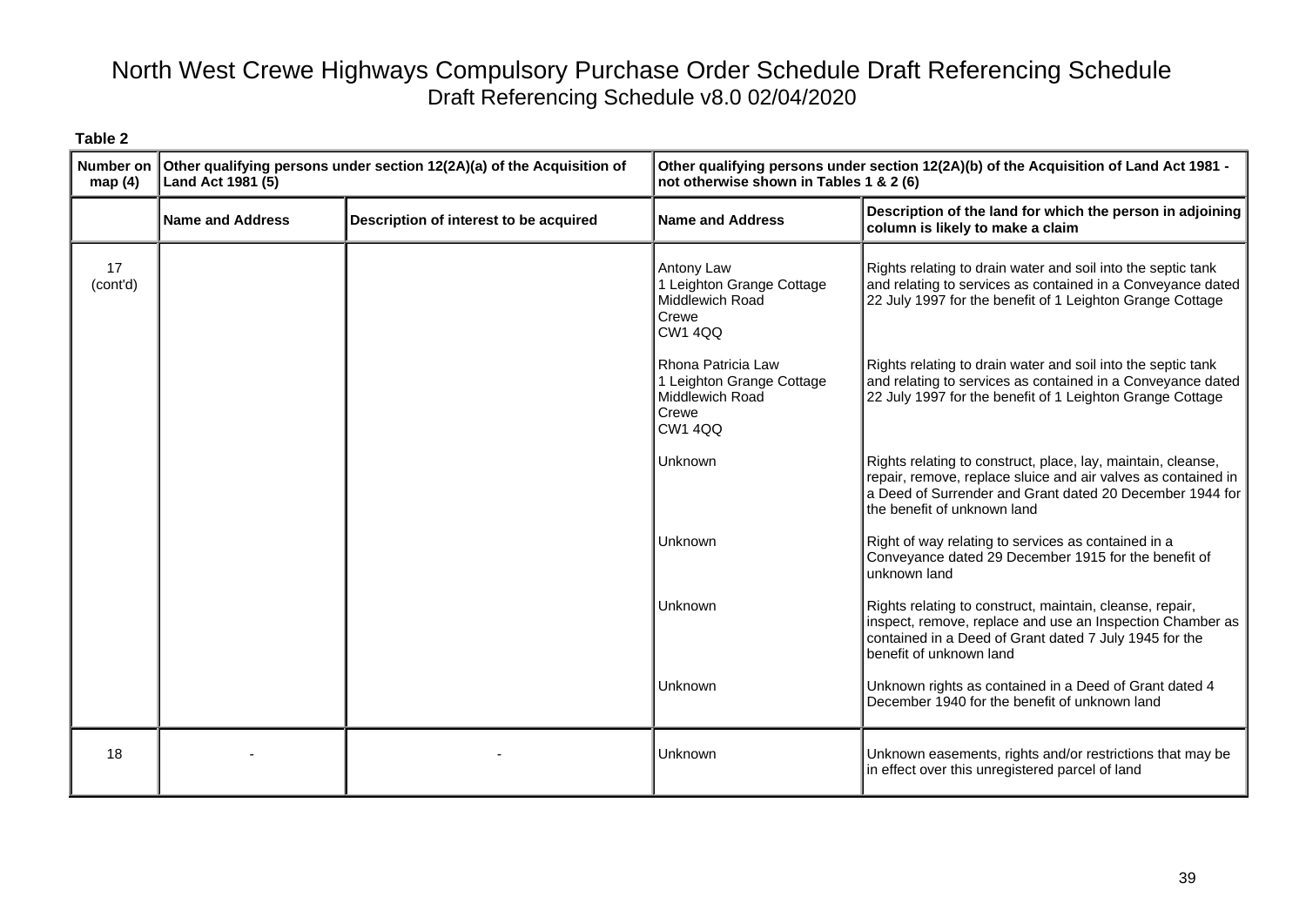| Number on<br>map(4) | Other qualifying persons under section 12(2A)(a) of the Acquisition of<br>Land Act 1981 (5) |                                        | Other qualifying persons under section 12(2A)(b) of the Acquisition of Land Act 1981 -<br>not otherwise shown in Tables 1 & 2 (6) |                                                                                                                                                                                                                          |
|---------------------|---------------------------------------------------------------------------------------------|----------------------------------------|-----------------------------------------------------------------------------------------------------------------------------------|--------------------------------------------------------------------------------------------------------------------------------------------------------------------------------------------------------------------------|
|                     | <b>Name and Address</b>                                                                     | Description of interest to be acquired | <b>Name and Address</b>                                                                                                           | Description of the land for which the person in adjoining<br>column is likely to make a claim                                                                                                                            |
| 17<br>(cont'd)      |                                                                                             |                                        | Antony Law<br>1 Leighton Grange Cottage<br>Middlewich Road<br>Crewe<br><b>CW1 4QQ</b>                                             | Rights relating to drain water and soil into the septic tank<br>and relating to services as contained in a Conveyance dated<br>22 July 1997 for the benefit of 1 Leighton Grange Cottage                                 |
|                     |                                                                                             |                                        | Rhona Patricia Law<br>1 Leighton Grange Cottage<br>Middlewich Road<br>Crewe<br><b>CW1 4QQ</b>                                     | Rights relating to drain water and soil into the septic tank<br>and relating to services as contained in a Conveyance dated<br>22 July 1997 for the benefit of 1 Leighton Grange Cottage                                 |
|                     |                                                                                             |                                        | Unknown                                                                                                                           | Rights relating to construct, place, lay, maintain, cleanse,<br>repair, remove, replace sluice and air valves as contained in<br>a Deed of Surrender and Grant dated 20 December 1944 for<br>the benefit of unknown land |
|                     |                                                                                             |                                        | Unknown                                                                                                                           | Right of way relating to services as contained in a<br>Conveyance dated 29 December 1915 for the benefit of<br>unknown land                                                                                              |
|                     |                                                                                             |                                        | Unknown                                                                                                                           | Rights relating to construct, maintain, cleanse, repair,<br>inspect, remove, replace and use an Inspection Chamber as<br>contained in a Deed of Grant dated 7 July 1945 for the<br>benefit of unknown land               |
|                     |                                                                                             |                                        | Unknown                                                                                                                           | Unknown rights as contained in a Deed of Grant dated 4<br>December 1940 for the benefit of unknown land                                                                                                                  |
| 18                  |                                                                                             |                                        | Unknown                                                                                                                           | Unknown easements, rights and/or restrictions that may be<br>in effect over this unregistered parcel of land                                                                                                             |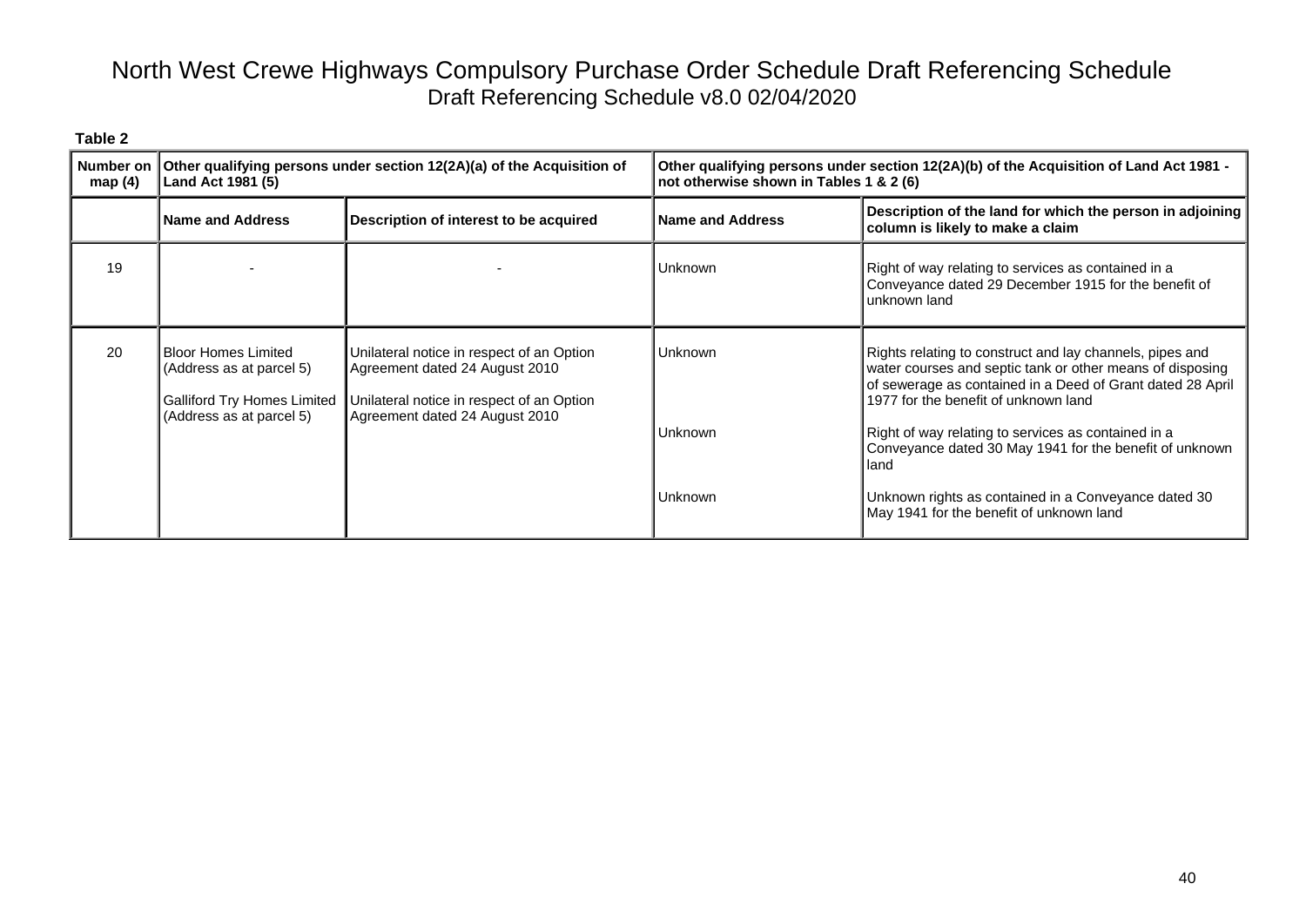| map $(4)$ | Number on   Other qualifying persons under section 12(2A)(a) of the Acquisition of<br>Land Act 1981 (5)                  |                                                                                                                                                            | Other qualifying persons under section 12(2A)(b) of the Acquisition of Land Act 1981 -<br>not otherwise shown in Tables 1 & 2 (6) |                                                                                                                                                                                                                                                                                                                                               |
|-----------|--------------------------------------------------------------------------------------------------------------------------|------------------------------------------------------------------------------------------------------------------------------------------------------------|-----------------------------------------------------------------------------------------------------------------------------------|-----------------------------------------------------------------------------------------------------------------------------------------------------------------------------------------------------------------------------------------------------------------------------------------------------------------------------------------------|
|           | <b>Name and Address</b>                                                                                                  | Description of interest to be acquired                                                                                                                     | <b>IName and Address</b>                                                                                                          | Description of the land for which the person in adjoining<br>column is likely to make a claim                                                                                                                                                                                                                                                 |
| 19        |                                                                                                                          |                                                                                                                                                            | <b>Unknown</b>                                                                                                                    | Right of way relating to services as contained in a<br>Conveyance dated 29 December 1915 for the benefit of<br>unknown land                                                                                                                                                                                                                   |
| 20        | <b>Bloor Homes Limited</b><br>(Address as at parcel 5)<br><b>Galliford Try Homes Limited</b><br>(Address as at parcel 5) | Unilateral notice in respect of an Option<br>Agreement dated 24 August 2010<br>Unilateral notice in respect of an Option<br>Agreement dated 24 August 2010 | <b>Unknown</b><br><b>Unknown</b>                                                                                                  | Rights relating to construct and lay channels, pipes and<br>water courses and septic tank or other means of disposing<br>of sewerage as contained in a Deed of Grant dated 28 April<br>1977 for the benefit of unknown land<br>Right of way relating to services as contained in a<br>Conveyance dated 30 May 1941 for the benefit of unknown |
|           |                                                                                                                          |                                                                                                                                                            | <b>Unknown</b>                                                                                                                    | land<br>Unknown rights as contained in a Conveyance dated 30<br>May 1941 for the benefit of unknown land                                                                                                                                                                                                                                      |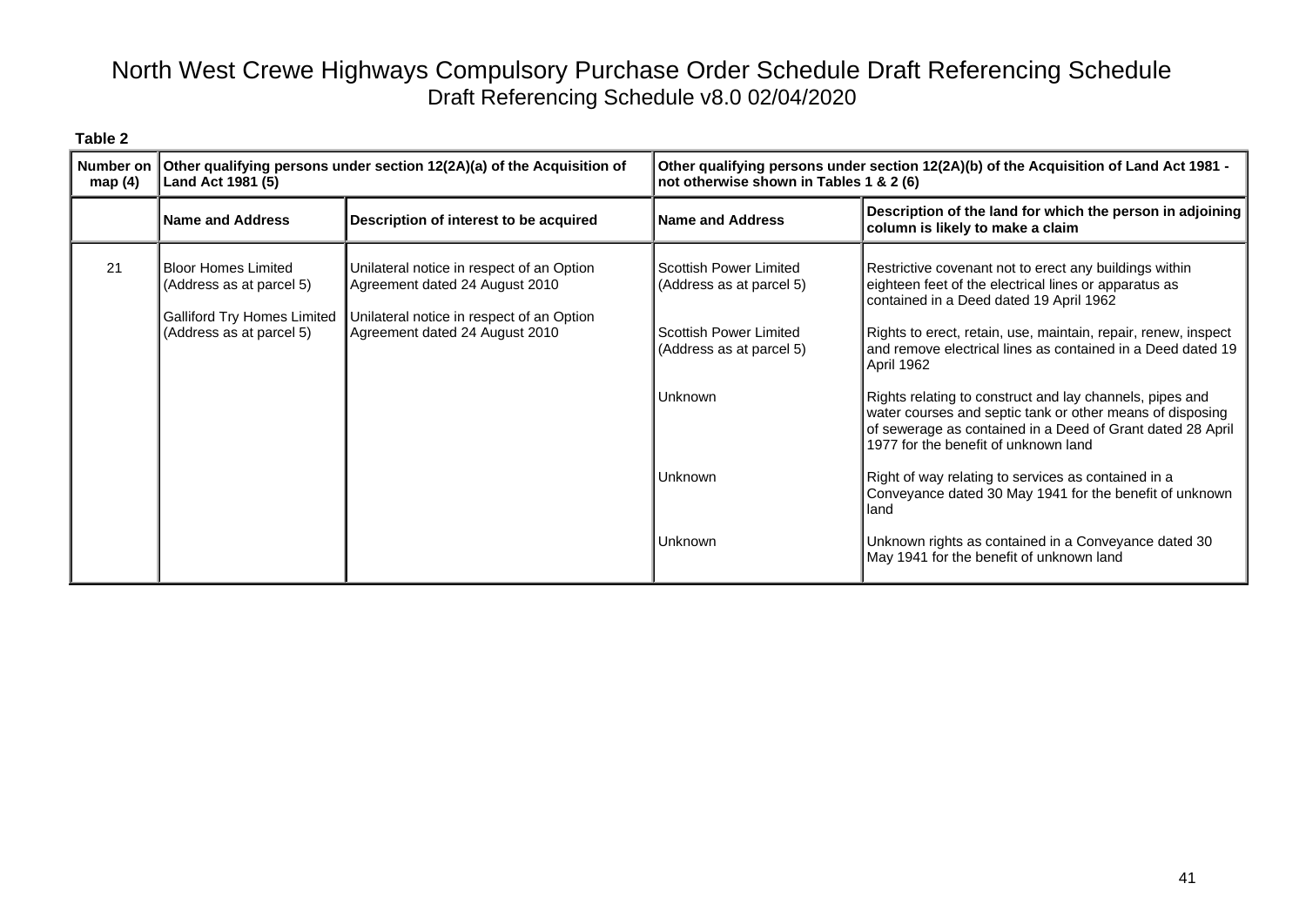| ٦.<br>н<br>.,<br>٠<br>٧<br>÷<br>÷<br>× |  |
|----------------------------------------|--|
|----------------------------------------|--|

| <b>Number on</b><br>map $(4)$ | Other qualifying persons under section 12(2A)(a) of the Acquisition of<br>Land Act 1981 (5)                              |                                                                                                                                                            | Other qualifying persons under section 12(2A)(b) of the Acquisition of Land Act 1981 -<br>not otherwise shown in Tables 1 & 2 (6)                |                                                                                                                                                                                                                                                                                                                                                                                                                                                                                                                                                                                                                                                                                                                                                                        |
|-------------------------------|--------------------------------------------------------------------------------------------------------------------------|------------------------------------------------------------------------------------------------------------------------------------------------------------|--------------------------------------------------------------------------------------------------------------------------------------------------|------------------------------------------------------------------------------------------------------------------------------------------------------------------------------------------------------------------------------------------------------------------------------------------------------------------------------------------------------------------------------------------------------------------------------------------------------------------------------------------------------------------------------------------------------------------------------------------------------------------------------------------------------------------------------------------------------------------------------------------------------------------------|
|                               | Name and Address                                                                                                         | Description of interest to be acquired                                                                                                                     | <b>Name and Address</b>                                                                                                                          | Description of the land for which the person in adjoining<br>column is likely to make a claim                                                                                                                                                                                                                                                                                                                                                                                                                                                                                                                                                                                                                                                                          |
| 21                            | <b>Bloor Homes Limited</b><br>(Address as at parcel 5)<br><b>Galliford Try Homes Limited</b><br>(Address as at parcel 5) | Unilateral notice in respect of an Option<br>Agreement dated 24 August 2010<br>Unilateral notice in respect of an Option<br>Agreement dated 24 August 2010 | Scottish Power Limited<br>(Address as at parcel 5)<br>Scottish Power Limited<br>(Address as at parcel 5)<br><b>Unknown</b><br>Unknown<br>Unknown | Restrictive covenant not to erect any buildings within<br>eighteen feet of the electrical lines or apparatus as<br>contained in a Deed dated 19 April 1962<br>Rights to erect, retain, use, maintain, repair, renew, inspect<br>and remove electrical lines as contained in a Deed dated 19<br>April 1962<br>Rights relating to construct and lay channels, pipes and<br>water courses and septic tank or other means of disposing<br>of sewerage as contained in a Deed of Grant dated 28 April<br>1977 for the benefit of unknown land<br>Right of way relating to services as contained in a<br>Conveyance dated 30 May 1941 for the benefit of unknown<br>land<br>Unknown rights as contained in a Conveyance dated 30<br>May 1941 for the benefit of unknown land |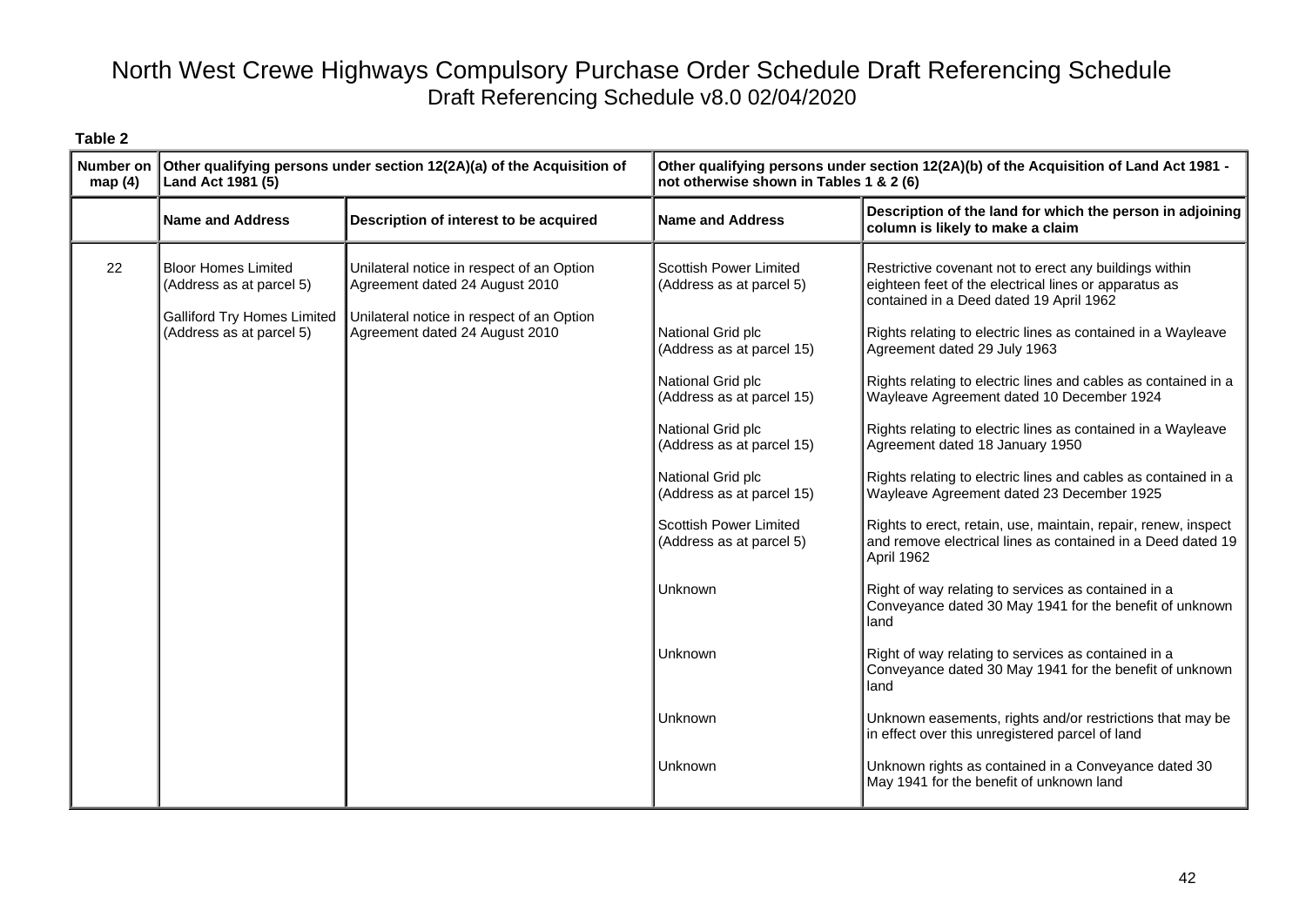| <b>Number on</b><br>map(4) | Other qualifying persons under section 12(2A)(a) of the Acquisition of<br>Land Act 1981 (5)                              |                                                                                                                                                            | Other qualifying persons under section 12(2A)(b) of the Acquisition of Land Act 1981 -<br>not otherwise shown in Tables 1 & 2 (6)                                                                                                                                                                                                                                   |                                                                                                                                                                                                                                                                                                                                                                                                                                                                                                                                                                                                                                                                                                                                                                                                                                                                                                                                                                                                                                                                                                                                                                                                                    |
|----------------------------|--------------------------------------------------------------------------------------------------------------------------|------------------------------------------------------------------------------------------------------------------------------------------------------------|---------------------------------------------------------------------------------------------------------------------------------------------------------------------------------------------------------------------------------------------------------------------------------------------------------------------------------------------------------------------|--------------------------------------------------------------------------------------------------------------------------------------------------------------------------------------------------------------------------------------------------------------------------------------------------------------------------------------------------------------------------------------------------------------------------------------------------------------------------------------------------------------------------------------------------------------------------------------------------------------------------------------------------------------------------------------------------------------------------------------------------------------------------------------------------------------------------------------------------------------------------------------------------------------------------------------------------------------------------------------------------------------------------------------------------------------------------------------------------------------------------------------------------------------------------------------------------------------------|
|                            | <b>Name and Address</b>                                                                                                  | Description of interest to be acquired                                                                                                                     | <b>Name and Address</b>                                                                                                                                                                                                                                                                                                                                             | Description of the land for which the person in adjoining<br>column is likely to make a claim                                                                                                                                                                                                                                                                                                                                                                                                                                                                                                                                                                                                                                                                                                                                                                                                                                                                                                                                                                                                                                                                                                                      |
| 22                         | <b>Bloor Homes Limited</b><br>(Address as at parcel 5)<br><b>Galliford Try Homes Limited</b><br>(Address as at parcel 5) | Unilateral notice in respect of an Option<br>Agreement dated 24 August 2010<br>Unilateral notice in respect of an Option<br>Agreement dated 24 August 2010 | <b>Scottish Power Limited</b><br>(Address as at parcel 5)<br>National Grid plc<br>(Address as at parcel 15)<br>National Grid plc<br>(Address as at parcel 15)<br>National Grid plc<br>(Address as at parcel 15)<br>National Grid plc<br>(Address as at parcel 15)<br>Scottish Power Limited<br>(Address as at parcel 5)<br>Unknown<br>Unknown<br>Unknown<br>Unknown | Restrictive covenant not to erect any buildings within<br>eighteen feet of the electrical lines or apparatus as<br>contained in a Deed dated 19 April 1962<br>Rights relating to electric lines as contained in a Wayleave<br>Agreement dated 29 July 1963<br>Rights relating to electric lines and cables as contained in a<br>Wayleave Agreement dated 10 December 1924<br>Rights relating to electric lines as contained in a Wayleave<br>Agreement dated 18 January 1950<br>Rights relating to electric lines and cables as contained in a<br>Wayleave Agreement dated 23 December 1925<br>Rights to erect, retain, use, maintain, repair, renew, inspect<br>and remove electrical lines as contained in a Deed dated 19<br>April 1962<br>Right of way relating to services as contained in a<br>Conveyance dated 30 May 1941 for the benefit of unknown<br>land<br>Right of way relating to services as contained in a<br>Conveyance dated 30 May 1941 for the benefit of unknown<br>land<br>Unknown easements, rights and/or restrictions that may be<br>in effect over this unregistered parcel of land<br>Unknown rights as contained in a Conveyance dated 30<br>May 1941 for the benefit of unknown land |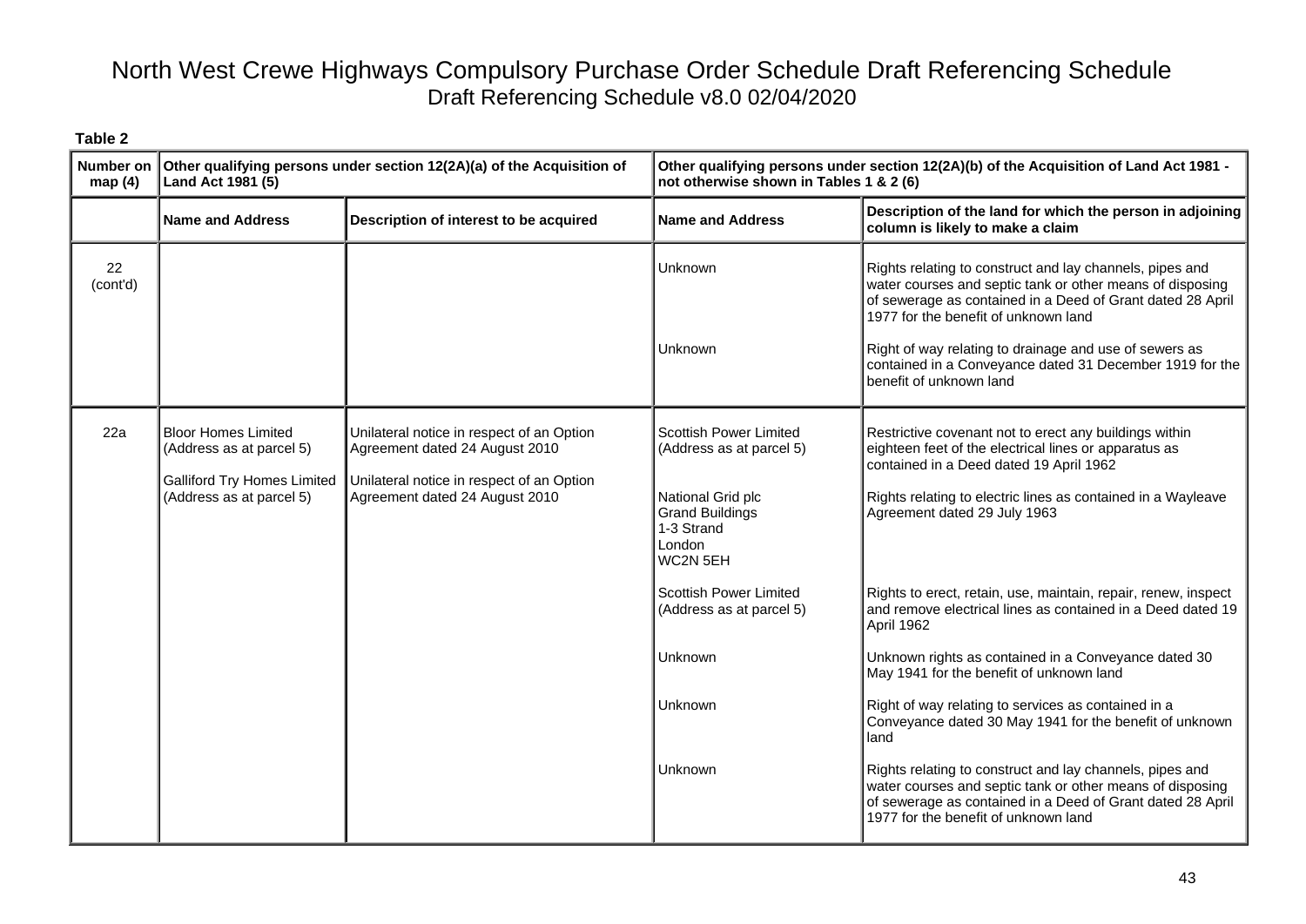| <b>Number on</b><br>map $(4)$ | Other qualifying persons under section 12(2A)(a) of the Acquisition of<br>Land Act 1981 (5)                              |                                                                                                                                                            | Other qualifying persons under section 12(2A)(b) of the Acquisition of Land Act 1981 -<br>not otherwise shown in Tables 1 & 2 (6)     |                                                                                                                                                                                                                                                                                                                                                                              |
|-------------------------------|--------------------------------------------------------------------------------------------------------------------------|------------------------------------------------------------------------------------------------------------------------------------------------------------|---------------------------------------------------------------------------------------------------------------------------------------|------------------------------------------------------------------------------------------------------------------------------------------------------------------------------------------------------------------------------------------------------------------------------------------------------------------------------------------------------------------------------|
|                               | <b>Name and Address</b>                                                                                                  | Description of interest to be acquired                                                                                                                     | <b>Name and Address</b>                                                                                                               | Description of the land for which the person in adjoining<br>column is likely to make a claim                                                                                                                                                                                                                                                                                |
| 22<br>(cont'd)                |                                                                                                                          |                                                                                                                                                            | Unknown<br>Unknown                                                                                                                    | Rights relating to construct and lay channels, pipes and<br>water courses and septic tank or other means of disposing<br>of sewerage as contained in a Deed of Grant dated 28 April<br>1977 for the benefit of unknown land<br>Right of way relating to drainage and use of sewers as<br>contained in a Conveyance dated 31 December 1919 for the<br>benefit of unknown land |
| 22a                           | <b>Bloor Homes Limited</b><br>(Address as at parcel 5)<br><b>Galliford Try Homes Limited</b><br>(Address as at parcel 5) | Unilateral notice in respect of an Option<br>Agreement dated 24 August 2010<br>Unilateral notice in respect of an Option<br>Agreement dated 24 August 2010 | Scottish Power Limited<br>(Address as at parcel 5)<br>National Grid plc<br><b>Grand Buildings</b><br>1-3 Strand<br>London<br>WC2N 5EH | Restrictive covenant not to erect any buildings within<br>eighteen feet of the electrical lines or apparatus as<br>contained in a Deed dated 19 April 1962<br>Rights relating to electric lines as contained in a Wayleave<br>Agreement dated 29 July 1963                                                                                                                   |
|                               |                                                                                                                          |                                                                                                                                                            | Scottish Power Limited<br>(Address as at parcel 5)                                                                                    | Rights to erect, retain, use, maintain, repair, renew, inspect<br>and remove electrical lines as contained in a Deed dated 19<br>April 1962                                                                                                                                                                                                                                  |
|                               |                                                                                                                          |                                                                                                                                                            | Unknown                                                                                                                               | Unknown rights as contained in a Conveyance dated 30<br>May 1941 for the benefit of unknown land                                                                                                                                                                                                                                                                             |
|                               |                                                                                                                          |                                                                                                                                                            | Unknown                                                                                                                               | Right of way relating to services as contained in a<br>Conveyance dated 30 May 1941 for the benefit of unknown<br>land                                                                                                                                                                                                                                                       |
|                               |                                                                                                                          |                                                                                                                                                            | Unknown                                                                                                                               | Rights relating to construct and lay channels, pipes and<br>water courses and septic tank or other means of disposing<br>of sewerage as contained in a Deed of Grant dated 28 April<br>1977 for the benefit of unknown land                                                                                                                                                  |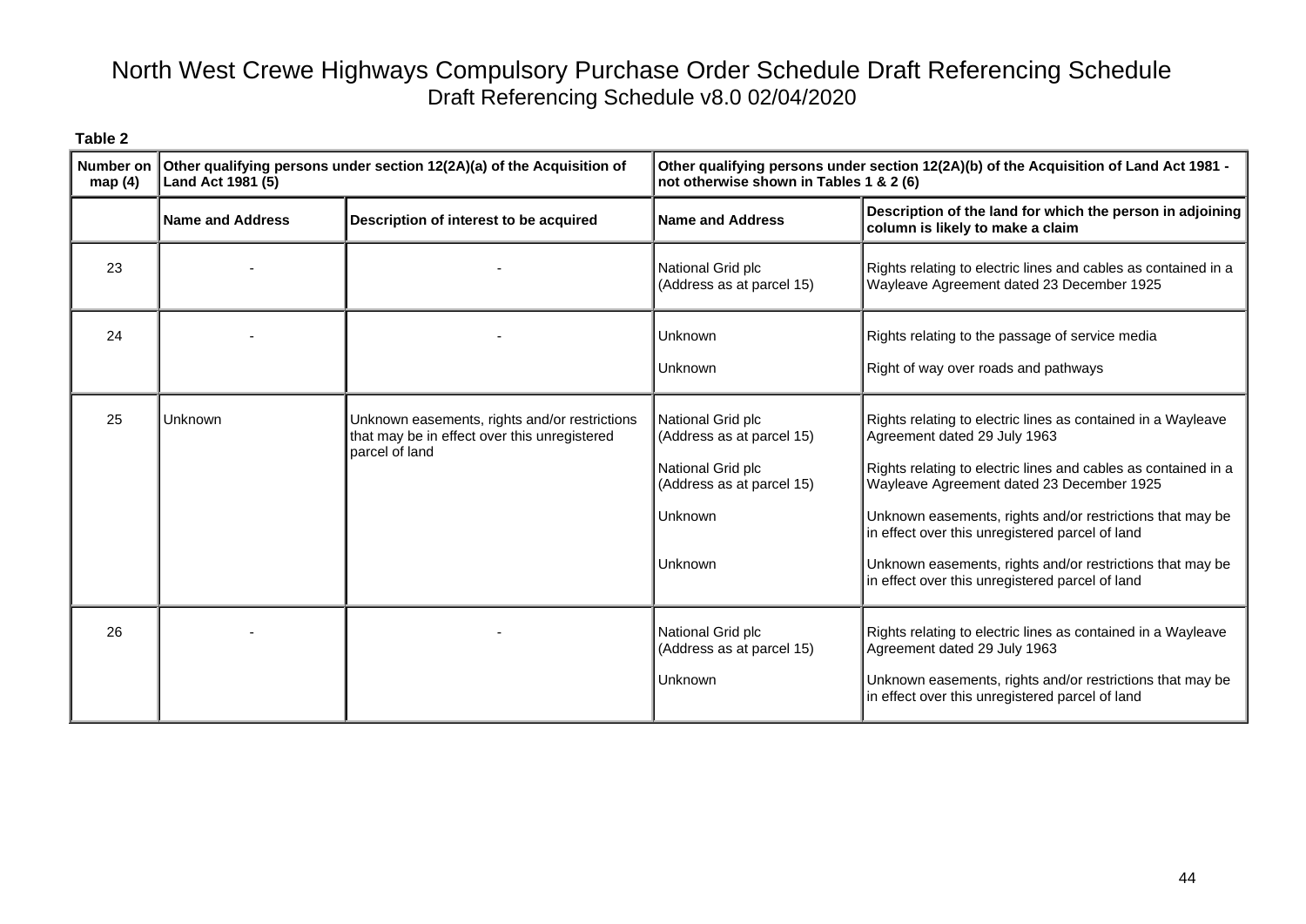| map(4) | Number on $\vert$ Other qualifying persons under section 12(2A)(a) of the Acquisition of<br>Land Act 1981 (5) |                                                                                                                 | Other qualifying persons under section 12(2A)(b) of the Acquisition of Land Act 1981 -<br>not otherwise shown in Tables 1 & 2 (6) |                                                                                                                                                                                                                                                                                                                                                                                                                                             |
|--------|---------------------------------------------------------------------------------------------------------------|-----------------------------------------------------------------------------------------------------------------|-----------------------------------------------------------------------------------------------------------------------------------|---------------------------------------------------------------------------------------------------------------------------------------------------------------------------------------------------------------------------------------------------------------------------------------------------------------------------------------------------------------------------------------------------------------------------------------------|
|        | <b>Name and Address</b>                                                                                       | Description of interest to be acquired                                                                          | <b>Name and Address</b>                                                                                                           | Description of the land for which the person in adjoining<br>column is likely to make a claim                                                                                                                                                                                                                                                                                                                                               |
| 23     |                                                                                                               |                                                                                                                 | National Grid plc<br>(Address as at parcel 15)                                                                                    | Rights relating to electric lines and cables as contained in a<br>Wayleave Agreement dated 23 December 1925                                                                                                                                                                                                                                                                                                                                 |
| 24     |                                                                                                               |                                                                                                                 | Unknown<br>Unknown                                                                                                                | Rights relating to the passage of service media<br>Right of way over roads and pathways                                                                                                                                                                                                                                                                                                                                                     |
| 25     | Unknown                                                                                                       | Unknown easements, rights and/or restrictions<br>that may be in effect over this unregistered<br>parcel of land | National Grid plc<br>(Address as at parcel 15)<br>National Grid plc<br>(Address as at parcel 15)<br>Unknown<br>Unknown            | Rights relating to electric lines as contained in a Wayleave<br>Agreement dated 29 July 1963<br>Rights relating to electric lines and cables as contained in a<br>Wayleave Agreement dated 23 December 1925<br>Unknown easements, rights and/or restrictions that may be<br>in effect over this unregistered parcel of land<br>Unknown easements, rights and/or restrictions that may be<br>in effect over this unregistered parcel of land |
| 26     |                                                                                                               |                                                                                                                 | National Grid plc<br>(Address as at parcel 15)<br>Unknown                                                                         | Rights relating to electric lines as contained in a Wayleave<br>Agreement dated 29 July 1963<br>Unknown easements, rights and/or restrictions that may be<br>in effect over this unregistered parcel of land                                                                                                                                                                                                                                |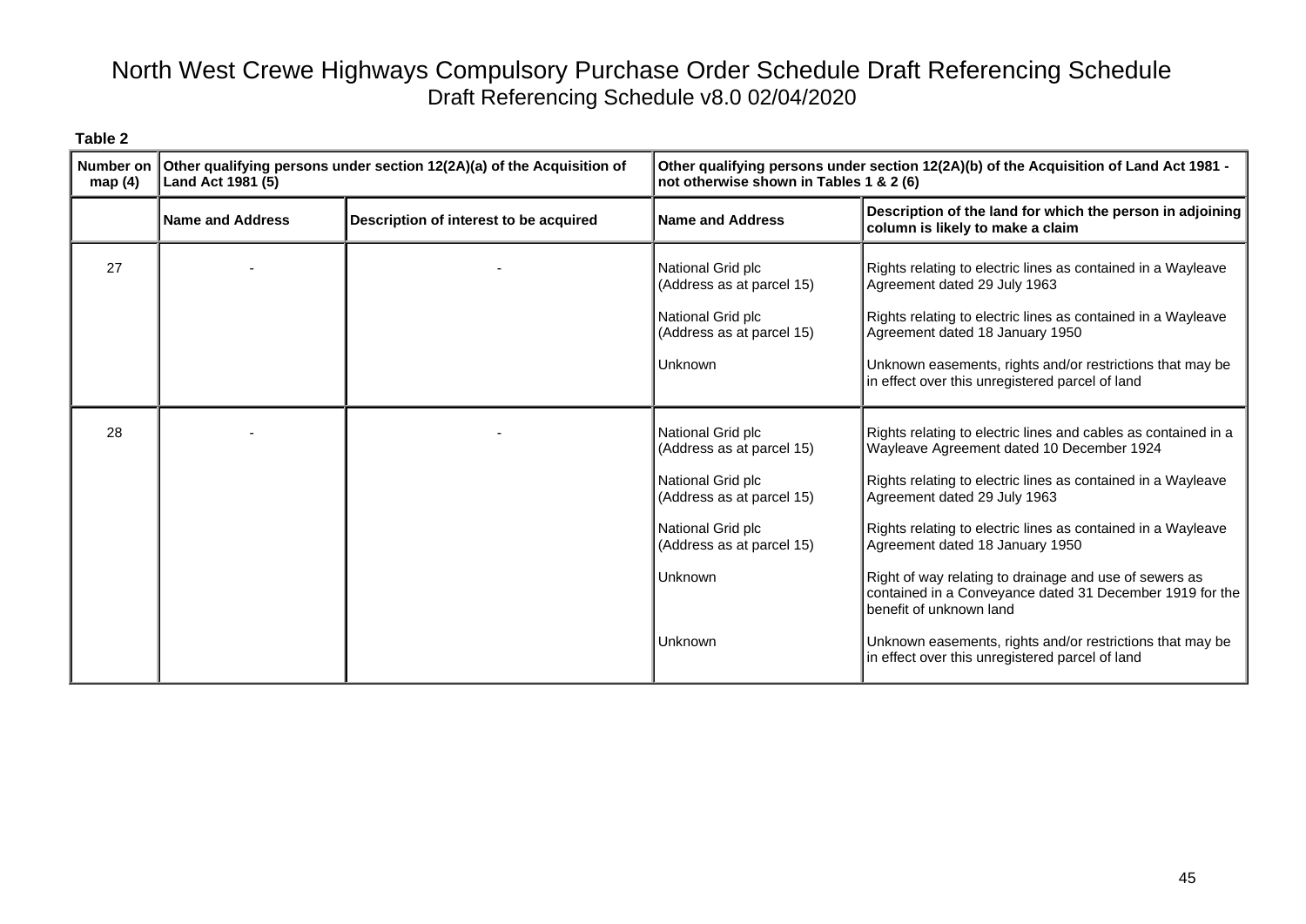| map $(4)$ | Number on Other qualifying persons under section 12(2A)(a) of the Acquisition of<br>Land Act 1981 (5) |                                        | Other qualifying persons under section 12(2A)(b) of the Acquisition of Land Act 1981 -<br>not otherwise shown in Tables 1 & 2 (6)                                        |                                                                                                                                                                                                                                                                                                                                                                                                                                                                                                                                                                                 |
|-----------|-------------------------------------------------------------------------------------------------------|----------------------------------------|--------------------------------------------------------------------------------------------------------------------------------------------------------------------------|---------------------------------------------------------------------------------------------------------------------------------------------------------------------------------------------------------------------------------------------------------------------------------------------------------------------------------------------------------------------------------------------------------------------------------------------------------------------------------------------------------------------------------------------------------------------------------|
|           | <b>Name and Address</b>                                                                               | Description of interest to be acquired | <b>Name and Address</b>                                                                                                                                                  | Description of the land for which the person in adjoining<br>column is likely to make a claim                                                                                                                                                                                                                                                                                                                                                                                                                                                                                   |
| 27        |                                                                                                       |                                        | National Grid plc<br>(Address as at parcel 15)<br>National Grid plc<br>(Address as at parcel 15)<br>Unknown                                                              | Rights relating to electric lines as contained in a Wayleave<br>Agreement dated 29 July 1963<br>Rights relating to electric lines as contained in a Wayleave<br>Agreement dated 18 January 1950<br>Unknown easements, rights and/or restrictions that may be<br>in effect over this unregistered parcel of land                                                                                                                                                                                                                                                                 |
| 28        |                                                                                                       |                                        | National Grid plc<br>(Address as at parcel 15)<br>National Grid plc<br>(Address as at parcel 15)<br>National Grid plc<br>(Address as at parcel 15)<br>Unknown<br>Unknown | Rights relating to electric lines and cables as contained in a<br>Wayleave Agreement dated 10 December 1924<br>Rights relating to electric lines as contained in a Wayleave<br>Agreement dated 29 July 1963<br>Rights relating to electric lines as contained in a Wayleave<br>Agreement dated 18 January 1950<br>Right of way relating to drainage and use of sewers as<br>contained in a Conveyance dated 31 December 1919 for the<br>benefit of unknown land<br>Unknown easements, rights and/or restrictions that may be<br>in effect over this unregistered parcel of land |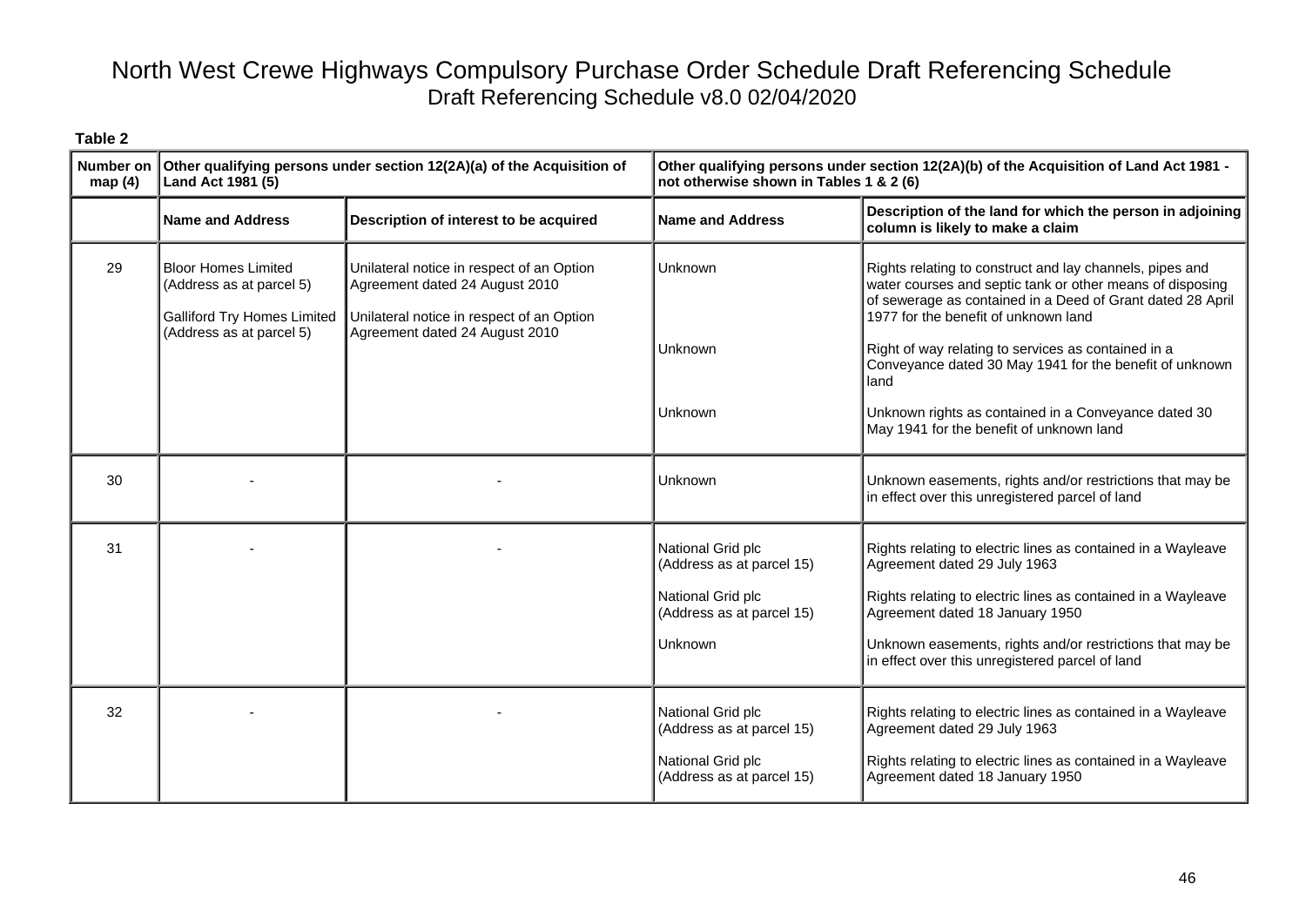| ٦.<br>н<br>.,<br>٠<br>٧<br>÷<br>÷<br>× |  |
|----------------------------------------|--|
|----------------------------------------|--|

| <b>Number on</b><br>map(4) | Other qualifying persons under section 12(2A)(a) of the Acquisition of<br>Land Act 1981 (5)                              |                                                                                                                                                            | Other qualifying persons under section 12(2A)(b) of the Acquisition of Land Act 1981 -<br>not otherwise shown in Tables 1 & 2 (6) |                                                                                                                                                                                                                                                                                                                                                       |
|----------------------------|--------------------------------------------------------------------------------------------------------------------------|------------------------------------------------------------------------------------------------------------------------------------------------------------|-----------------------------------------------------------------------------------------------------------------------------------|-------------------------------------------------------------------------------------------------------------------------------------------------------------------------------------------------------------------------------------------------------------------------------------------------------------------------------------------------------|
|                            | <b>Name and Address</b>                                                                                                  | Description of interest to be acquired                                                                                                                     | <b>Name and Address</b>                                                                                                           | Description of the land for which the person in adjoining<br>column is likely to make a claim                                                                                                                                                                                                                                                         |
| 29                         | <b>Bloor Homes Limited</b><br>(Address as at parcel 5)<br><b>Galliford Try Homes Limited</b><br>(Address as at parcel 5) | Unilateral notice in respect of an Option<br>Agreement dated 24 August 2010<br>Unilateral notice in respect of an Option<br>Agreement dated 24 August 2010 | <b>Unknown</b><br>Unknown                                                                                                         | Rights relating to construct and lay channels, pipes and<br>water courses and septic tank or other means of disposing<br>of sewerage as contained in a Deed of Grant dated 28 April<br>1977 for the benefit of unknown land<br>Right of way relating to services as contained in a<br>Conveyance dated 30 May 1941 for the benefit of unknown<br>land |
|                            |                                                                                                                          |                                                                                                                                                            | Unknown                                                                                                                           | Unknown rights as contained in a Conveyance dated 30<br>May 1941 for the benefit of unknown land                                                                                                                                                                                                                                                      |
| 30                         |                                                                                                                          |                                                                                                                                                            | Unknown                                                                                                                           | Unknown easements, rights and/or restrictions that may be<br>in effect over this unregistered parcel of land                                                                                                                                                                                                                                          |
| 31                         |                                                                                                                          |                                                                                                                                                            | National Grid plc<br>(Address as at parcel 15)<br>National Grid plc<br>(Address as at parcel 15)<br><b>Unknown</b>                | Rights relating to electric lines as contained in a Wayleave<br>Agreement dated 29 July 1963<br>Rights relating to electric lines as contained in a Wayleave<br>Agreement dated 18 January 1950<br>Unknown easements, rights and/or restrictions that may be<br>in effect over this unregistered parcel of land                                       |
| 32                         |                                                                                                                          |                                                                                                                                                            | National Grid plc<br>(Address as at parcel 15)<br>National Grid plc<br>(Address as at parcel 15)                                  | Rights relating to electric lines as contained in a Wayleave<br>Agreement dated 29 July 1963<br>Rights relating to electric lines as contained in a Wayleave<br>Agreement dated 18 January 1950                                                                                                                                                       |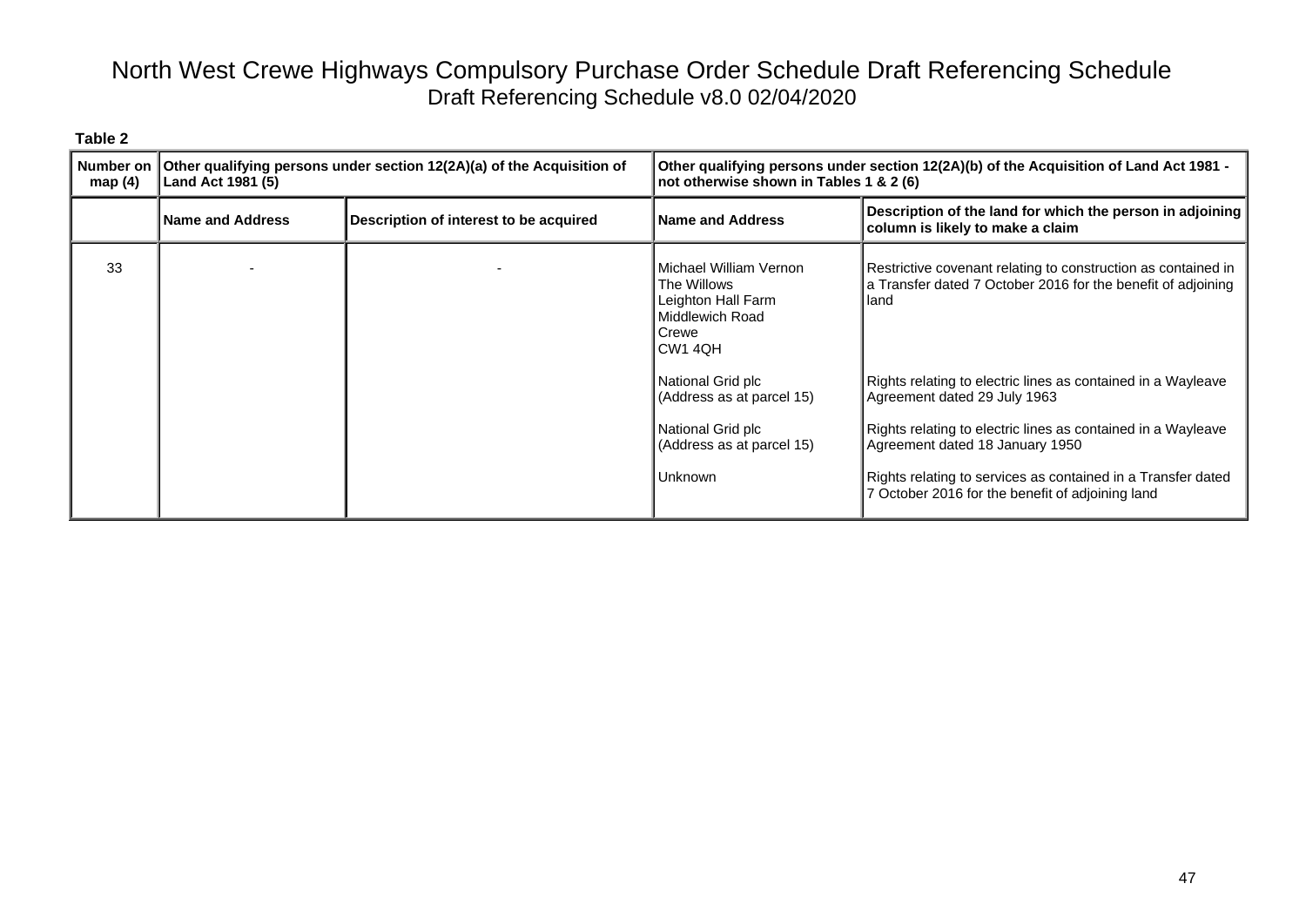| Number on<br>map $(4)$ | Other qualifying persons under section 12(2A)(a) of the Acquisition of<br>Land Act 1981 (5) |                                        | Other qualifying persons under section 12(2A)(b) of the Acquisition of Land Act 1981 -<br>not otherwise shown in Tables 1 & 2 (6) |                                                                                                                                       |
|------------------------|---------------------------------------------------------------------------------------------|----------------------------------------|-----------------------------------------------------------------------------------------------------------------------------------|---------------------------------------------------------------------------------------------------------------------------------------|
|                        | <b>Name and Address</b>                                                                     | Description of interest to be acquired | <b>Name and Address</b>                                                                                                           | Description of the land for which the person in adjoining<br>column is likely to make a claim                                         |
| 33                     |                                                                                             |                                        | Michael William Vernon<br>The Willows<br>Leighton Hall Farm<br>Middlewich Road<br>Crewe<br>CW <sub>1</sub> 4QH                    | Restrictive covenant relating to construction as contained in<br>a Transfer dated 7 October 2016 for the benefit of adjoining<br>land |
|                        |                                                                                             |                                        | National Grid plc<br>(Address as at parcel 15)                                                                                    | Rights relating to electric lines as contained in a Wayleave<br>Agreement dated 29 July 1963                                          |
|                        |                                                                                             |                                        | National Grid plc<br>(Address as at parcel 15)                                                                                    | Rights relating to electric lines as contained in a Wayleave<br>Agreement dated 18 January 1950                                       |
|                        |                                                                                             |                                        | Unknown                                                                                                                           | Rights relating to services as contained in a Transfer dated<br>7 October 2016 for the benefit of adjoining land                      |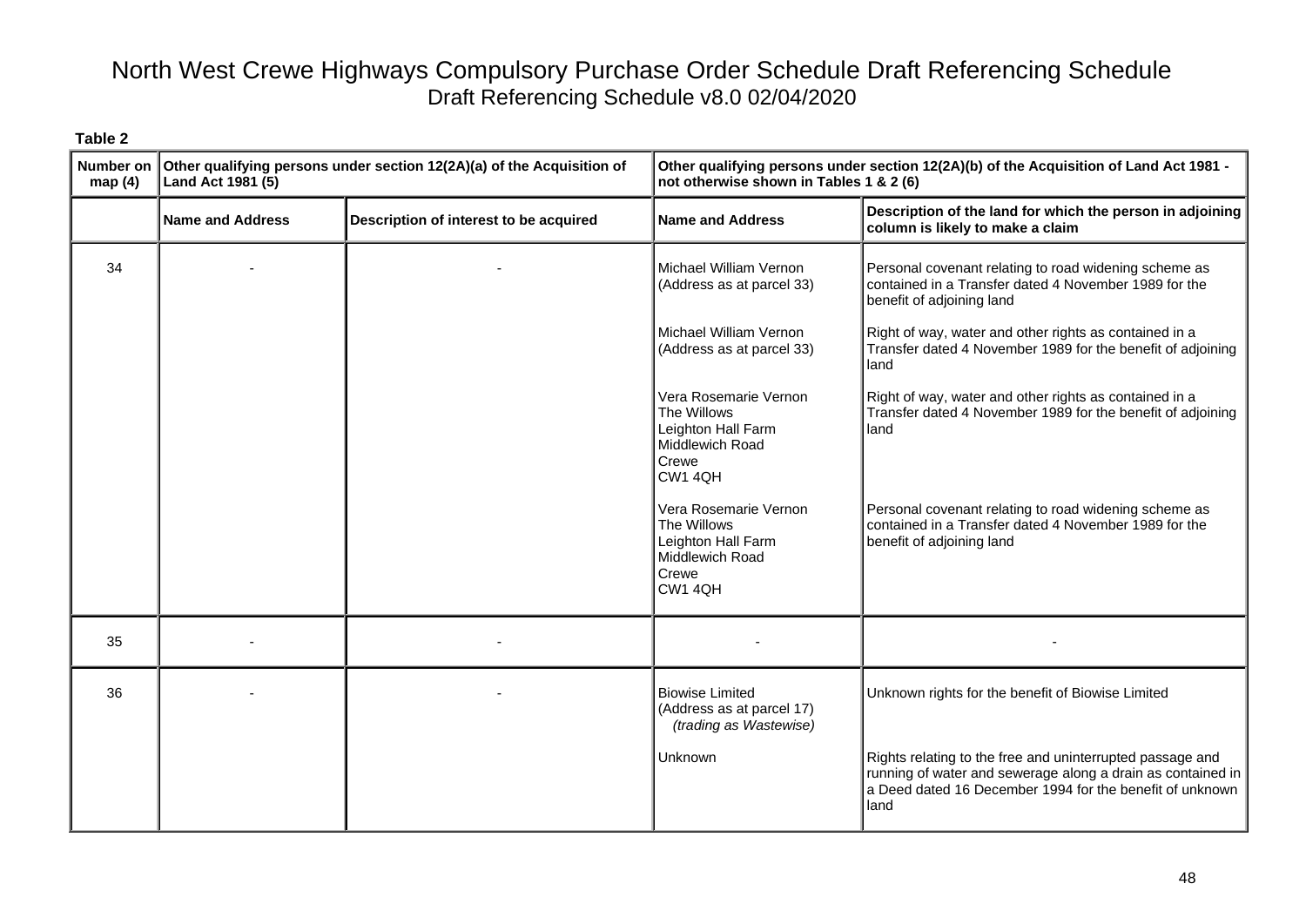| Number on<br>map $(4)$ | Other qualifying persons under section 12(2A)(a) of the Acquisition of<br>Land Act 1981 (5) |                                        | Other qualifying persons under section 12(2A)(b) of the Acquisition of Land Act 1981 -<br>not otherwise shown in Tables 1 & 2 (6) |                                                                                                                                                                                              |
|------------------------|---------------------------------------------------------------------------------------------|----------------------------------------|-----------------------------------------------------------------------------------------------------------------------------------|----------------------------------------------------------------------------------------------------------------------------------------------------------------------------------------------|
|                        | <b>Name and Address</b>                                                                     | Description of interest to be acquired | <b>Name and Address</b>                                                                                                           | Description of the land for which the person in adjoining<br>column is likely to make a claim                                                                                                |
| 34                     |                                                                                             |                                        | Michael William Vernon<br>(Address as at parcel 33)                                                                               | Personal covenant relating to road widening scheme as<br>contained in a Transfer dated 4 November 1989 for the<br>benefit of adjoining land                                                  |
|                        |                                                                                             |                                        | Michael William Vernon<br>(Address as at parcel 33)                                                                               | Right of way, water and other rights as contained in a<br>Transfer dated 4 November 1989 for the benefit of adjoining<br>land                                                                |
|                        |                                                                                             |                                        | Vera Rosemarie Vernon<br>The Willows<br>Leighton Hall Farm<br>Middlewich Road<br>Crewe<br>CW1 4QH                                 | Right of way, water and other rights as contained in a<br>Transfer dated 4 November 1989 for the benefit of adjoining<br>land                                                                |
|                        |                                                                                             |                                        | Vera Rosemarie Vernon<br>The Willows<br>Leighton Hall Farm<br>Middlewich Road<br>Crewe<br>CW1 4QH                                 | Personal covenant relating to road widening scheme as<br>contained in a Transfer dated 4 November 1989 for the<br>benefit of adjoining land                                                  |
| 35                     |                                                                                             |                                        |                                                                                                                                   |                                                                                                                                                                                              |
| 36                     |                                                                                             |                                        | <b>Biowise Limited</b><br>(Address as at parcel 17)<br>(trading as Wastewise)                                                     | Unknown rights for the benefit of Biowise Limited                                                                                                                                            |
|                        |                                                                                             |                                        | Unknown                                                                                                                           | Rights relating to the free and uninterrupted passage and<br>running of water and sewerage along a drain as contained in<br>a Deed dated 16 December 1994 for the benefit of unknown<br>land |